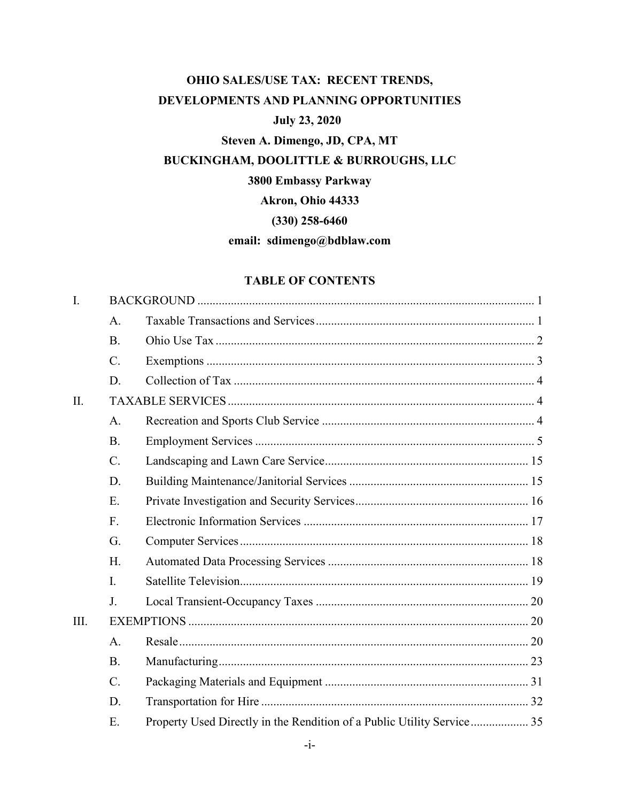## OHIO SALES/USE TAX: RECENT TRENDS, DEVELOPMENTS AND PLANNING OPPORTUNITIES **July 23, 2020** Steven A. Dimengo, JD, CPA, MT BUCKINGHAM, DOOLITTLE & BURROUGHS, LLC 3800 Embassy Parkway

Akron, Ohio 44333

 $(330)$  258-6460

### email: sdimengo@bdblaw.com

#### **TABLE OF CONTENTS**

| Ι.   |             |                                                                        |  |
|------|-------------|------------------------------------------------------------------------|--|
|      | A.          |                                                                        |  |
|      | <b>B.</b>   |                                                                        |  |
|      | $C$ .       |                                                                        |  |
|      | D.          |                                                                        |  |
| II.  |             |                                                                        |  |
|      | A.          |                                                                        |  |
|      | <b>B.</b>   |                                                                        |  |
|      | C.          |                                                                        |  |
|      | D.          |                                                                        |  |
|      | E.          |                                                                        |  |
|      | F.          |                                                                        |  |
|      | G.          |                                                                        |  |
|      | H.          |                                                                        |  |
|      | I.          |                                                                        |  |
|      | $J_{\cdot}$ |                                                                        |  |
| III. |             |                                                                        |  |
|      | A.          |                                                                        |  |
|      | <b>B.</b>   |                                                                        |  |
|      | $C$ .       |                                                                        |  |
|      | D.          |                                                                        |  |
|      | Ε.          | Property Used Directly in the Rendition of a Public Utility Service 35 |  |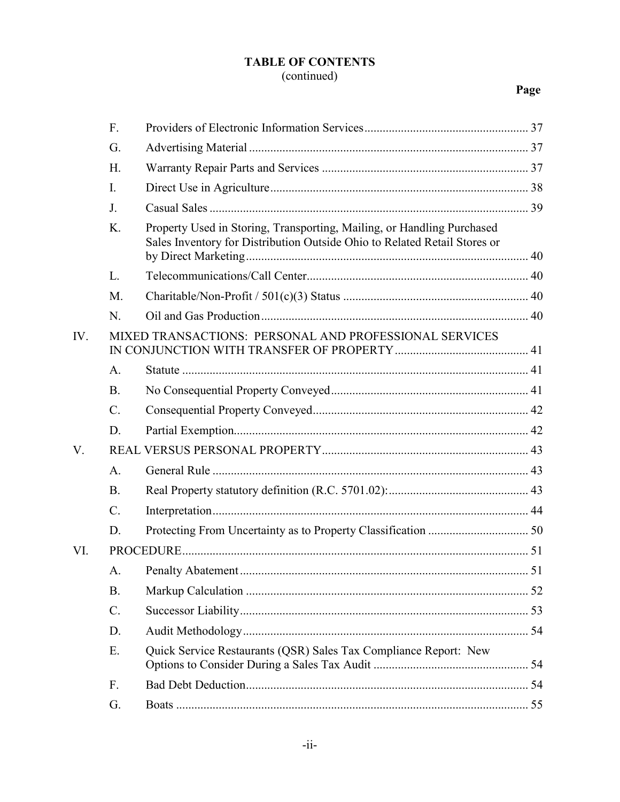# **TABLE OF CONTENTS**

## $\frac{1}{2}$  continued)

## Page

|     | F.                                                     |                                                                                                                                                     |  |
|-----|--------------------------------------------------------|-----------------------------------------------------------------------------------------------------------------------------------------------------|--|
|     | G.                                                     |                                                                                                                                                     |  |
|     | H.                                                     |                                                                                                                                                     |  |
|     | I.                                                     |                                                                                                                                                     |  |
|     | J.                                                     |                                                                                                                                                     |  |
|     | K.                                                     | Property Used in Storing, Transporting, Mailing, or Handling Purchased<br>Sales Inventory for Distribution Outside Ohio to Related Retail Stores or |  |
|     | L.                                                     |                                                                                                                                                     |  |
|     | M.                                                     |                                                                                                                                                     |  |
|     | N.                                                     |                                                                                                                                                     |  |
| IV. | MIXED TRANSACTIONS: PERSONAL AND PROFESSIONAL SERVICES |                                                                                                                                                     |  |
|     | A.                                                     |                                                                                                                                                     |  |
|     | <b>B.</b>                                              |                                                                                                                                                     |  |
|     | $\mathcal{C}$ .                                        |                                                                                                                                                     |  |
|     | D.                                                     |                                                                                                                                                     |  |
| V.  |                                                        |                                                                                                                                                     |  |
|     | A.                                                     |                                                                                                                                                     |  |
|     | <b>B.</b>                                              |                                                                                                                                                     |  |
|     | $\mathcal{C}$ .                                        |                                                                                                                                                     |  |
|     | D.                                                     |                                                                                                                                                     |  |
| VI. |                                                        |                                                                                                                                                     |  |
|     | А.                                                     | 51                                                                                                                                                  |  |
|     | <b>B.</b>                                              |                                                                                                                                                     |  |
|     | $C$ .                                                  |                                                                                                                                                     |  |
|     | D.                                                     |                                                                                                                                                     |  |
|     | Ε.                                                     | Quick Service Restaurants (QSR) Sales Tax Compliance Report: New                                                                                    |  |
|     | F.                                                     |                                                                                                                                                     |  |
|     | G.                                                     |                                                                                                                                                     |  |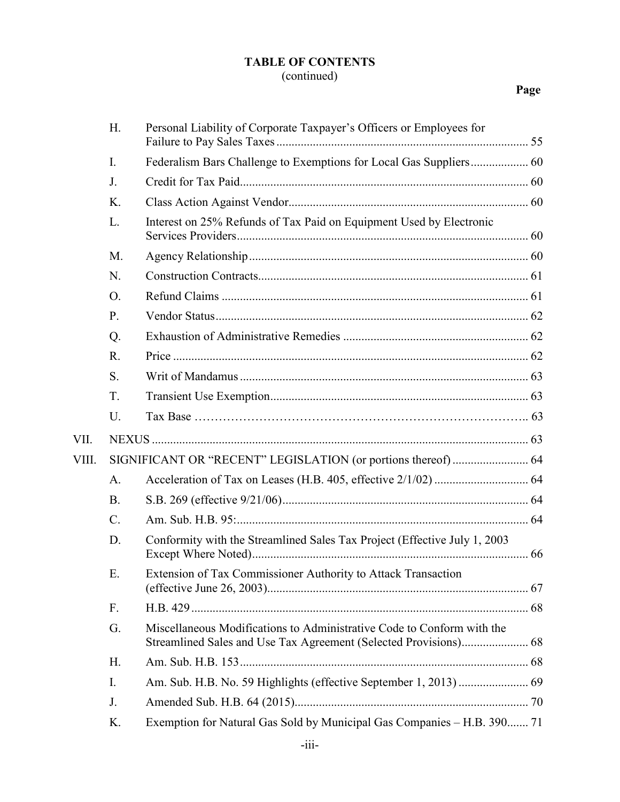## **TABLE OF CONTENTS** (continued)

## **Page**

|       | H.        | Personal Liability of Corporate Taxpayer's Officers or Employees for      |  |
|-------|-----------|---------------------------------------------------------------------------|--|
|       | I.        | Federalism Bars Challenge to Exemptions for Local Gas Suppliers 60        |  |
|       | J.        |                                                                           |  |
|       | Κ.        |                                                                           |  |
|       | L.        | Interest on 25% Refunds of Tax Paid on Equipment Used by Electronic       |  |
|       | M.        |                                                                           |  |
|       | N.        |                                                                           |  |
|       | O.        |                                                                           |  |
|       | P.        |                                                                           |  |
|       | Q.        |                                                                           |  |
|       | R.        |                                                                           |  |
|       | S.        |                                                                           |  |
|       | T.        |                                                                           |  |
|       |           |                                                                           |  |
|       | U.        |                                                                           |  |
| VII.  |           |                                                                           |  |
| VIII. |           | SIGNIFICANT OR "RECENT" LEGISLATION (or portions thereof)  64             |  |
|       | A.        |                                                                           |  |
|       | <b>B.</b> |                                                                           |  |
|       | $C$ .     |                                                                           |  |
|       | D.        | Conformity with the Streamlined Sales Tax Project (Effective July 1, 2003 |  |
|       | Ε.        | Extension of Tax Commissioner Authority to Attack Transaction             |  |
|       | F.        |                                                                           |  |
|       | G.        | Miscellaneous Modifications to Administrative Code to Conform with the    |  |
|       | Η.        |                                                                           |  |
|       | I.        |                                                                           |  |
|       | J.        |                                                                           |  |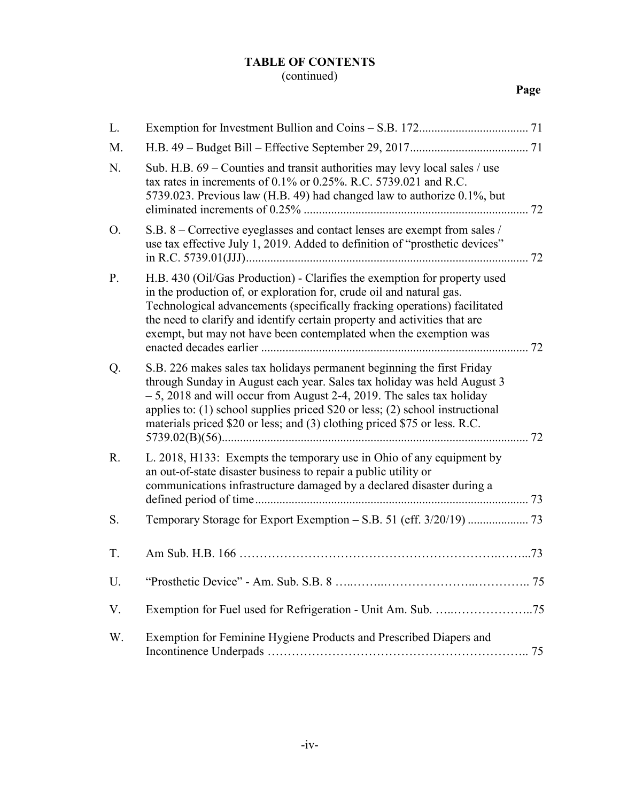#### **TABLE OF CONTENTS** (continued)

## **Page**

| L. |                                                                                                                                                                                                                                                                                                                                                                                                |  |
|----|------------------------------------------------------------------------------------------------------------------------------------------------------------------------------------------------------------------------------------------------------------------------------------------------------------------------------------------------------------------------------------------------|--|
| M. |                                                                                                                                                                                                                                                                                                                                                                                                |  |
| N. | Sub. H.B. $69$ – Counties and transit authorities may levy local sales / use<br>tax rates in increments of $0.1\%$ or $0.25\%$ . R.C. 5739.021 and R.C.<br>5739.023. Previous law (H.B. 49) had changed law to authorize 0.1%, but                                                                                                                                                             |  |
| O. | S.B. 8 – Corrective eyeglasses and contact lenses are exempt from sales /<br>use tax effective July 1, 2019. Added to definition of "prosthetic devices"                                                                                                                                                                                                                                       |  |
| P. | H.B. 430 (Oil/Gas Production) - Clarifies the exemption for property used<br>in the production of, or exploration for, crude oil and natural gas.<br>Technological advancements (specifically fracking operations) facilitated<br>the need to clarify and identify certain property and activities that are<br>exempt, but may not have been contemplated when the exemption was               |  |
| Q. | S.B. 226 makes sales tax holidays permanent beginning the first Friday<br>through Sunday in August each year. Sales tax holiday was held August 3<br>$-5$ , 2018 and will occur from August 2-4, 2019. The sales tax holiday<br>applies to: $(1)$ school supplies priced \$20 or less; $(2)$ school instructional<br>materials priced \$20 or less; and (3) clothing priced \$75 or less. R.C. |  |
| R. | L. 2018, H133: Exempts the temporary use in Ohio of any equipment by<br>an out-of-state disaster business to repair a public utility or<br>communications infrastructure damaged by a declared disaster during a                                                                                                                                                                               |  |
| S. |                                                                                                                                                                                                                                                                                                                                                                                                |  |
| T. |                                                                                                                                                                                                                                                                                                                                                                                                |  |
| U. |                                                                                                                                                                                                                                                                                                                                                                                                |  |
| V. |                                                                                                                                                                                                                                                                                                                                                                                                |  |
| W. | Exemption for Feminine Hygiene Products and Prescribed Diapers and                                                                                                                                                                                                                                                                                                                             |  |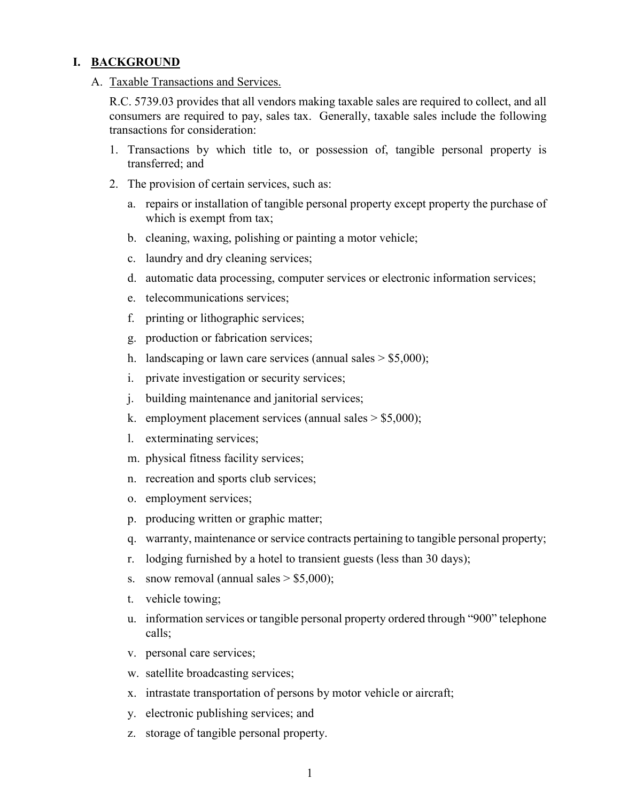#### **I. BACKGROUND**

A. Taxable Transactions and Services.

R.C. 5739.03 provides that all vendors making taxable sales are required to collect, and all consumers are required to pay, sales tax. Generally, taxable sales include the following transactions for consideration:

- 1. Transactions by which title to, or possession of, tangible personal property is transferred; and
- 2. The provision of certain services, such as:
	- a. repairs or installation of tangible personal property except property the purchase of which is exempt from tax;
	- b. cleaning, waxing, polishing or painting a motor vehicle;
	- c. laundry and dry cleaning services;
	- d. automatic data processing, computer services or electronic information services;
	- e. telecommunications services;
	- f. printing or lithographic services;
	- g. production or fabrication services;
	- h. landscaping or lawn care services (annual sales  $>$  \$5,000);
	- i. private investigation or security services;
	- j. building maintenance and janitorial services;
	- k. employment placement services (annual sales  $>$  \$5,000);
	- l. exterminating services;
	- m. physical fitness facility services;
	- n. recreation and sports club services;
	- o. employment services;
	- p. producing written or graphic matter;
	- q. warranty, maintenance or service contracts pertaining to tangible personal property;
	- r. lodging furnished by a hotel to transient guests (less than 30 days);
	- s. snow removal (annual sales  $> $5,000$ );
	- t. vehicle towing;
	- u. information services or tangible personal property ordered through "900" telephone calls;
	- v. personal care services;
	- w. satellite broadcasting services;
	- x. intrastate transportation of persons by motor vehicle or aircraft;
	- y. electronic publishing services; and
	- z. storage of tangible personal property.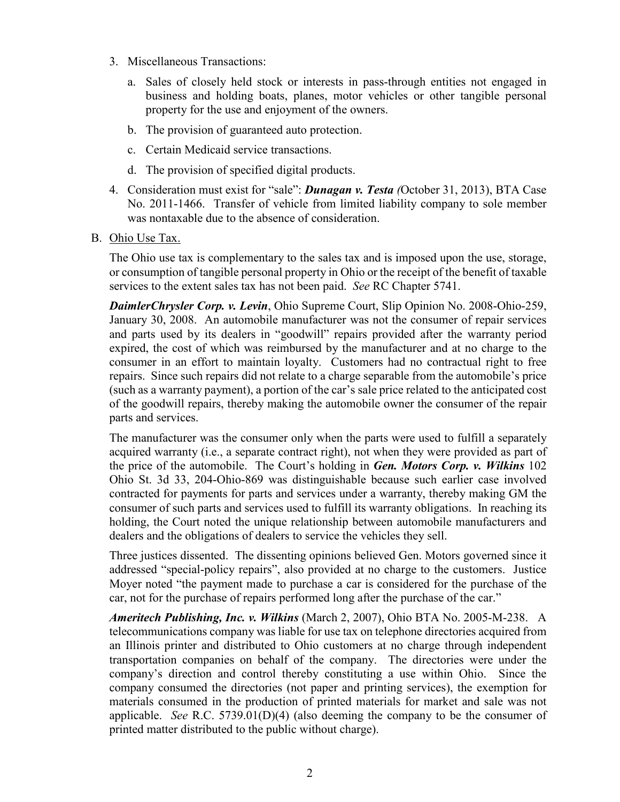- 3. Miscellaneous Transactions:
	- a. Sales of closely held stock or interests in pass-through entities not engaged in business and holding boats, planes, motor vehicles or other tangible personal property for the use and enjoyment of the owners.
	- b. The provision of guaranteed auto protection.
	- c. Certain Medicaid service transactions.
	- d. The provision of specified digital products.
- 4. Consideration must exist for "sale": *Dunagan v. Testa (*October 31, 2013), BTA Case No. 2011-1466. Transfer of vehicle from limited liability company to sole member was nontaxable due to the absence of consideration.
- B. Ohio Use Tax.

The Ohio use tax is complementary to the sales tax and is imposed upon the use, storage, or consumption of tangible personal property in Ohio or the receipt of the benefit of taxable services to the extent sales tax has not been paid. *See* RC Chapter 5741.

*DaimlerChrysler Corp. v. Levin*, Ohio Supreme Court, Slip Opinion No. 2008-Ohio-259, January 30, 2008. An automobile manufacturer was not the consumer of repair services and parts used by its dealers in "goodwill" repairs provided after the warranty period expired, the cost of which was reimbursed by the manufacturer and at no charge to the consumer in an effort to maintain loyalty. Customers had no contractual right to free repairs. Since such repairs did not relate to a charge separable from the automobile's price (such as a warranty payment), a portion of the car's sale price related to the anticipated cost of the goodwill repairs, thereby making the automobile owner the consumer of the repair parts and services.

The manufacturer was the consumer only when the parts were used to fulfill a separately acquired warranty (i.e., a separate contract right), not when they were provided as part of the price of the automobile. The Court's holding in *Gen. Motors Corp. v. Wilkins* 102 Ohio St. 3d 33, 204-Ohio-869 was distinguishable because such earlier case involved contracted for payments for parts and services under a warranty, thereby making GM the consumer of such parts and services used to fulfill its warranty obligations. In reaching its holding, the Court noted the unique relationship between automobile manufacturers and dealers and the obligations of dealers to service the vehicles they sell.

Three justices dissented. The dissenting opinions believed Gen. Motors governed since it addressed "special-policy repairs", also provided at no charge to the customers. Justice Moyer noted "the payment made to purchase a car is considered for the purchase of the car, not for the purchase of repairs performed long after the purchase of the car."

*Ameritech Publishing, Inc. v. Wilkins* (March 2, 2007), Ohio BTA No. 2005-M-238. A telecommunications company was liable for use tax on telephone directories acquired from an Illinois printer and distributed to Ohio customers at no charge through independent transportation companies on behalf of the company. The directories were under the company's direction and control thereby constituting a use within Ohio. Since the company consumed the directories (not paper and printing services), the exemption for materials consumed in the production of printed materials for market and sale was not applicable. *See* R.C. 5739.01(D)(4) (also deeming the company to be the consumer of printed matter distributed to the public without charge).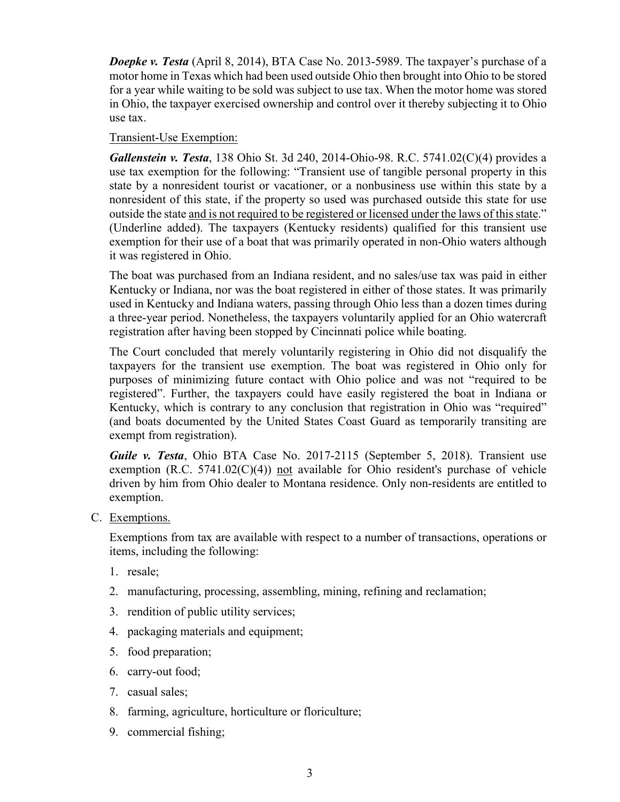*Doepke v. Testa* (April 8, 2014), BTA Case No. 2013-5989. The taxpayer's purchase of a motor home in Texas which had been used outside Ohio then brought into Ohio to be stored for a year while waiting to be sold was subject to use tax. When the motor home was stored in Ohio, the taxpayer exercised ownership and control over it thereby subjecting it to Ohio use tax.

#### Transient-Use Exemption:

*Gallenstein v. Testa*, 138 Ohio St. 3d 240, 2014-Ohio-98. R.C. 5741.02(C)(4) provides a use tax exemption for the following: "Transient use of tangible personal property in this state by a nonresident tourist or vacationer, or a nonbusiness use within this state by a nonresident of this state, if the property so used was purchased outside this state for use outside the state and is not required to be registered or licensed under the laws of this state." (Underline added). The taxpayers (Kentucky residents) qualified for this transient use exemption for their use of a boat that was primarily operated in non-Ohio waters although it was registered in Ohio.

The boat was purchased from an Indiana resident, and no sales/use tax was paid in either Kentucky or Indiana, nor was the boat registered in either of those states. It was primarily used in Kentucky and Indiana waters, passing through Ohio less than a dozen times during a three-year period. Nonetheless, the taxpayers voluntarily applied for an Ohio watercraft registration after having been stopped by Cincinnati police while boating.

The Court concluded that merely voluntarily registering in Ohio did not disqualify the taxpayers for the transient use exemption. The boat was registered in Ohio only for purposes of minimizing future contact with Ohio police and was not "required to be registered". Further, the taxpayers could have easily registered the boat in Indiana or Kentucky, which is contrary to any conclusion that registration in Ohio was "required" (and boats documented by the United States Coast Guard as temporarily transiting are exempt from registration).

*Guile v. Testa*, Ohio BTA Case No. 2017-2115 (September 5, 2018). Transient use exemption  $(R.C. 5741.02(C)(4))$  not available for Ohio resident's purchase of vehicle driven by him from Ohio dealer to Montana residence. Only non-residents are entitled to exemption.

C. Exemptions.

Exemptions from tax are available with respect to a number of transactions, operations or items, including the following:

- 1. resale;
- 2. manufacturing, processing, assembling, mining, refining and reclamation;
- 3. rendition of public utility services;
- 4. packaging materials and equipment;
- 5. food preparation;
- 6. carry-out food;
- 7. casual sales;
- 8. farming, agriculture, horticulture or floriculture;
- 9. commercial fishing;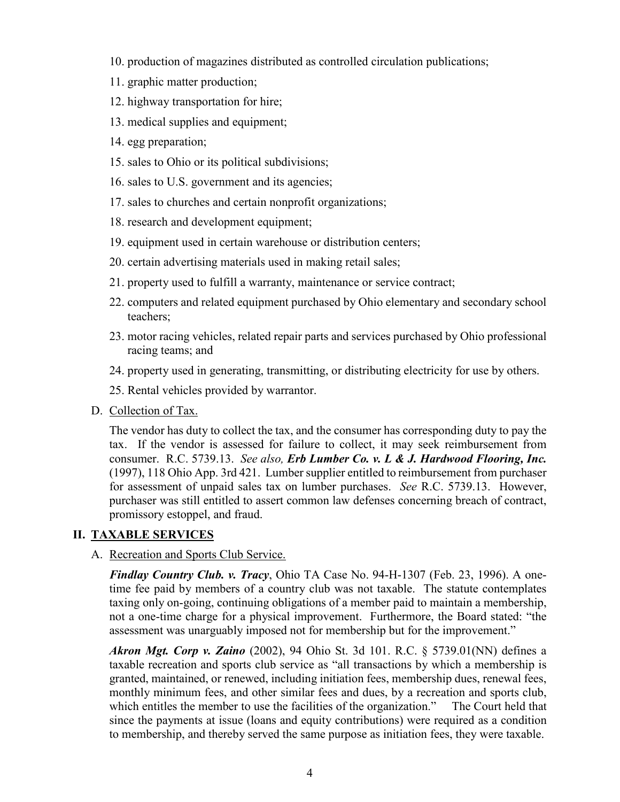- 10. production of magazines distributed as controlled circulation publications;
- 11. graphic matter production;
- 12. highway transportation for hire;
- 13. medical supplies and equipment;
- 14. egg preparation;
- 15. sales to Ohio or its political subdivisions;
- 16. sales to U.S. government and its agencies;
- 17. sales to churches and certain nonprofit organizations;
- 18. research and development equipment;
- 19. equipment used in certain warehouse or distribution centers;
- 20. certain advertising materials used in making retail sales;
- 21. property used to fulfill a warranty, maintenance or service contract;
- 22. computers and related equipment purchased by Ohio elementary and secondary school teachers;
- 23. motor racing vehicles, related repair parts and services purchased by Ohio professional racing teams; and
- 24. property used in generating, transmitting, or distributing electricity for use by others.
- 25. Rental vehicles provided by warrantor.
- D. Collection of Tax.

The vendor has duty to collect the tax, and the consumer has corresponding duty to pay the tax. If the vendor is assessed for failure to collect, it may seek reimbursement from consumer. R.C. 5739.13. *See also, Erb Lumber Co. v. L & J. Hardwood Flooring, Inc.* (1997), 118 Ohio App. 3rd 421. Lumber supplier entitled to reimbursement from purchaser for assessment of unpaid sales tax on lumber purchases. *See* R.C. 5739.13. However, purchaser was still entitled to assert common law defenses concerning breach of contract, promissory estoppel, and fraud.

#### **II. TAXABLE SERVICES**

#### A. Recreation and Sports Club Service.

*Findlay Country Club. v. Tracy*, Ohio TA Case No. 94-H-1307 (Feb. 23, 1996). A onetime fee paid by members of a country club was not taxable. The statute contemplates taxing only on-going, continuing obligations of a member paid to maintain a membership, not a one-time charge for a physical improvement. Furthermore, the Board stated: "the assessment was unarguably imposed not for membership but for the improvement."

*Akron Mgt. Corp v. Zaino* (2002), 94 Ohio St. 3d 101. R.C. § 5739.01(NN) defines a taxable recreation and sports club service as "all transactions by which a membership is granted, maintained, or renewed, including initiation fees, membership dues, renewal fees, monthly minimum fees, and other similar fees and dues, by a recreation and sports club, which entitles the member to use the facilities of the organization." The Court held that since the payments at issue (loans and equity contributions) were required as a condition to membership, and thereby served the same purpose as initiation fees, they were taxable.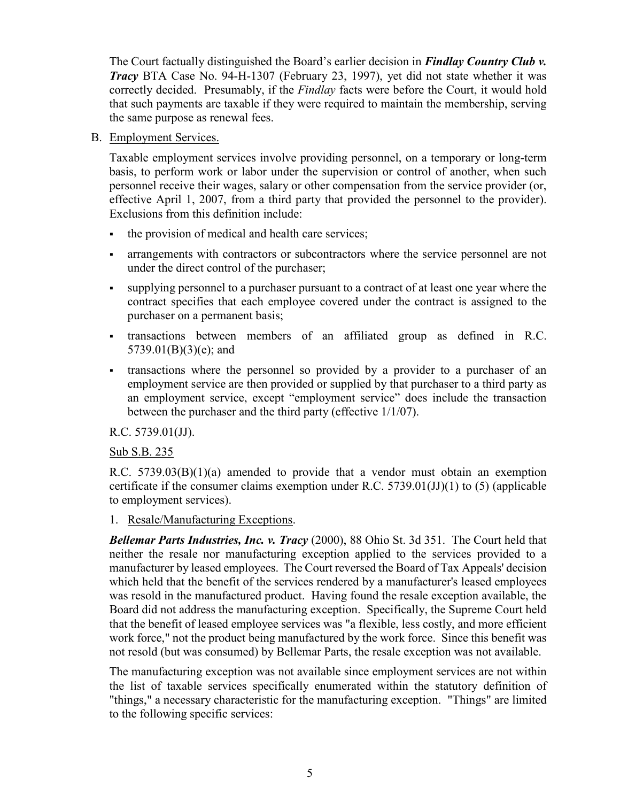The Court factually distinguished the Board's earlier decision in *Findlay Country Club v. Tracy* BTA Case No. 94-H-1307 (February 23, 1997), yet did not state whether it was correctly decided. Presumably, if the *Findlay* facts were before the Court, it would hold that such payments are taxable if they were required to maintain the membership, serving the same purpose as renewal fees.

B. Employment Services.

Taxable employment services involve providing personnel, on a temporary or long-term basis, to perform work or labor under the supervision or control of another, when such personnel receive their wages, salary or other compensation from the service provider (or, effective April 1, 2007, from a third party that provided the personnel to the provider). Exclusions from this definition include:

- the provision of medical and health care services;
- arrangements with contractors or subcontractors where the service personnel are not under the direct control of the purchaser;
- supplying personnel to a purchaser pursuant to a contract of at least one year where the contract specifies that each employee covered under the contract is assigned to the purchaser on a permanent basis;
- transactions between members of an affiliated group as defined in R.C. 5739.01(B)(3)(e); and
- transactions where the personnel so provided by a provider to a purchaser of an employment service are then provided or supplied by that purchaser to a third party as an employment service, except "employment service" does include the transaction between the purchaser and the third party (effective 1/1/07).

R.C. 5739.01(JJ).

#### Sub S.B. 235

R.C.  $5739.03(B)(1)(a)$  amended to provide that a vendor must obtain an exemption certificate if the consumer claims exemption under R.C.  $5739.01(JJ)(1)$  to (5) (applicable to employment services).

#### 1. Resale/Manufacturing Exceptions.

*Bellemar Parts Industries, Inc. v. Tracy* (2000), 88 Ohio St. 3d 351. The Court held that neither the resale nor manufacturing exception applied to the services provided to a manufacturer by leased employees. The Court reversed the Board of Tax Appeals' decision which held that the benefit of the services rendered by a manufacturer's leased employees was resold in the manufactured product. Having found the resale exception available, the Board did not address the manufacturing exception. Specifically, the Supreme Court held that the benefit of leased employee services was "a flexible, less costly, and more efficient work force," not the product being manufactured by the work force. Since this benefit was not resold (but was consumed) by Bellemar Parts, the resale exception was not available.

The manufacturing exception was not available since employment services are not within the list of taxable services specifically enumerated within the statutory definition of "things," a necessary characteristic for the manufacturing exception. "Things" are limited to the following specific services: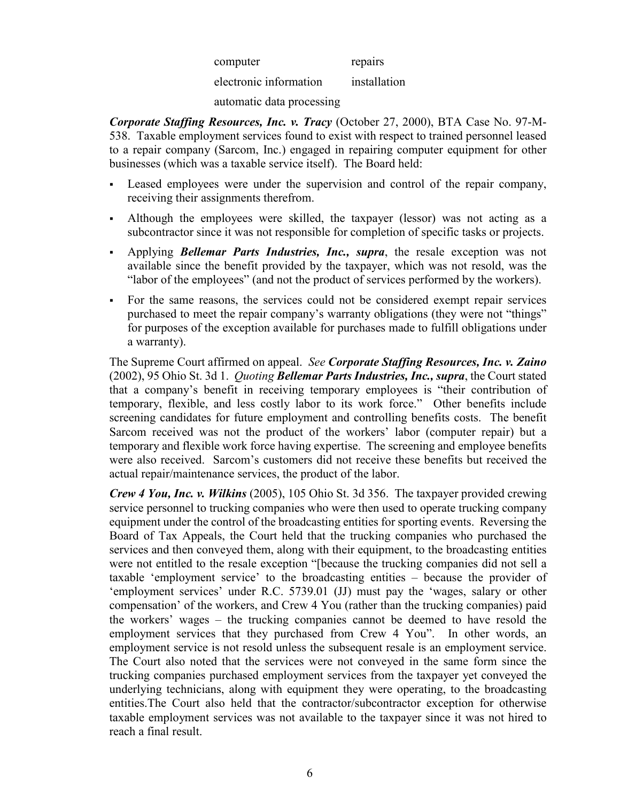| computer               | repairs      |
|------------------------|--------------|
| electronic information | installation |

automatic data processing

*Corporate Staffing Resources, Inc. v. Tracy* (October 27, 2000), BTA Case No. 97-M-538. Taxable employment services found to exist with respect to trained personnel leased to a repair company (Sarcom, Inc.) engaged in repairing computer equipment for other businesses (which was a taxable service itself). The Board held:

- Leased employees were under the supervision and control of the repair company, receiving their assignments therefrom.
- Although the employees were skilled, the taxpayer (lessor) was not acting as a subcontractor since it was not responsible for completion of specific tasks or projects.
- Applying *Bellemar Parts Industries, Inc., supra*, the resale exception was not available since the benefit provided by the taxpayer, which was not resold, was the "labor of the employees" (and not the product of services performed by the workers).
- For the same reasons, the services could not be considered exempt repair services purchased to meet the repair company's warranty obligations (they were not "things" for purposes of the exception available for purchases made to fulfill obligations under a warranty).

The Supreme Court affirmed on appeal. *See Corporate Staffing Resources, Inc. v. Zaino* (2002), 95 Ohio St. 3d 1. *Quoting Bellemar Parts Industries, Inc., supra*, the Court stated that a company's benefit in receiving temporary employees is "their contribution of temporary, flexible, and less costly labor to its work force." Other benefits include screening candidates for future employment and controlling benefits costs. The benefit Sarcom received was not the product of the workers' labor (computer repair) but a temporary and flexible work force having expertise. The screening and employee benefits were also received. Sarcom's customers did not receive these benefits but received the actual repair/maintenance services, the product of the labor.

*Crew 4 You, Inc. v. Wilkins* (2005), 105 Ohio St. 3d 356. The taxpayer provided crewing service personnel to trucking companies who were then used to operate trucking company equipment under the control of the broadcasting entities for sporting events. Reversing the Board of Tax Appeals, the Court held that the trucking companies who purchased the services and then conveyed them, along with their equipment, to the broadcasting entities were not entitled to the resale exception "[because the trucking companies did not sell a taxable 'employment service' to the broadcasting entities – because the provider of 'employment services' under R.C. 5739.01 (JJ) must pay the 'wages, salary or other compensation' of the workers, and Crew 4 You (rather than the trucking companies) paid the workers' wages – the trucking companies cannot be deemed to have resold the employment services that they purchased from Crew 4 You". In other words, an employment service is not resold unless the subsequent resale is an employment service. The Court also noted that the services were not conveyed in the same form since the trucking companies purchased employment services from the taxpayer yet conveyed the underlying technicians, along with equipment they were operating, to the broadcasting entities.The Court also held that the contractor/subcontractor exception for otherwise taxable employment services was not available to the taxpayer since it was not hired to reach a final result.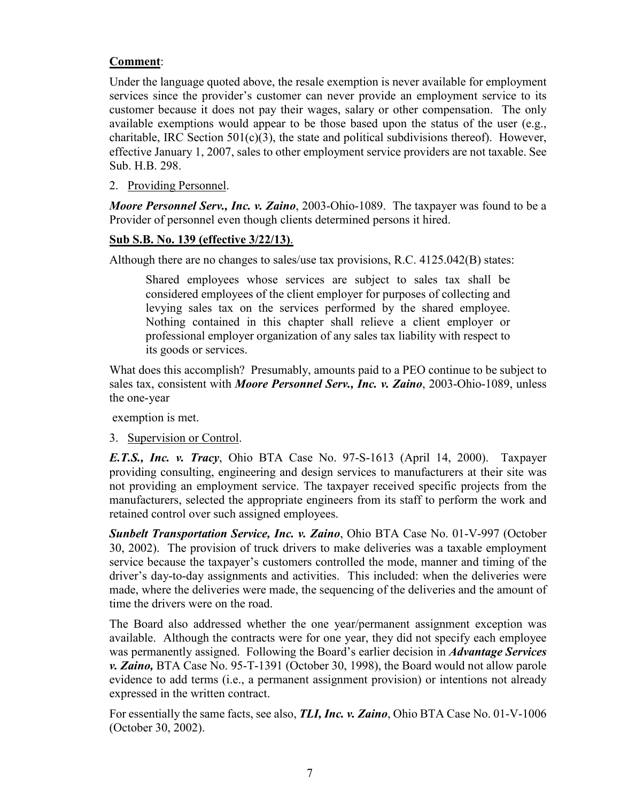#### **Comment**:

Under the language quoted above, the resale exemption is never available for employment services since the provider's customer can never provide an employment service to its customer because it does not pay their wages, salary or other compensation. The only available exemptions would appear to be those based upon the status of the user (e.g., charitable, IRC Section  $501(c)(3)$ , the state and political subdivisions thereof). However, effective January 1, 2007, sales to other employment service providers are not taxable. See Sub. H.B. 298.

2. Providing Personnel.

*Moore Personnel Serv., Inc. v. Zaino*, 2003-Ohio-1089. The taxpayer was found to be a Provider of personnel even though clients determined persons it hired.

#### **Sub S.B. No. 139 (effective 3/22/13)**.

Although there are no changes to sales/use tax provisions, R.C. 4125.042(B) states:

Shared employees whose services are subject to sales tax shall be considered employees of the client employer for purposes of collecting and levying sales tax on the services performed by the shared employee. Nothing contained in this chapter shall relieve a client employer or professional employer organization of any sales tax liability with respect to its goods or services.

What does this accomplish? Presumably, amounts paid to a PEO continue to be subject to sales tax, consistent with *Moore Personnel Serv., Inc. v. Zaino*, 2003-Ohio-1089, unless the one-year

exemption is met.

3. Supervision or Control.

*E.T.S., Inc. v. Tracy*, Ohio BTA Case No. 97-S-1613 (April 14, 2000). Taxpayer providing consulting, engineering and design services to manufacturers at their site was not providing an employment service. The taxpayer received specific projects from the manufacturers, selected the appropriate engineers from its staff to perform the work and retained control over such assigned employees.

*Sunbelt Transportation Service, Inc. v. Zaino*, Ohio BTA Case No. 01-V-997 (October 30, 2002). The provision of truck drivers to make deliveries was a taxable employment service because the taxpayer's customers controlled the mode, manner and timing of the driver's day-to-day assignments and activities. This included: when the deliveries were made, where the deliveries were made, the sequencing of the deliveries and the amount of time the drivers were on the road.

The Board also addressed whether the one year/permanent assignment exception was available. Although the contracts were for one year, they did not specify each employee was permanently assigned. Following the Board's earlier decision in *Advantage Services v. Zaino,* BTA Case No. 95-T-1391 (October 30, 1998), the Board would not allow parole evidence to add terms (i.e., a permanent assignment provision) or intentions not already expressed in the written contract.

For essentially the same facts, see also, *TLI, Inc. v. Zaino*, Ohio BTA Case No. 01-V-1006 (October 30, 2002).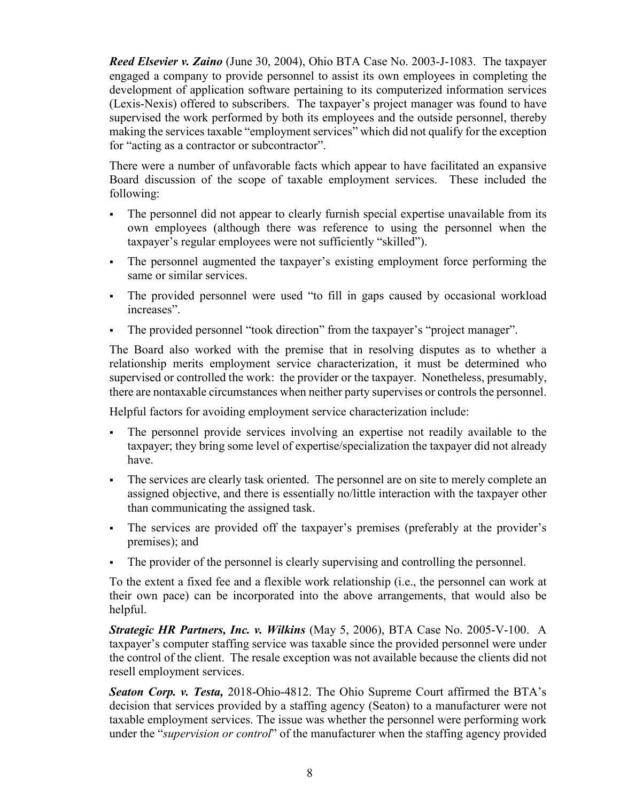*Reed Elsevier v. Zaino* (June 30, 2004), Ohio BTA Case No. 2003-J-1083. The taxpayer engaged a company to provide personnel to assist its own employees in completing the development of application software pertaining to its computerized information services (Lexis-Nexis) offered to subscribers. The taxpayer's project manager was found to have supervised the work performed by both its employees and the outside personnel, thereby making the services taxable "employment services" which did not qualify for the exception for "acting as a contractor or subcontractor".

There were a number of unfavorable facts which appear to have facilitated an expansive Board discussion of the scope of taxable employment services. These included the following:

- The personnel did not appear to clearly furnish special expertise unavailable from its own employees (although there was reference to using the personnel when the taxpayer's regular employees were not sufficiently "skilled").
- The personnel augmented the taxpayer's existing employment force performing the same or similar services.
- The provided personnel were used "to fill in gaps caused by occasional workload increases".
- The provided personnel "took direction" from the taxpayer's "project manager".

The Board also worked with the premise that in resolving disputes as to whether a relationship merits employment service characterization, it must be determined who supervised or controlled the work: the provider or the taxpayer. Nonetheless, presumably, there are nontaxable circumstances when neither party supervises or controls the personnel.

Helpful factors for avoiding employment service characterization include:

- The personnel provide services involving an expertise not readily available to the taxpayer; they bring some level of expertise/specialization the taxpayer did not already have.
- The services are clearly task oriented. The personnel are on site to merely complete an assigned objective, and there is essentially no/little interaction with the taxpayer other than communicating the assigned task.
- The services are provided off the taxpayer's premises (preferably at the provider's premises); and
- The provider of the personnel is clearly supervising and controlling the personnel.

To the extent a fixed fee and a flexible work relationship (i.e., the personnel can work at their own pace) can be incorporated into the above arrangements, that would also be helpful.

*Strategic HR Partners, Inc. v. Wilkins* (May 5, 2006), BTA Case No. 2005-V-100. A taxpayer's computer staffing service was taxable since the provided personnel were under the control of the client. The resale exception was not available because the clients did not resell employment services.

*Seaton Corp. v. Testa,* 2018-Ohio-4812. The Ohio Supreme [Court](http://www.supremecourt.ohio.gov/) affirmed the BTA's decision that services provided by a staffing agency (Seaton) to a manufacturer were not taxable employment services. The issue was whether the personnel were performing work under the "*supervision or control*" of the manufacturer when the staffing agency provided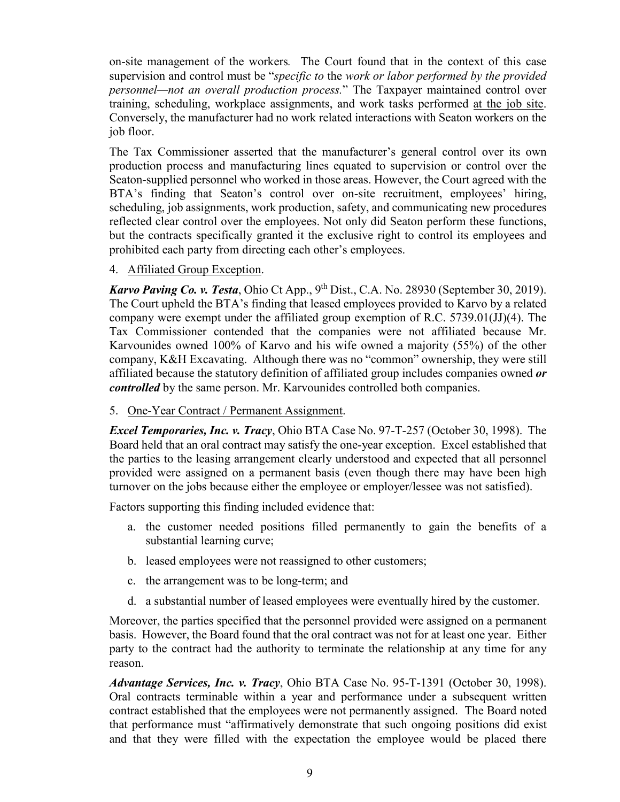on-site management of the workers*.* The Court found that in the context of this case supervision and control must be "*specific to* the *work or labor performed by the provided personnel—not an overall production process.*" The Taxpayer maintained control over training, scheduling, workplace assignments, and work tasks performed at the job site. Conversely, the manufacturer had no work related interactions with Seaton workers on the job floor.

The Tax Commissioner asserted that the manufacturer's general control over its own production process and manufacturing lines equated to supervision or control over the Seaton-supplied personnel who worked in those areas. However, the Court agreed with the BTA's finding that Seaton's control over on-site recruitment, employees' hiring, scheduling, job assignments, work production, safety, and communicating new procedures reflected clear control over the employees. Not only did Seaton perform these functions, but the contracts specifically granted it the exclusive right to control its employees and prohibited each party from directing each other's employees.

4. Affiliated Group Exception.

*Karvo Paving Co. v. Testa*, Ohio Ct App., 9<sup>th</sup> Dist., C.A. No. 28930 (September 30, 2019). The Court upheld the BTA's finding that leased employees provided to Karvo by a related company were exempt under the affiliated group exemption of R.C. 5739.01(JJ)(4). The Tax Commissioner contended that the companies were not affiliated because Mr. Karvounides owned 100% of Karvo and his wife owned a majority (55%) of the other company, K&H Excavating. Although there was no "common" ownership, they were still affiliated because the statutory definition of affiliated group includes companies owned *or controlled* by the same person. Mr. Karvounides controlled both companies.

5. One-Year Contract / Permanent Assignment.

*Excel Temporaries, Inc. v. Tracy*, Ohio BTA Case No. 97-T-257 (October 30, 1998). The Board held that an oral contract may satisfy the one-year exception. Excel established that the parties to the leasing arrangement clearly understood and expected that all personnel provided were assigned on a permanent basis (even though there may have been high turnover on the jobs because either the employee or employer/lessee was not satisfied).

Factors supporting this finding included evidence that:

- a. the customer needed positions filled permanently to gain the benefits of a substantial learning curve;
- b. leased employees were not reassigned to other customers;
- c. the arrangement was to be long-term; and
- d. a substantial number of leased employees were eventually hired by the customer.

Moreover, the parties specified that the personnel provided were assigned on a permanent basis. However, the Board found that the oral contract was not for at least one year. Either party to the contract had the authority to terminate the relationship at any time for any reason.

*Advantage Services, Inc. v. Tracy*, Ohio BTA Case No. 95-T-1391 (October 30, 1998). Oral contracts terminable within a year and performance under a subsequent written contract established that the employees were not permanently assigned. The Board noted that performance must "affirmatively demonstrate that such ongoing positions did exist and that they were filled with the expectation the employee would be placed there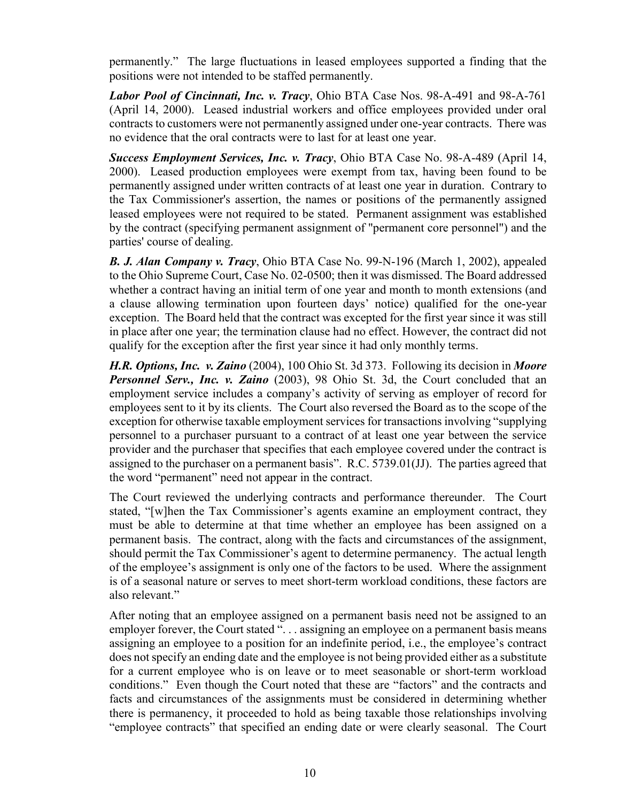permanently." The large fluctuations in leased employees supported a finding that the positions were not intended to be staffed permanently.

*Labor Pool of Cincinnati, Inc. v. Tracy*, Ohio BTA Case Nos. 98-A-491 and 98-A-761 (April 14, 2000). Leased industrial workers and office employees provided under oral contracts to customers were not permanently assigned under one-year contracts. There was no evidence that the oral contracts were to last for at least one year.

*Success Employment Services, Inc. v. Tracy*, Ohio BTA Case No. 98-A-489 (April 14, 2000). Leased production employees were exempt from tax, having been found to be permanently assigned under written contracts of at least one year in duration. Contrary to the Tax Commissioner's assertion, the names or positions of the permanently assigned leased employees were not required to be stated. Permanent assignment was established by the contract (specifying permanent assignment of "permanent core personnel") and the parties' course of dealing.

*B. J. Alan Company v. Tracy*, Ohio BTA Case No. 99-N-196 (March 1, 2002), appealed to the Ohio Supreme Court, Case No. 02-0500; then it was dismissed. The Board addressed whether a contract having an initial term of one year and month to month extensions (and a clause allowing termination upon fourteen days' notice) qualified for the one-year exception. The Board held that the contract was excepted for the first year since it was still in place after one year; the termination clause had no effect. However, the contract did not qualify for the exception after the first year since it had only monthly terms.

*H.R. Options, Inc. v. Zaino* (2004), 100 Ohio St. 3d 373. Following its decision in *Moore*  **Personnel Serv., Inc. v. Zaino** (2003), 98 Ohio St. 3d, the Court concluded that an employment service includes a company's activity of serving as employer of record for employees sent to it by its clients. The Court also reversed the Board as to the scope of the exception for otherwise taxable employment services for transactions involving "supplying personnel to a purchaser pursuant to a contract of at least one year between the service provider and the purchaser that specifies that each employee covered under the contract is assigned to the purchaser on a permanent basis". R.C. 5739.01(JJ). The parties agreed that the word "permanent" need not appear in the contract.

The Court reviewed the underlying contracts and performance thereunder. The Court stated, "[w]hen the Tax Commissioner's agents examine an employment contract, they must be able to determine at that time whether an employee has been assigned on a permanent basis. The contract, along with the facts and circumstances of the assignment, should permit the Tax Commissioner's agent to determine permanency. The actual length of the employee's assignment is only one of the factors to be used. Where the assignment is of a seasonal nature or serves to meet short-term workload conditions, these factors are also relevant."

After noting that an employee assigned on a permanent basis need not be assigned to an employer forever, the Court stated "... assigning an employee on a permanent basis means assigning an employee to a position for an indefinite period, i.e., the employee's contract does not specify an ending date and the employee is not being provided either as a substitute for a current employee who is on leave or to meet seasonable or short-term workload conditions." Even though the Court noted that these are "factors" and the contracts and facts and circumstances of the assignments must be considered in determining whether there is permanency, it proceeded to hold as being taxable those relationships involving "employee contracts" that specified an ending date or were clearly seasonal. The Court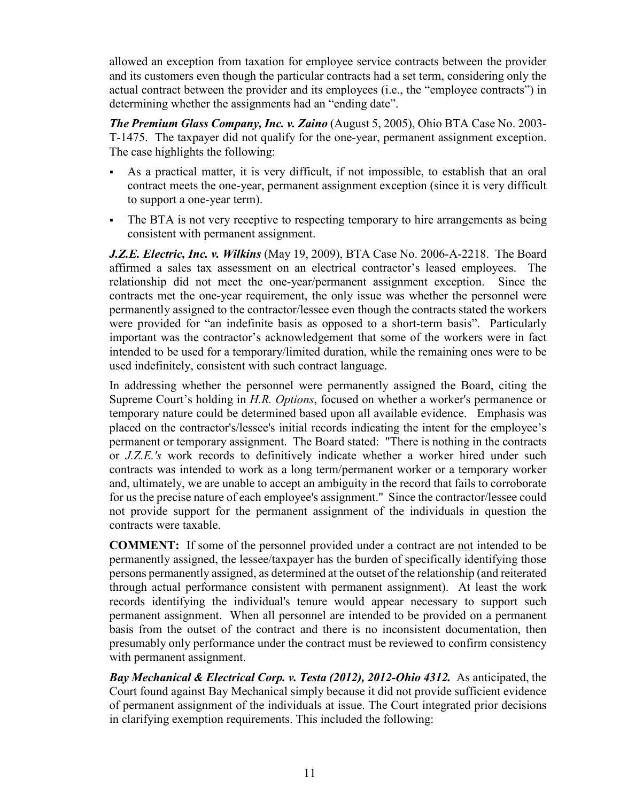allowed an exception from taxation for employee service contracts between the provider and its customers even though the particular contracts had a set term, considering only the actual contract between the provider and its employees (i.e., the "employee contracts") in determining whether the assignments had an "ending date".

*The Premium Glass Company, Inc. v. Zaino* (August 5, 2005), Ohio BTA Case No. 2003- T-1475. The taxpayer did not qualify for the one-year, permanent assignment exception. The case highlights the following:

- As a practical matter, it is very difficult, if not impossible, to establish that an oral contract meets the one-year, permanent assignment exception (since it is very difficult to support a one-year term).
- The BTA is not very receptive to respecting temporary to hire arrangements as being consistent with permanent assignment.

*J.Z.E. Electric, Inc. v. Wilkins* (May 19, 2009), BTA Case No. 2006-A-2218. The Board affirmed a sales tax assessment on an electrical contractor's leased employees. The relationship did not meet the one-year/permanent assignment exception. Since the contracts met the one-year requirement, the only issue was whether the personnel were permanently assigned to the contractor/lessee even though the contracts stated the workers were provided for "an indefinite basis as opposed to a short-term basis". Particularly important was the contractor's acknowledgement that some of the workers were in fact intended to be used for a temporary/limited duration, while the remaining ones were to be used indefinitely, consistent with such contract language.

In addressing whether the personnel were permanently assigned the Board, citing the Supreme Court's holding in *H.R. Options*, focused on whether a worker's permanence or temporary nature could be determined based upon all available evidence. Emphasis was placed on the contractor's/lessee's initial records indicating the intent for the employee's permanent or temporary assignment. The Board stated: "There is nothing in the contracts or *J.Z.E.'s* work records to definitively indicate whether a worker hired under such contracts was intended to work as a long term/permanent worker or a temporary worker and, ultimately, we are unable to accept an ambiguity in the record that fails to corroborate for us the precise nature of each employee's assignment." Since the contractor/lessee could not provide support for the permanent assignment of the individuals in question the contracts were taxable.

**COMMENT:** If some of the personnel provided under a contract are not intended to be permanently assigned, the lessee/taxpayer has the burden of specifically identifying those persons permanently assigned, as determined at the outset of the relationship (and reiterated through actual performance consistent with permanent assignment). At least the work records identifying the individual's tenure would appear necessary to support such permanent assignment. When all personnel are intended to be provided on a permanent basis from the outset of the contract and there is no inconsistent documentation, then presumably only performance under the contract must be reviewed to confirm consistency with permanent assignment.

*Bay Mechanical & Electrical Corp. v. Testa (2012), 2012-Ohio 4312.* As anticipated, the Court found against Bay Mechanical simply because it did not provide sufficient evidence of permanent assignment of the individuals at issue. The Court integrated prior decisions in clarifying exemption requirements. This included the following: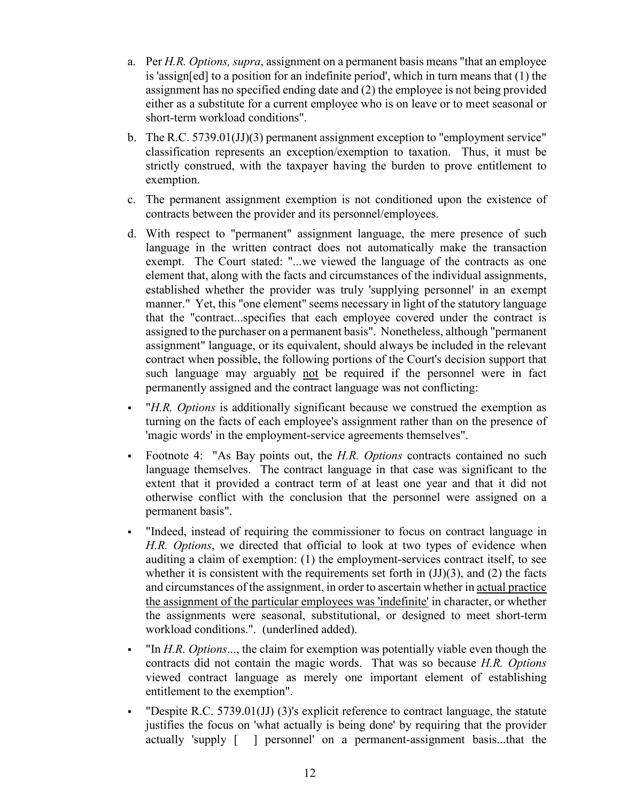- a. Per *H.R. Options, supra*, assignment on a permanent basis means "that an employee is 'assign[ed] to a position for an indefinite period', which in turn means that (1) the assignment has no specified ending date and (2) the employee is not being provided either as a substitute for a current employee who is on leave or to meet seasonal or short-term workload conditions".
- b. The R.C. 5739.01(JJ)(3) permanent assignment exception to "employment service" classification represents an exception/exemption to taxation. Thus, it must be strictly construed, with the taxpayer having the burden to prove entitlement to exemption.
- c. The permanent assignment exemption is not conditioned upon the existence of contracts between the provider and its personnel/employees.
- d. With respect to "permanent" assignment language, the mere presence of such language in the written contract does not automatically make the transaction exempt. The Court stated: "...we viewed the language of the contracts as one element that, along with the facts and circumstances of the individual assignments, established whether the provider was truly 'supplying personnel' in an exempt manner." Yet, this "one element" seems necessary in light of the statutory language that the "contract...specifies that each employee covered under the contract is assigned to the purchaser on a permanent basis". Nonetheless, although "permanent assignment" language, or its equivalent, should always be included in the relevant contract when possible, the following portions of the Court's decision support that such language may arguably not be required if the personnel were in fact permanently assigned and the contract language was not conflicting:
- "*H.R. Options* is additionally significant because we construed the exemption as turning on the facts of each employee's assignment rather than on the presence of 'magic words' in the employment-service agreements themselves".
- Footnote 4: "As Bay points out, the *H.R. Options* contracts contained no such language themselves. The contract language in that case was significant to the extent that it provided a contract term of at least one year and that it did not otherwise conflict with the conclusion that the personnel were assigned on a permanent basis".
- "Indeed, instead of requiring the commissioner to focus on contract language in *H.R. Options*, we directed that official to look at two types of evidence when auditing a claim of exemption: (1) the employment-services contract itself, to see whether it is consistent with the requirements set forth in  $(JJ)(3)$ , and  $(2)$  the facts and circumstances of the assignment, in order to ascertain whether in actual practice the assignment of the particular employees was 'indefinite' in character, or whether the assignments were seasonal, substitutional, or designed to meet short-term workload conditions.". (underlined added).
- "In *H.R. Options*..., the claim for exemption was potentially viable even though the contracts did not contain the magic words. That was so because *H.R. Options* viewed contract language as merely one important element of establishing entitlement to the exemption".
- " Despite R.C.  $5739.01(JJ)$  (3)'s explicit reference to contract language, the statute justifies the focus on 'what actually is being done' by requiring that the provider actually 'supply [ ] personnel' on a permanent-assignment basis...that the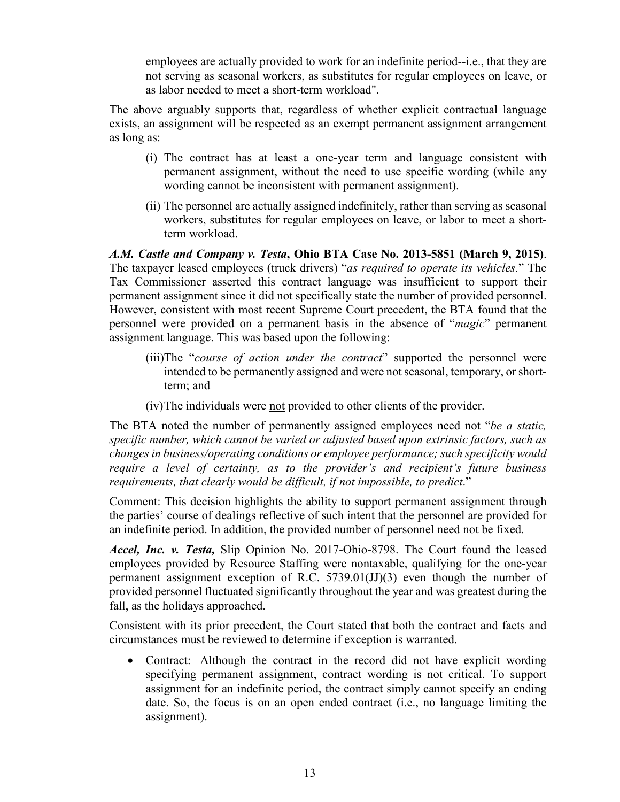employees are actually provided to work for an indefinite period--i.e., that they are not serving as seasonal workers, as substitutes for regular employees on leave, or as labor needed to meet a short-term workload".

The above arguably supports that, regardless of whether explicit contractual language exists, an assignment will be respected as an exempt permanent assignment arrangement as long as:

- (i) The contract has at least a one-year term and language consistent with permanent assignment, without the need to use specific wording (while any wording cannot be inconsistent with permanent assignment).
- (ii) The personnel are actually assigned indefinitely, rather than serving as seasonal workers, substitutes for regular employees on leave, or labor to meet a shortterm workload.

*A.M. Castle and Company v. Testa***[, Ohio BTA Case No. 2013-5851 \(March 9, 2015\)](http://ttrus.com/sites/default/files/oh/OH_Board_of_Tax_Appeals_2015-03-09.pdf)**. The taxpayer leased employees (truck drivers) "*as required to operate its vehicles.*" The [Tax Commissioner](http://www.tax.ohio.gov/communications/tax_commissioner_bio.aspx) asserted this contract language was insufficient to support their permanent assignment since it did not specifically state the number of provided personnel. However, consistent with most recent Supreme Court [precedent,](https://www.sconet.state.oh.us/ROD/docs/pdf/0/2012/2012-Ohio-4312.pdf) the [BTA](http://bta.ohio.gov/) found that the personnel were provided on a permanent basis in the absence of "*magic*" permanent assignment language. This was based upon the following:

- (iii)The "*course of action under the contract*" supported the personnel were intended to be permanently assigned and were not seasonal, temporary, or shortterm; and
- (iv)The individuals were not provided to other clients of the provider.

The [BTA](http://bta.ohio.gov/) noted the number of permanently assigned employees need not "*be a static, specific number, which cannot be varied or adjusted based upon extrinsic factors, such as changes in business/operating conditions or employee performance; such specificity would require a level of certainty, as to the provider's and recipient's future business requirements, that clearly would be difficult, if not impossible, to predict*."

Comment: This decision highlights the ability to support permanent assignment through the parties' course of dealings reflective of such intent that the personnel are provided for an indefinite period. In addition, the provided number of personnel need not be fixed.

*Accel, Inc. v. Testa,* Slip Opinion No. 2017-Ohio-8798. The Court found the leased employees provided by Resource Staffing were nontaxable, qualifying for the one-year permanent assignment exception of R.C. 5739.01(JJ)(3) even though the number of provided personnel fluctuated significantly throughout the year and was greatest during the fall, as the holidays approached.

Consistent with its prior precedent, the Court stated that both the contract and facts and circumstances must be reviewed to determine if exception is warranted.

• Contract: Although the contract in the record did not have explicit wording specifying permanent assignment, contract wording is not critical. To support assignment for an indefinite period, the contract simply cannot specify an ending date. So, the focus is on an open ended contract (i.e., no language limiting the assignment).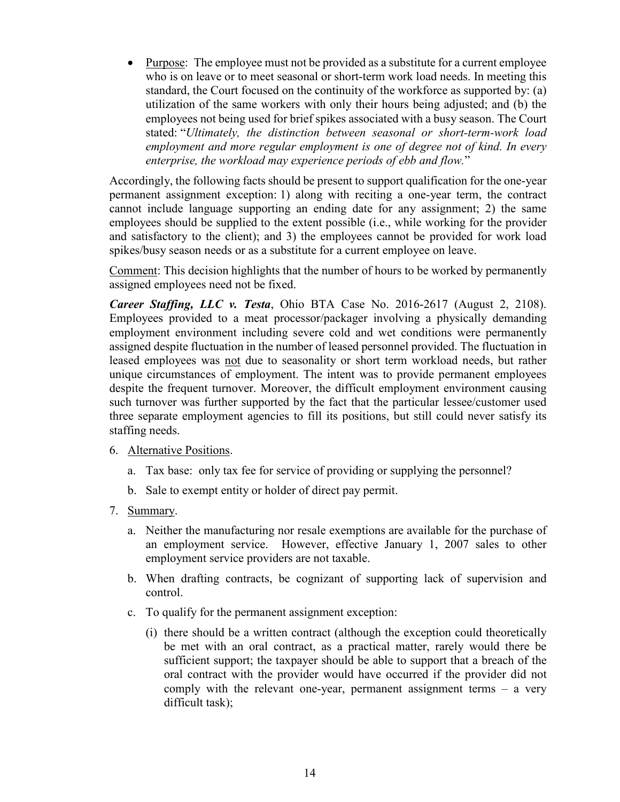• Purpose: The employee must not be provided as a substitute for a current employee who is on leave or to meet seasonal or short-term work load needs. In meeting this standard, the Court focused on the continuity of the workforce as supported by: (a) utilization of the same workers with only their hours being adjusted; and (b) the employees not being used for brief spikes associated with a busy season. The Court stated: "*Ultimately, the distinction between seasonal or short-term-work load employment and more regular employment is one of degree not of kind. In every enterprise, the workload may experience periods of ebb and flow.*"

Accordingly, the following facts should be present to support qualification for the one-year permanent assignment exception: 1) along with reciting a one-year term, the contract cannot include language supporting an ending date for any assignment; 2) the same employees should be supplied to the extent possible (i.e., while working for the provider and satisfactory to the client); and 3) the employees cannot be provided for work load spikes/busy season needs or as a substitute for a current employee on leave.

Comment: This decision highlights that the number of hours to be worked by permanently assigned employees need not be fixed.

*Career Staffing, LLC v. Testa*, Ohio BTA Case No. 2016-2617 (August 2, 2108). Employees provided to a meat processor/packager involving a physically demanding employment environment including severe cold and wet conditions were permanently assigned despite fluctuation in the number of leased personnel provided. The fluctuation in leased employees was not due to seasonality or short term workload needs, but rather unique circumstances of employment. The intent was to provide permanent employees despite the frequent turnover. Moreover, the difficult employment environment causing such turnover was further supported by the fact that the particular lessee/customer used three separate employment agencies to fill its positions, but still could never satisfy its staffing needs.

- 6. Alternative Positions.
	- a. Tax base: only tax fee for service of providing or supplying the personnel?
	- b. Sale to exempt entity or holder of direct pay permit.
- 7. Summary.
	- a. Neither the manufacturing nor resale exemptions are available for the purchase of an employment service. However, effective January 1, 2007 sales to other employment service providers are not taxable.
	- b. When drafting contracts, be cognizant of supporting lack of supervision and control.
	- c. To qualify for the permanent assignment exception:
		- (i) there should be a written contract (although the exception could theoretically be met with an oral contract, as a practical matter, rarely would there be sufficient support; the taxpayer should be able to support that a breach of the oral contract with the provider would have occurred if the provider did not comply with the relevant one-year, permanent assignment terms – a very difficult task);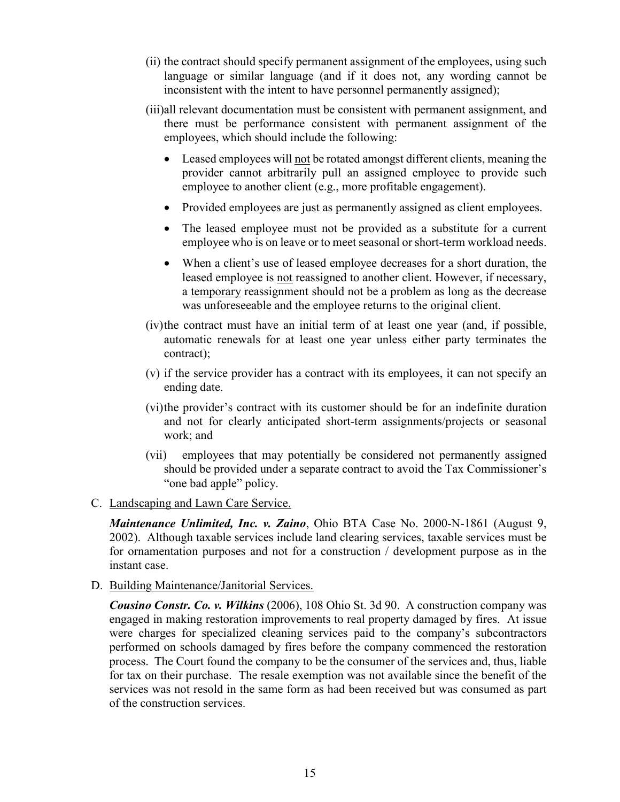- (ii) the contract should specify permanent assignment of the employees, using such language or similar language (and if it does not, any wording cannot be inconsistent with the intent to have personnel permanently assigned);
- (iii)all relevant documentation must be consistent with permanent assignment, and there must be performance consistent with permanent assignment of the employees, which should include the following:
	- Leased employees will not be rotated amongst different clients, meaning the provider cannot arbitrarily pull an assigned employee to provide such employee to another client (e.g., more profitable engagement).
	- Provided employees are just as permanently assigned as client employees.
	- The leased employee must not be provided as a substitute for a current employee who is on leave or to meet seasonal or short-term workload needs.
	- When a client's use of leased employee decreases for a short duration, the leased employee is not reassigned to another client. However, if necessary, a temporary reassignment should not be a problem as long as the decrease was unforeseeable and the employee returns to the original client.
- (iv)the contract must have an initial term of at least one year (and, if possible, automatic renewals for at least one year unless either party terminates the contract);
- (v) if the service provider has a contract with its employees, it can not specify an ending date.
- (vi)the provider's contract with its customer should be for an indefinite duration and not for clearly anticipated short-term assignments/projects or seasonal work; and
- (vii) employees that may potentially be considered not permanently assigned should be provided under a separate contract to avoid the Tax Commissioner's "one bad apple" policy.
- C. Landscaping and Lawn Care Service.

*Maintenance Unlimited, Inc. v. Zaino*, Ohio BTA Case No. 2000-N-1861 (August 9, 2002). Although taxable services include land clearing services, taxable services must be for ornamentation purposes and not for a construction / development purpose as in the instant case.

D. Building Maintenance/Janitorial Services.

*Cousino Constr. Co. v. Wilkins* (2006), 108 Ohio St. 3d 90. A construction company was engaged in making restoration improvements to real property damaged by fires. At issue were charges for specialized cleaning services paid to the company's subcontractors performed on schools damaged by fires before the company commenced the restoration process. The Court found the company to be the consumer of the services and, thus, liable for tax on their purchase. The resale exemption was not available since the benefit of the services was not resold in the same form as had been received but was consumed as part of the construction services.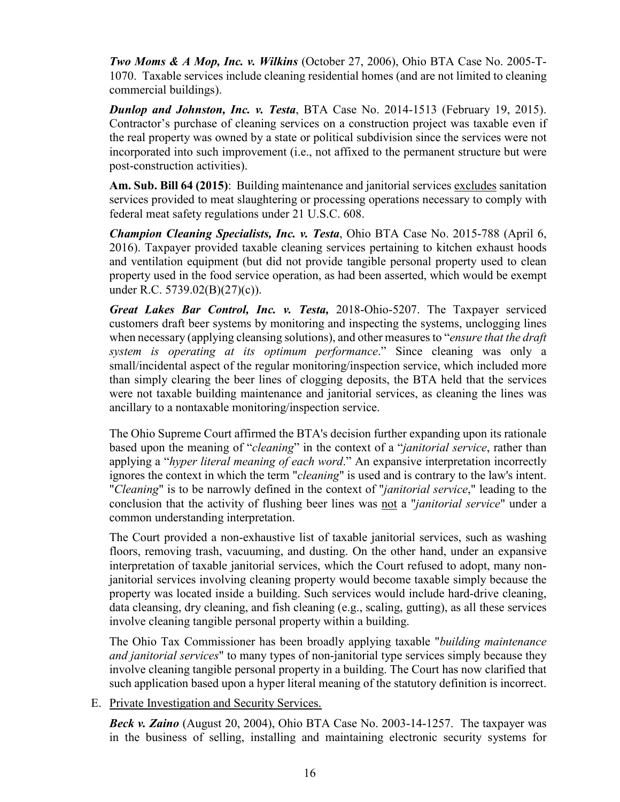*Two Moms & A Mop, Inc. v. Wilkins* (October 27, 2006), Ohio BTA Case No. 2005-T-1070. Taxable services include cleaning residential homes (and are not limited to cleaning commercial buildings).

*Dunlop and Johnston, Inc. v. Testa*, BTA Case No. 2014-1513 (February 19, 2015). Contractor's purchase of cleaning services on a construction project was taxable even if the real property was owned by a state or political subdivision since the services were not incorporated into such improvement (i.e., not affixed to the permanent structure but were post-construction activities).

**Am. Sub. Bill 64 (2015)**: Building maintenance and janitorial services excludes sanitation services provided to meat slaughtering or processing operations necessary to comply with federal meat safety regulations under 21 U.S.C. 608.

*Champion Cleaning Specialists, Inc. v. Testa*, Ohio BTA Case No. 2015-788 (April 6, 2016). Taxpayer provided taxable cleaning services pertaining to kitchen exhaust hoods and ventilation equipment (but did not provide tangible personal property used to clean property used in the food service operation, as had been asserted, which would be exempt under R.C. 5739.02(B)(27)(c)).

*Great Lakes Bar Control, Inc. v. Testa,* 2018-Ohio-5207. The Taxpayer serviced customers draft beer systems by monitoring and inspecting the systems, unclogging lines when necessary (applying cleansing solutions), and other measures to "*ensure that the draft system is operating at its optimum performance*." Since cleaning was only a small/incidental aspect of the regular monitoring/inspection service, which included more than simply clearing the beer lines of clogging deposits, the BTA held that the services were not taxable building maintenance and janitorial services, as cleaning the lines was ancillary to a nontaxable monitoring/inspection service.

The Ohio Supreme Court affirmed the BTA's decision further expanding upon its rationale based upon the meaning of "*cleaning*" in the context of a "*janitorial service*, rather than applying a "*hyper literal meaning of each word*." An expansive interpretation incorrectly ignores the context in which the term "*cleaning*" is used and is contrary to the law's intent. "*Cleaning*" is to be narrowly defined in the context of "*janitorial service*," leading to the conclusion that the activity of flushing beer lines was not a "*janitorial service*" under a common understanding interpretation.

The Court provided a non-exhaustive list of taxable janitorial services, such as washing floors, removing trash, vacuuming, and dusting. On the other hand, under an expansive interpretation of taxable janitorial services, which the Court refused to adopt, many nonjanitorial services involving cleaning property would become taxable simply because the property was located inside a building. Such services would include hard-drive cleaning, data cleansing, dry cleaning, and fish cleaning (e.g., scaling, gutting), as all these services involve cleaning tangible personal property within a building.

The Ohio Tax Commissioner has been broadly applying taxable "*building maintenance and janitorial services*" to many types of non-janitorial type services simply because they involve cleaning tangible personal property in a building. The Court has now clarified that such application based upon a hyper literal meaning of the statutory definition is incorrect.

E. Private Investigation and Security Services.

*Beck v. Zaino* (August 20, 2004), Ohio BTA Case No. 2003-14-1257. The taxpayer was in the business of selling, installing and maintaining electronic security systems for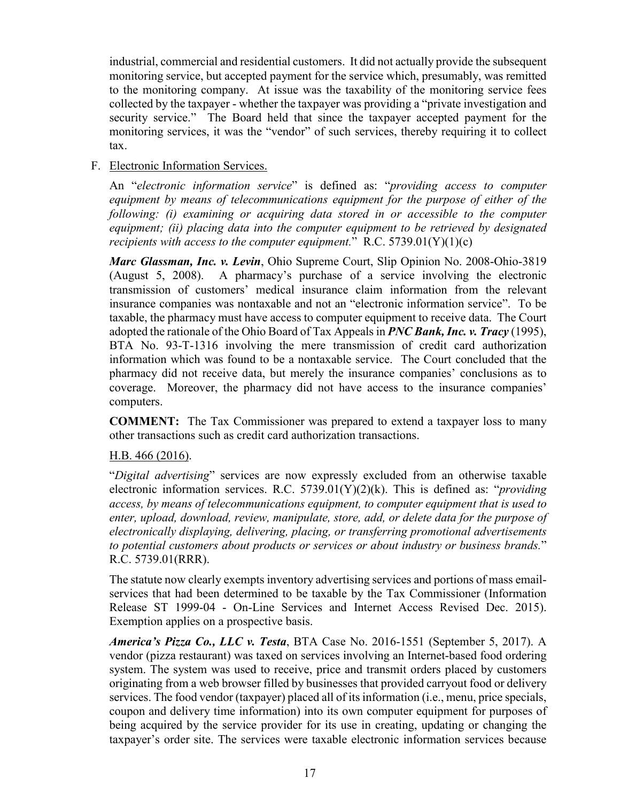industrial, commercial and residential customers. It did not actually provide the subsequent monitoring service, but accepted payment for the service which, presumably, was remitted to the monitoring company. At issue was the taxability of the monitoring service fees collected by the taxpayer - whether the taxpayer was providing a "private investigation and security service." The Board held that since the taxpayer accepted payment for the monitoring services, it was the "vendor" of such services, thereby requiring it to collect tax.

#### F. Electronic Information Services.

An "*electronic information service*" is defined as: "*providing access to computer equipment by means of telecommunications equipment for the purpose of either of the following: (i) examining or acquiring data stored in or accessible to the computer equipment; (ii) placing data into the computer equipment to be retrieved by designated recipients with access to the computer equipment.*" R.C. 5739.01(Y)(1)(c)

*Marc Glassman, Inc. v. Levin*, Ohio Supreme Court, Slip Opinion No. 2008-Ohio-3819 (August 5, 2008). A pharmacy's purchase of a service involving the electronic transmission of customers' medical insurance claim information from the relevant insurance companies was nontaxable and not an "electronic information service". To be taxable, the pharmacy must have access to computer equipment to receive data. The Court adopted the rationale of the Ohio Board of Tax Appeals in *PNC Bank, Inc. v. Tracy* (1995), BTA No. 93-T-1316 involving the mere transmission of credit card authorization information which was found to be a nontaxable service. The Court concluded that the pharmacy did not receive data, but merely the insurance companies' conclusions as to coverage. Moreover, the pharmacy did not have access to the insurance companies' computers.

**COMMENT:** The Tax Commissioner was prepared to extend a taxpayer loss to many other transactions such as credit card authorization transactions.

#### H.B. 466 (2016).

"*Digital advertising*" services are now expressly excluded from an otherwise taxable electronic information services. R.C. 5739.01(Y)(2)(k). This is defined as: "*providing access, by means of telecommunications equipment, to computer equipment that is used to enter, upload, download, review, manipulate, store, add, or delete data for the purpose of electronically displaying, delivering, placing, or transferring promotional advertisements to potential customers about products or services or about industry or business brands.*" R.C. 5739.01(RRR).

The statute now clearly exempts inventory advertising services and portions of mass emailservices that had been determined to be taxable by the Tax Commissioner (Information Release ST 1999-04 - On-Line Services and Internet Access Revised Dec. 2015). Exemption applies on a prospective basis.

*America's Pizza Co., LLC v. Testa*, BTA Case No. 2016-1551 (September 5, 2017). A vendor (pizza restaurant) was taxed on services involving an Internet-based food ordering system. The system was used to receive, price and transmit orders placed by customers originating from a web browser filled by businesses that provided carryout food or delivery services. The food vendor (taxpayer) placed all of its information (i.e., menu, price specials, coupon and delivery time information) into its own computer equipment for purposes of being acquired by the service provider for its use in creating, updating or changing the taxpayer's order site. The services were taxable electronic information services because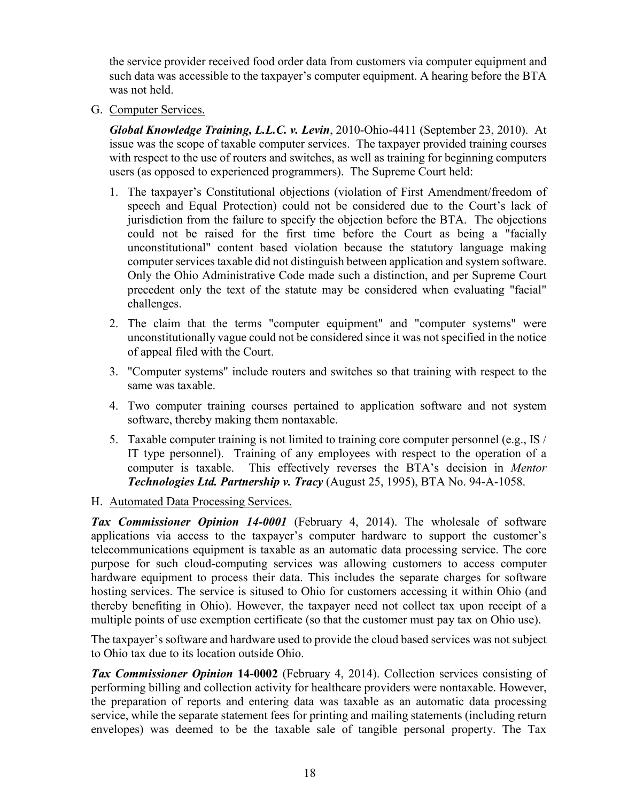the service provider received food order data from customers via computer equipment and such data was accessible to the taxpayer's computer equipment. A hearing before the BTA was not held.

G. Computer Services.

*Global Knowledge Training, L.L.C. v. Levin*, 2010-Ohio-4411 (September 23, 2010). At issue was the scope of taxable computer services. The taxpayer provided training courses with respect to the use of routers and switches, as well as training for beginning computers users (as opposed to experienced programmers). The Supreme Court held:

- 1. The taxpayer's Constitutional objections (violation of First Amendment/freedom of speech and Equal Protection) could not be considered due to the Court's lack of jurisdiction from the failure to specify the objection before the BTA. The objections could not be raised for the first time before the Court as being a "facially unconstitutional" content based violation because the statutory language making computer services taxable did not distinguish between application and system software. Only the Ohio Administrative Code made such a distinction, and per Supreme Court precedent only the text of the statute may be considered when evaluating "facial" challenges.
- 2. The claim that the terms "computer equipment" and "computer systems" were unconstitutionally vague could not be considered since it was not specified in the notice of appeal filed with the Court.
- 3. "Computer systems" include routers and switches so that training with respect to the same was taxable.
- 4. Two computer training courses pertained to application software and not system software, thereby making them nontaxable.
- 5. Taxable computer training is not limited to training core computer personnel (e.g., IS / IT type personnel). Training of any employees with respect to the operation of a computer is taxable. This effectively reverses the BTA's decision in *Mentor Technologies Ltd. Partnership v. Tracy* (August 25, 1995), BTA No. 94-A-1058.

#### H. Automated Data Processing Services.

*Tax Commissioner Opinion 14-0001* (February 4, 2014). The wholesale of software applications via access to the taxpayer's computer hardware to support the customer's telecommunications equipment is taxable as an automatic data processing service. The core purpose for such cloud-computing services was allowing customers to access computer hardware equipment to process their data. This includes the separate charges for software hosting services. The service is sitused to Ohio for customers accessing it within Ohio (and thereby benefiting in Ohio). However, the taxpayer need not collect tax upon receipt of a multiple points of use exemption certificate (so that the customer must pay tax on Ohio use).

The taxpayer's software and hardware used to provide the cloud based services was not subject to Ohio tax due to its location outside Ohio.

*Tax Commissioner Opinion* **14-0002** (February 4, 2014). Collection services consisting of performing billing and collection activity for healthcare providers were nontaxable. However, the preparation of reports and entering data was taxable as an automatic data processing service, while the separate statement fees for printing and mailing statements (including return envelopes) was deemed to be the taxable sale of tangible personal property. The Tax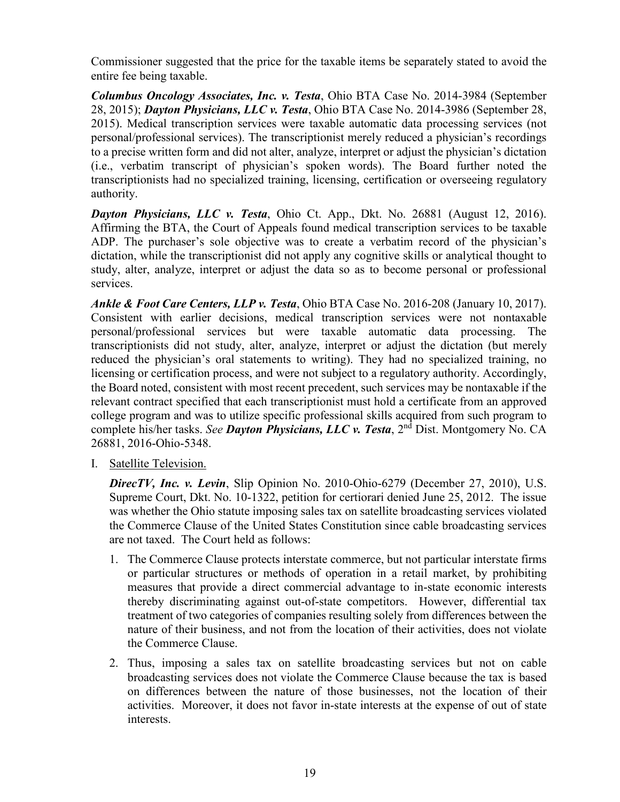Commissioner suggested that the price for the taxable items be separately stated to avoid the entire fee being taxable.

*Columbus Oncology Associates, Inc. v. Testa*, Ohio BTA Case No. 2014-3984 (September 28, 2015); *Dayton Physicians, LLC v. Testa*, Ohio BTA Case No. 2014-3986 (September 28, 2015). Medical transcription services were taxable automatic data processing services (not personal/professional services). The transcriptionist merely reduced a physician's recordings to a precise written form and did not alter, analyze, interpret or adjust the physician's dictation (i.e., verbatim transcript of physician's spoken words). The Board further noted the transcriptionists had no specialized training, licensing, certification or overseeing regulatory authority.

*Dayton Physicians, LLC v. Testa*, Ohio Ct. App., Dkt. No. 26881 (August 12, 2016). Affirming the BTA, the Court of Appeals found medical transcription services to be taxable ADP. The purchaser's sole objective was to create a verbatim record of the physician's dictation, while the transcriptionist did not apply any cognitive skills or analytical thought to study, alter, analyze, interpret or adjust the data so as to become personal or professional services.

*Ankle & Foot Care Centers, LLP v. Testa*, Ohio BTA Case No. 2016-208 (January 10, 2017). Consistent with earlier decisions, medical transcription services were not nontaxable personal/professional services but were taxable automatic data processing. The transcriptionists did not study, alter, analyze, interpret or adjust the dictation (but merely reduced the physician's oral statements to writing). They had no specialized training, no licensing or certification process, and were not subject to a regulatory authority. Accordingly, the Board noted, consistent with most recent precedent, such services may be nontaxable if the relevant contract specified that each transcriptionist must hold a certificate from an approved college program and was to utilize specific professional skills acquired from such program to complete his/her tasks. *See Dayton Physicians, LLC v. Testa*, 2nd Dist. Montgomery No. CA 26881, 2016-Ohio-5348.

I. Satellite Television.

*DirecTV, Inc. v. Levin*, Slip Opinion No. 2010-Ohio-6279 (December 27, 2010), U.S. Supreme Court, Dkt. No. 10-1322, petition for certiorari denied June 25, 2012. The issue was whether the Ohio statute imposing sales tax on satellite broadcasting services violated the Commerce Clause of the United States Constitution since cable broadcasting services are not taxed. The Court held as follows:

- 1. The Commerce Clause protects interstate commerce, but not particular interstate firms or particular structures or methods of operation in a retail market, by prohibiting measures that provide a direct commercial advantage to in-state economic interests thereby discriminating against out-of-state competitors. However, differential tax treatment of two categories of companies resulting solely from differences between the nature of their business, and not from the location of their activities, does not violate the Commerce Clause.
- 2. Thus, imposing a sales tax on satellite broadcasting services but not on cable broadcasting services does not violate the Commerce Clause because the tax is based on differences between the nature of those businesses, not the location of their activities. Moreover, it does not favor in-state interests at the expense of out of state interests.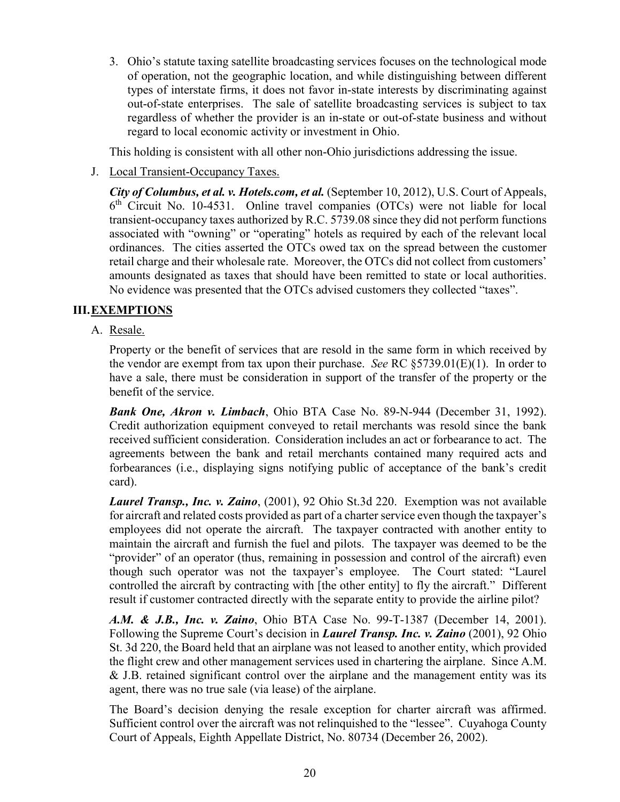3. Ohio's statute taxing satellite broadcasting services focuses on the technological mode of operation, not the geographic location, and while distinguishing between different types of interstate firms, it does not favor in-state interests by discriminating against out-of-state enterprises. The sale of satellite broadcasting services is subject to tax regardless of whether the provider is an in-state or out-of-state business and without regard to local economic activity or investment in Ohio.

This holding is consistent with all other non-Ohio jurisdictions addressing the issue.

J. Local Transient-Occupancy Taxes.

*City of Columbus, et al. v. Hotels.com, et al.* (September 10, 2012), U.S. Court of Appeals, 6th Circuit No. 10-4531. Online travel companies (OTCs) were not liable for local transient-occupancy taxes authorized by R.C. 5739.08 since they did not perform functions associated with "owning" or "operating" hotels as required by each of the relevant local ordinances. The cities asserted the OTCs owed tax on the spread between the customer retail charge and their wholesale rate. Moreover, the OTCs did not collect from customers' amounts designated as taxes that should have been remitted to state or local authorities. No evidence was presented that the OTCs advised customers they collected "taxes".

#### **III.EXEMPTIONS**

A. Resale.

Property or the benefit of services that are resold in the same form in which received by the vendor are exempt from tax upon their purchase. *See* RC §5739.01(E)(1). In order to have a sale, there must be consideration in support of the transfer of the property or the benefit of the service.

*Bank One, Akron v. Limbach*, Ohio BTA Case No. 89-N-944 (December 31, 1992). Credit authorization equipment conveyed to retail merchants was resold since the bank received sufficient consideration. Consideration includes an act or forbearance to act. The agreements between the bank and retail merchants contained many required acts and forbearances (i.e., displaying signs notifying public of acceptance of the bank's credit card).

*Laurel Transp., Inc. v. Zaino*, (2001), 92 Ohio St.3d 220. Exemption was not available for aircraft and related costs provided as part of a charter service even though the taxpayer's employees did not operate the aircraft. The taxpayer contracted with another entity to maintain the aircraft and furnish the fuel and pilots. The taxpayer was deemed to be the "provider" of an operator (thus, remaining in possession and control of the aircraft) even though such operator was not the taxpayer's employee. The Court stated: "Laurel controlled the aircraft by contracting with [the other entity] to fly the aircraft." Different result if customer contracted directly with the separate entity to provide the airline pilot?

*A.M. & J.B., Inc. v. Zaino*, Ohio BTA Case No. 99-T-1387 (December 14, 2001). Following the Supreme Court's decision in *Laurel Transp. Inc. v. Zaino* (2001), 92 Ohio St. 3d 220, the Board held that an airplane was not leased to another entity, which provided the flight crew and other management services used in chartering the airplane. Since A.M. & J.B. retained significant control over the airplane and the management entity was its agent, there was no true sale (via lease) of the airplane.

The Board's decision denying the resale exception for charter aircraft was affirmed. Sufficient control over the aircraft was not relinquished to the "lessee". Cuyahoga County Court of Appeals, Eighth Appellate District, No. 80734 (December 26, 2002).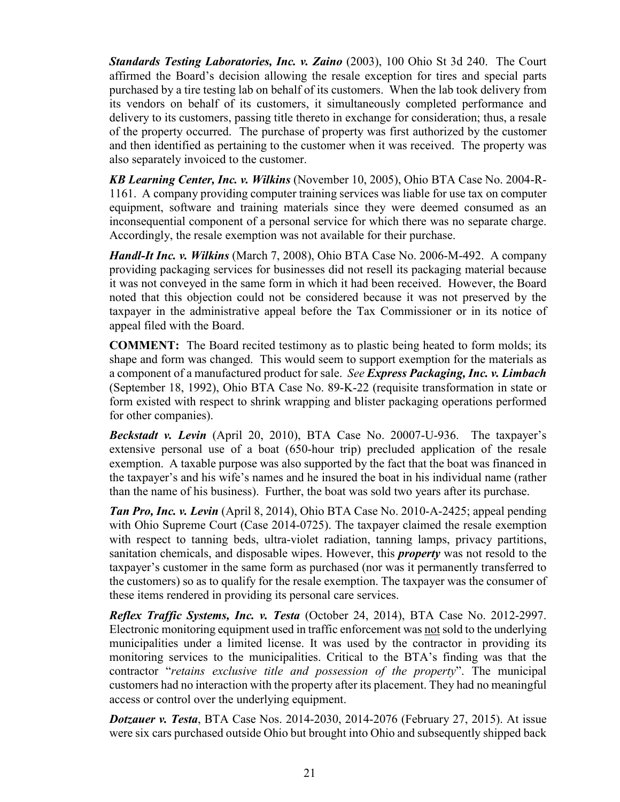*Standards Testing Laboratories, Inc. v. Zaino* (2003), 100 Ohio St 3d 240. The Court affirmed the Board's decision allowing the resale exception for tires and special parts purchased by a tire testing lab on behalf of its customers. When the lab took delivery from its vendors on behalf of its customers, it simultaneously completed performance and delivery to its customers, passing title thereto in exchange for consideration; thus, a resale of the property occurred. The purchase of property was first authorized by the customer and then identified as pertaining to the customer when it was received. The property was also separately invoiced to the customer.

*KB Learning Center, Inc. v. Wilkins* (November 10, 2005), Ohio BTA Case No. 2004-R-1161. A company providing computer training services was liable for use tax on computer equipment, software and training materials since they were deemed consumed as an inconsequential component of a personal service for which there was no separate charge. Accordingly, the resale exemption was not available for their purchase.

*Handl-It Inc. v. Wilkins* (March 7, 2008), Ohio BTA Case No. 2006-M-492. A company providing packaging services for businesses did not resell its packaging material because it was not conveyed in the same form in which it had been received. However, the Board noted that this objection could not be considered because it was not preserved by the taxpayer in the administrative appeal before the Tax Commissioner or in its notice of appeal filed with the Board.

**COMMENT:** The Board recited testimony as to plastic being heated to form molds; its shape and form was changed. This would seem to support exemption for the materials as a component of a manufactured product for sale. *See Express Packaging, Inc. v. Limbach* (September 18, 1992), Ohio BTA Case No. 89-K-22 (requisite transformation in state or form existed with respect to shrink wrapping and blister packaging operations performed for other companies).

*Beckstadt v. Levin* (April 20, 2010), BTA Case No. 20007-U-936. The taxpayer's extensive personal use of a boat (650-hour trip) precluded application of the resale exemption. A taxable purpose was also supported by the fact that the boat was financed in the taxpayer's and his wife's names and he insured the boat in his individual name (rather than the name of his business). Further, the boat was sold two years after its purchase.

*Tan Pro, Inc. v. Levin* (April 8, 2014), Ohio BTA Case No. 2010-A-2425; appeal pending with Ohio Supreme Court (Case 2014-0725). The taxpayer claimed the resale exemption with respect to tanning beds, ultra-violet radiation, tanning lamps, privacy partitions, sanitation chemicals, and disposable wipes. However, this *property* was not resold to the taxpayer's customer in the same form as purchased (nor was it permanently transferred to the customers) so as to qualify for the resale exemption. The taxpayer was the consumer of these items rendered in providing its personal care services.

*Reflex Traffic Systems, Inc. v. Testa* (October 24, 2014), BTA Case No. 2012-2997. Electronic monitoring equipment used in traffic enforcement was not sold to the underlying municipalities under a limited license. It was used by the contractor in providing its monitoring services to the municipalities. Critical to the BTA's finding was that the contractor "*retains exclusive title and possession of the property*". The municipal customers had no interaction with the property after its placement. They had no meaningful access or control over the underlying equipment.

*Dotzauer v. Testa*[, BTA Case Nos. 2014-2030, 2014-2076 \(February 27, 2015\).](https://ohio-bta.modria.com/casedetails/500313) At issue were six cars purchased outside Ohio but brought into Ohio and subsequently shipped back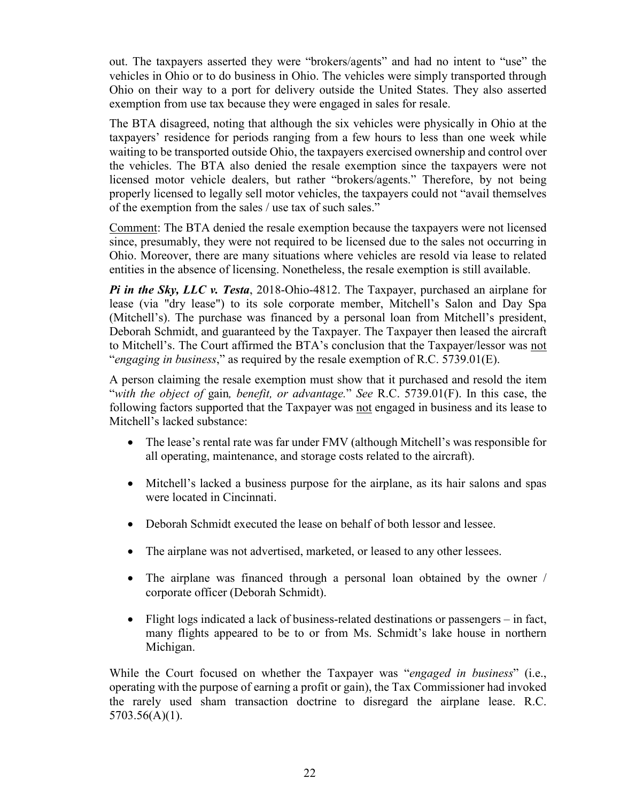out. The taxpayers asserted they were "brokers/agents" and had no intent to "use" the vehicles in Ohio or to do business in Ohio. The vehicles were simply transported through Ohio on their way to a port for delivery outside the United States. They also asserted exemption from use tax because they were engaged in sales for resale.

The [BTA](http://bta.ohio.gov/) disagreed, noting that although the six vehicles were physically in Ohio at the taxpayers' residence for periods ranging from a few hours to less than one week while waiting to be transported outside Ohio, the taxpayers exercised ownership and control over the vehicles. The [BTA](http://bta.ohio.gov/) also denied the resale exemption since the taxpayers were not licensed motor vehicle dealers, but rather "brokers/agents." Therefore, by not being properly licensed to legally sell motor vehicles, the taxpayers could not "avail themselves of the exemption from the sales / use tax of such sales."

Comment: The [BTA](http://bta.ohio.gov/) denied the resale exemption because the taxpayers were not licensed since, presumably, they were not required to be licensed due to the sales not occurring in Ohio. Moreover, there are many situations where vehicles are resold via lease to related entities in the absence of licensing. Nonetheless, the resale exemption is still available.

*Pi in the Sky, LLC v. Testa*, 2018-Ohio-4812. The Taxpayer, purchased an airplane for lease (via "dry lease") to its sole corporate member, Mitchell's Salon and Day Spa (Mitchell's). The purchase was financed by a personal loan from Mitchell's president, Deborah Schmidt, and guaranteed by the Taxpayer. The Taxpayer then leased the aircraft to Mitchell's. The Court affirmed the BTA's conclusion that the Taxpayer/lessor was not "*engaging in business*," as required by the resale exemption of R.C. 5739.01(E).

A person claiming the resale exemption must show that it purchased and resold the item "*with the object of* gain*, benefit, or advantage.*" *See* R.C. [5739.01\(F\).](http://codes.ohio.gov/orc/5739.01) In this case, the following factors supported that the Taxpayer was not engaged in business and its lease to Mitchell's lacked substance:

- The lease's rental rate was far under FMV (although Mitchell's was responsible for all operating, maintenance, and storage costs related to the aircraft).
- Mitchell's lacked a business purpose for the airplane, as its hair salons and spas were located in Cincinnati.
- Deborah Schmidt executed the lease on behalf of both lessor and lessee.
- The airplane was not advertised, marketed, or leased to any other lessees.
- The airplane was financed through a personal loan obtained by the owner / corporate officer (Deborah Schmidt).
- Flight logs indicated a lack of business-related destinations or passengers in fact, many flights appeared to be to or from Ms. Schmidt's lake house in northern Michigan.

While the Court focused on whether the Taxpayer was "*engaged in business*" (i.e., operating with the purpose of earning a profit or gain), the Tax Commissioner had invoked the rarely used sham transaction doctrine to disregard the airplane lease. R.C. 5703.56(A)(1).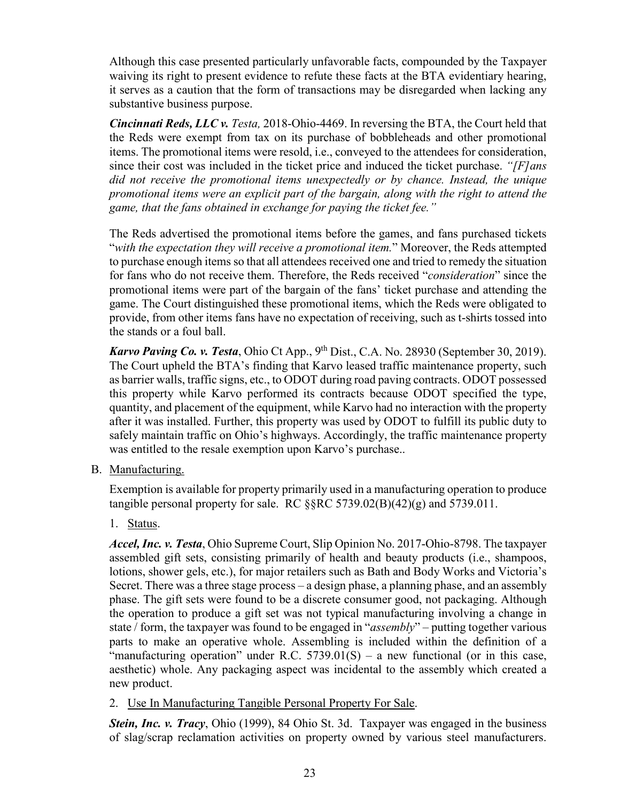Although this case presented particularly unfavorable facts, compounded by the Taxpayer waiving its right to present evidence to refute these facts at the BTA evidentiary hearing, it serves as a caution that the form of transactions may be disregarded when lacking any substantive business purpose.

*Cincinnati Reds, LLC v. Testa,* 2018-Ohio-4469. In reversing the BTA, the Court held that the Reds were exempt from tax on its purchase of bobbleheads and other promotional items. The promotional items were resold, i.e., conveyed to the attendees for consideration, since their cost was included in the ticket price and induced the ticket purchase. *"[F]ans did not receive the promotional items unexpectedly or by chance. Instead, the unique promotional items were an explicit part of the bargain, along with the right to attend the game, that the fans obtained in exchange for paying the ticket fee."*

The Reds advertised the promotional items before the games, and fans purchased tickets "*with the expectation they will receive a promotional item.*" Moreover, the Reds attempted to purchase enough items so that all attendees received one and tried to remedy the situation for fans who do not receive them. Therefore, the Reds received "*consideration*" since the promotional items were part of the bargain of the fans' ticket purchase and attending the game. The Court distinguished these promotional items, which the Reds were obligated to provide, from other items fans have no expectation of receiving, such as t-shirts tossed into the stands or a foul ball.

*Karvo Paving Co. v. Testa*, Ohio Ct App., 9<sup>th</sup> Dist., C.A. No. 28930 (September 30, 2019). The Court upheld the BTA's finding that Karvo leased traffic maintenance property, such as barrier walls, traffic signs, etc., to ODOT during road paving contracts. ODOT possessed this property while Karvo performed its contracts because ODOT specified the type, quantity, and placement of the equipment, while Karvo had no interaction with the property after it was installed. Further, this property was used by ODOT to fulfill its public duty to safely maintain traffic on Ohio's highways. Accordingly, the traffic maintenance property was entitled to the resale exemption upon Karvo's purchase..

B. Manufacturing.

Exemption is available for property primarily used in a manufacturing operation to produce tangible personal property for sale. RC  $\S$ RC 5739.02(B)(42)(g) and 5739.011.

1. Status.

*Accel, Inc. v. Testa*, Ohio Supreme Court, Slip Opinion No. 2017-Ohio-8798. The taxpayer assembled gift sets, consisting primarily of health and beauty products (i.e., shampoos, lotions, shower gels, etc.), for major retailers such as Bath and Body Works and Victoria's Secret. There was a three stage process – a design phase, a planning phase, and an assembly phase. The gift sets were found to be a discrete consumer good, not packaging. Although the operation to produce a gift set was not typical manufacturing involving a change in state / form, the taxpayer was found to be engaged in "*assembly*" – putting together various parts to make an operative whole. Assembling is included within the definition of a "manufacturing operation" under R.C.  $5739.01(S)$  – a new functional (or in this case, aesthetic) whole. Any packaging aspect was incidental to the assembly which created a new product.

2. Use In Manufacturing Tangible Personal Property For Sale.

*Stein, Inc. v. Tracy*, Ohio (1999), 84 Ohio St. 3d. Taxpayer was engaged in the business of slag/scrap reclamation activities on property owned by various steel manufacturers.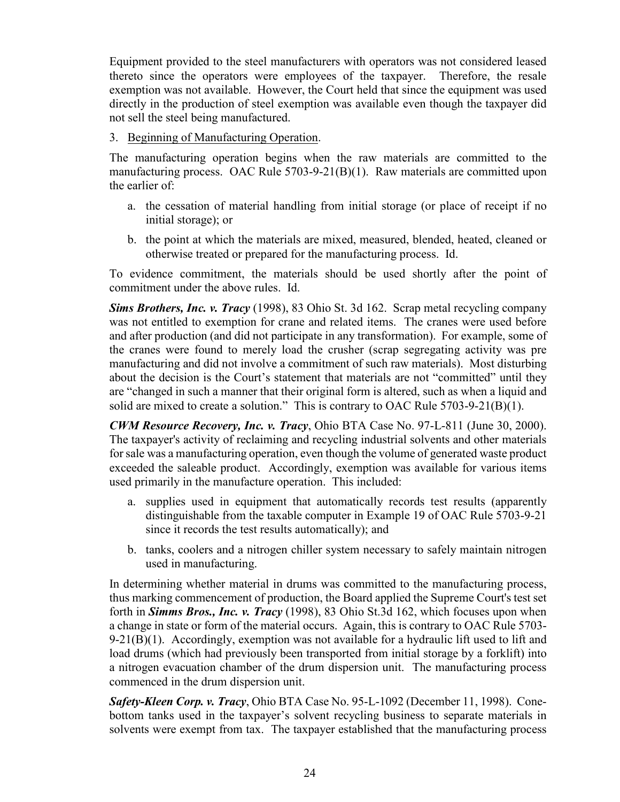Equipment provided to the steel manufacturers with operators was not considered leased thereto since the operators were employees of the taxpayer. Therefore, the resale exemption was not available. However, the Court held that since the equipment was used directly in the production of steel exemption was available even though the taxpayer did not sell the steel being manufactured.

3. Beginning of Manufacturing Operation.

The manufacturing operation begins when the raw materials are committed to the manufacturing process. OAC Rule 5703-9-21(B)(1). Raw materials are committed upon the earlier of:

- a. the cessation of material handling from initial storage (or place of receipt if no initial storage); or
- b. the point at which the materials are mixed, measured, blended, heated, cleaned or otherwise treated or prepared for the manufacturing process. Id.

To evidence commitment, the materials should be used shortly after the point of commitment under the above rules. Id.

*Sims Brothers, Inc. v. Tracy* (1998), 83 Ohio St. 3d 162. Scrap metal recycling company was not entitled to exemption for crane and related items. The cranes were used before and after production (and did not participate in any transformation). For example, some of the cranes were found to merely load the crusher (scrap segregating activity was pre manufacturing and did not involve a commitment of such raw materials). Most disturbing about the decision is the Court's statement that materials are not "committed" until they are "changed in such a manner that their original form is altered, such as when a liquid and solid are mixed to create a solution." This is contrary to OAC Rule  $5703-9-21(B)(1)$ .

*CWM Resource Recovery, Inc. v. Tracy*, Ohio BTA Case No. 97-L-811 (June 30, 2000). The taxpayer's activity of reclaiming and recycling industrial solvents and other materials for sale was a manufacturing operation, even though the volume of generated waste product exceeded the saleable product. Accordingly, exemption was available for various items used primarily in the manufacture operation. This included:

- a. supplies used in equipment that automatically records test results (apparently distinguishable from the taxable computer in Example 19 of OAC Rule 5703-9-21 since it records the test results automatically); and
- b. tanks, coolers and a nitrogen chiller system necessary to safely maintain nitrogen used in manufacturing.

In determining whether material in drums was committed to the manufacturing process, thus marking commencement of production, the Board applied the Supreme Court's test set forth in *Simms Bros., Inc. v. Tracy* (1998), 83 Ohio St.3d 162, which focuses upon when a change in state or form of the material occurs. Again, this is contrary to OAC Rule 5703-  $9-21(B)(1)$ . Accordingly, exemption was not available for a hydraulic lift used to lift and load drums (which had previously been transported from initial storage by a forklift) into a nitrogen evacuation chamber of the drum dispersion unit. The manufacturing process commenced in the drum dispersion unit.

*Safety-Kleen Corp. v. Tracy*, Ohio BTA Case No. 95-L-1092 (December 11, 1998). Conebottom tanks used in the taxpayer's solvent recycling business to separate materials in solvents were exempt from tax. The taxpayer established that the manufacturing process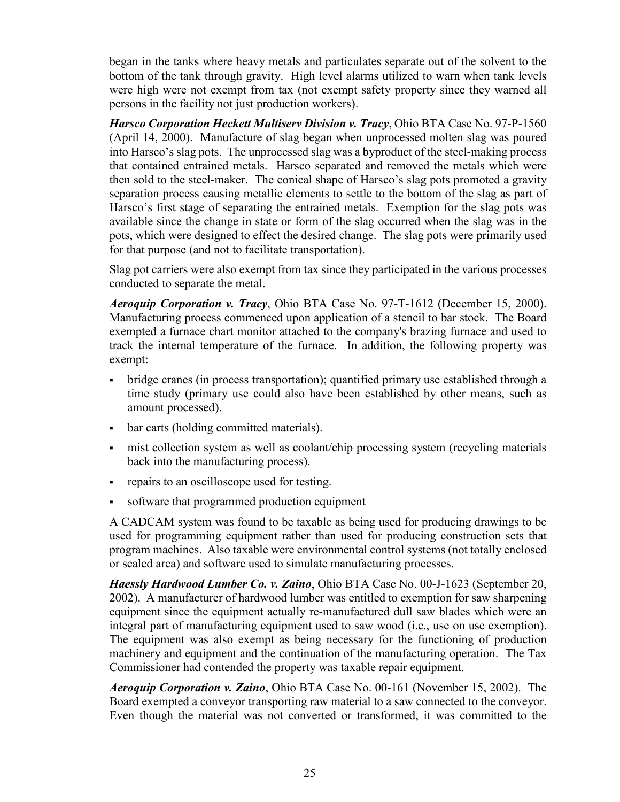began in the tanks where heavy metals and particulates separate out of the solvent to the bottom of the tank through gravity. High level alarms utilized to warn when tank levels were high were not exempt from tax (not exempt safety property since they warned all persons in the facility not just production workers).

*Harsco Corporation Heckett Multiserv Division v. Tracy*, Ohio BTA Case No. 97-P-1560 (April 14, 2000). Manufacture of slag began when unprocessed molten slag was poured into Harsco's slag pots. The unprocessed slag was a byproduct of the steel-making process that contained entrained metals. Harsco separated and removed the metals which were then sold to the steel-maker. The conical shape of Harsco's slag pots promoted a gravity separation process causing metallic elements to settle to the bottom of the slag as part of Harsco's first stage of separating the entrained metals. Exemption for the slag pots was available since the change in state or form of the slag occurred when the slag was in the pots, which were designed to effect the desired change. The slag pots were primarily used for that purpose (and not to facilitate transportation).

Slag pot carriers were also exempt from tax since they participated in the various processes conducted to separate the metal.

*Aeroquip Corporation v. Tracy*, Ohio BTA Case No. 97-T-1612 (December 15, 2000). Manufacturing process commenced upon application of a stencil to bar stock. The Board exempted a furnace chart monitor attached to the company's brazing furnace and used to track the internal temperature of the furnace. In addition, the following property was exempt:

- bridge cranes (in process transportation); quantified primary use established through a time study (primary use could also have been established by other means, such as amount processed).
- bar carts (holding committed materials).
- mist collection system as well as coolant/chip processing system (recycling materials back into the manufacturing process).
- repairs to an oscilloscope used for testing.
- software that programmed production equipment

A CADCAM system was found to be taxable as being used for producing drawings to be used for programming equipment rather than used for producing construction sets that program machines. Also taxable were environmental control systems (not totally enclosed or sealed area) and software used to simulate manufacturing processes.

*Haessly Hardwood Lumber Co. v. Zaino*, Ohio BTA Case No. 00-J-1623 (September 20, 2002). A manufacturer of hardwood lumber was entitled to exemption for saw sharpening equipment since the equipment actually re-manufactured dull saw blades which were an integral part of manufacturing equipment used to saw wood (i.e., use on use exemption). The equipment was also exempt as being necessary for the functioning of production machinery and equipment and the continuation of the manufacturing operation. The Tax Commissioner had contended the property was taxable repair equipment.

*Aeroquip Corporation v. Zaino*, Ohio BTA Case No. 00-161 (November 15, 2002). The Board exempted a conveyor transporting raw material to a saw connected to the conveyor. Even though the material was not converted or transformed, it was committed to the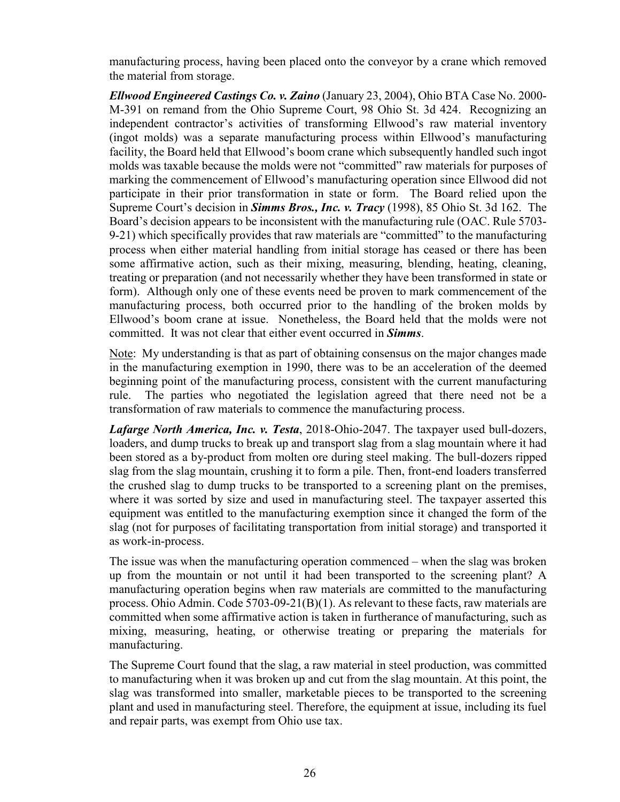manufacturing process, having been placed onto the conveyor by a crane which removed the material from storage.

*Ellwood Engineered Castings Co. v. Zaino* (January 23, 2004), Ohio BTA Case No. 2000- M-391 on remand from the Ohio Supreme Court, 98 Ohio St. 3d 424. Recognizing an independent contractor's activities of transforming Ellwood's raw material inventory (ingot molds) was a separate manufacturing process within Ellwood's manufacturing facility, the Board held that Ellwood's boom crane which subsequently handled such ingot molds was taxable because the molds were not "committed" raw materials for purposes of marking the commencement of Ellwood's manufacturing operation since Ellwood did not participate in their prior transformation in state or form. The Board relied upon the Supreme Court's decision in *Simms Bros., Inc. v. Tracy* (1998), 85 Ohio St. 3d 162. The Board's decision appears to be inconsistent with the manufacturing rule (OAC. Rule 5703- 9-21) which specifically provides that raw materials are "committed" to the manufacturing process when either material handling from initial storage has ceased or there has been some affirmative action, such as their mixing, measuring, blending, heating, cleaning, treating or preparation (and not necessarily whether they have been transformed in state or form). Although only one of these events need be proven to mark commencement of the manufacturing process, both occurred prior to the handling of the broken molds by Ellwood's boom crane at issue. Nonetheless, the Board held that the molds were not committed. It was not clear that either event occurred in *Simms*.

Note: My understanding is that as part of obtaining consensus on the major changes made in the manufacturing exemption in 1990, there was to be an acceleration of the deemed beginning point of the manufacturing process, consistent with the current manufacturing rule. The parties who negotiated the legislation agreed that there need not be a transformation of raw materials to commence the manufacturing process.

*Lafarge North America, Inc. v. Testa*, 2018-Ohio-2047. The taxpayer used bull-dozers, loaders, and dump trucks to break up and transport slag from a slag mountain where it had been stored as a by-product from molten ore during steel making. The bull-dozers ripped slag from the slag mountain, crushing it to form a pile. Then, front-end loaders transferred the crushed slag to dump trucks to be transported to a screening plant on the premises, where it was sorted by size and used in manufacturing steel. The taxpayer asserted this equipment was entitled to the manufacturing exemption since it changed the form of the slag (not for purposes of facilitating transportation from initial storage) and transported it as work-in-process.

The issue was when the manufacturing operation commenced – when the slag was broken up from the mountain or not until it had been transported to the screening plant? A manufacturing operation begins when raw materials are committed to the manufacturing process. [Ohio Admin. Code 5703-09-21\(](http://codes.ohio.gov/oac/5703-9-21v1)B)(1). As relevant to these facts, raw materials are committed when some affirmative action is taken in furtherance of manufacturing, such as mixing, measuring, heating, or otherwise treating or preparing the materials for manufacturing.

The Supreme Court found that the slag, a raw material in steel production, was committed to manufacturing when it was broken up and cut from the slag mountain. At this point, the slag was transformed into smaller, marketable pieces to be transported to the screening plant and used in manufacturing steel. Therefore, the equipment at issue, including its fuel and repair parts, was exempt from Ohio use tax.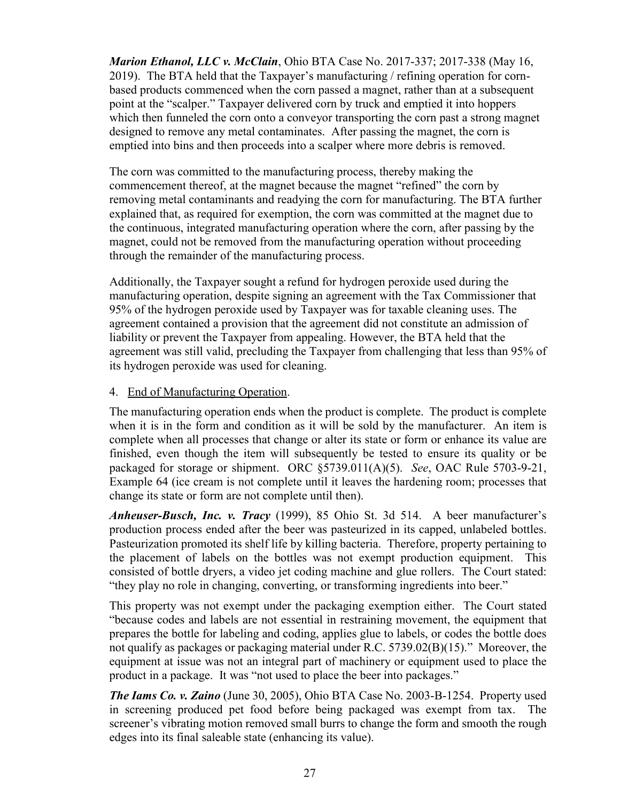*Marion Ethanol, LLC v. McClain*, Ohio BTA Case No. 2017-337; 2017-338 (May 16, 2019). The BTA held that the Taxpayer's manufacturing / refining operation for cornbased products commenced when the corn passed a magnet, rather than at a subsequent point at the "scalper." Taxpayer delivered corn by truck and emptied it into hoppers which then funneled the corn onto a conveyor transporting the corn past a strong magnet designed to remove any metal contaminates. After passing the magnet, the corn is emptied into bins and then proceeds into a scalper where more debris is removed.

The corn was committed to the manufacturing process, thereby making the commencement thereof, at the magnet because the magnet "refined" the corn by removing metal contaminants and readying the corn for manufacturing. The BTA further explained that, as required for exemption, the corn was committed at the magnet due to the continuous, integrated manufacturing operation where the corn, after passing by the magnet, could not be removed from the manufacturing operation without proceeding through the remainder of the manufacturing process.

Additionally, the Taxpayer sought a refund for hydrogen peroxide used during the manufacturing operation, despite signing an agreement with the Tax Commissioner that 95% of the hydrogen peroxide used by Taxpayer was for taxable cleaning uses. The agreement contained a provision that the agreement did not constitute an admission of liability or prevent the Taxpayer from appealing. However, the BTA held that the agreement was still valid, precluding the Taxpayer from challenging that less than 95% of its hydrogen peroxide was used for cleaning.

#### 4. End of Manufacturing Operation.

The manufacturing operation ends when the product is complete. The product is complete when it is in the form and condition as it will be sold by the manufacturer. An item is complete when all processes that change or alter its state or form or enhance its value are finished, even though the item will subsequently be tested to ensure its quality or be packaged for storage or shipment. ORC §5739.011(A)(5). *See*, OAC Rule 5703-9-21, Example 64 (ice cream is not complete until it leaves the hardening room; processes that change its state or form are not complete until then).

*Anheuser-Busch, Inc. v. Tracy* (1999), 85 Ohio St. 3d 514. A beer manufacturer's production process ended after the beer was pasteurized in its capped, unlabeled bottles. Pasteurization promoted its shelf life by killing bacteria. Therefore, property pertaining to the placement of labels on the bottles was not exempt production equipment. This consisted of bottle dryers, a video jet coding machine and glue rollers. The Court stated: "they play no role in changing, converting, or transforming ingredients into beer."

This property was not exempt under the packaging exemption either. The Court stated "because codes and labels are not essential in restraining movement, the equipment that prepares the bottle for labeling and coding, applies glue to labels, or codes the bottle does not qualify as packages or packaging material under R.C. 5739.02(B)(15)." Moreover, the equipment at issue was not an integral part of machinery or equipment used to place the product in a package. It was "not used to place the beer into packages."

*The Iams Co. v. Zaino* (June 30, 2005), Ohio BTA Case No. 2003-B-1254. Property used in screening produced pet food before being packaged was exempt from tax. The screener's vibrating motion removed small burrs to change the form and smooth the rough edges into its final saleable state (enhancing its value).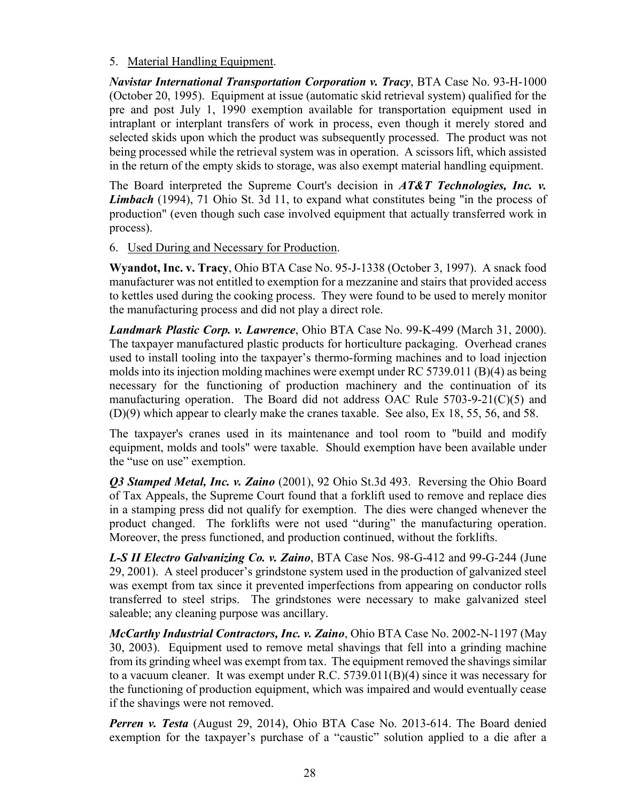#### 5. Material Handling Equipment.

*Navistar International Transportation Corporation v. Tracy*, BTA Case No. 93-H-1000 (October 20, 1995). Equipment at issue (automatic skid retrieval system) qualified for the pre and post July 1, 1990 exemption available for transportation equipment used in intraplant or interplant transfers of work in process, even though it merely stored and selected skids upon which the product was subsequently processed. The product was not being processed while the retrieval system was in operation. A scissors lift, which assisted in the return of the empty skids to storage, was also exempt material handling equipment.

The Board interpreted the Supreme Court's decision in *AT&T Technologies, Inc. v. Limbach* (1994), 71 Ohio St. 3d 11, to expand what constitutes being "in the process of production" (even though such case involved equipment that actually transferred work in process).

6. Used During and Necessary for Production.

**Wyandot, Inc. v. Tracy**, Ohio BTA Case No. 95-J-1338 (October 3, 1997). A snack food manufacturer was not entitled to exemption for a mezzanine and stairs that provided access to kettles used during the cooking process. They were found to be used to merely monitor the manufacturing process and did not play a direct role.

*Landmark Plastic Corp. v. Lawrence*, Ohio BTA Case No. 99-K-499 (March 31, 2000). The taxpayer manufactured plastic products for horticulture packaging. Overhead cranes used to install tooling into the taxpayer's thermo-forming machines and to load injection molds into its injection molding machines were exempt under RC 5739.011 (B)(4) as being necessary for the functioning of production machinery and the continuation of its manufacturing operation. The Board did not address OAC Rule 5703-9-21(C)(5) and (D)(9) which appear to clearly make the cranes taxable. See also, Ex 18, 55, 56, and 58.

The taxpayer's cranes used in its maintenance and tool room to "build and modify equipment, molds and tools" were taxable. Should exemption have been available under the "use on use" exemption.

*Q3 Stamped Metal, Inc. v. Zaino* (2001), 92 Ohio St.3d 493. Reversing the Ohio Board of Tax Appeals, the Supreme Court found that a forklift used to remove and replace dies in a stamping press did not qualify for exemption. The dies were changed whenever the product changed. The forklifts were not used "during" the manufacturing operation. Moreover, the press functioned, and production continued, without the forklifts.

*L-S II Electro Galvanizing Co. v. Zaino*, BTA Case Nos. 98-G-412 and 99-G-244 (June 29, 2001). A steel producer's grindstone system used in the production of galvanized steel was exempt from tax since it prevented imperfections from appearing on conductor rolls transferred to steel strips. The grindstones were necessary to make galvanized steel saleable; any cleaning purpose was ancillary.

*McCarthy Industrial Contractors, Inc. v. Zaino*, Ohio BTA Case No. 2002-N-1197 (May 30, 2003). Equipment used to remove metal shavings that fell into a grinding machine from its grinding wheel was exempt from tax. The equipment removed the shavings similar to a vacuum cleaner. It was exempt under R.C. 5739.011(B)(4) since it was necessary for the functioning of production equipment, which was impaired and would eventually cease if the shavings were not removed.

*Perren v. Testa* (August 29, 2014), Ohio BTA Case No. 2013-614. The Board denied exemption for the taxpayer's purchase of a "caustic" solution applied to a die after a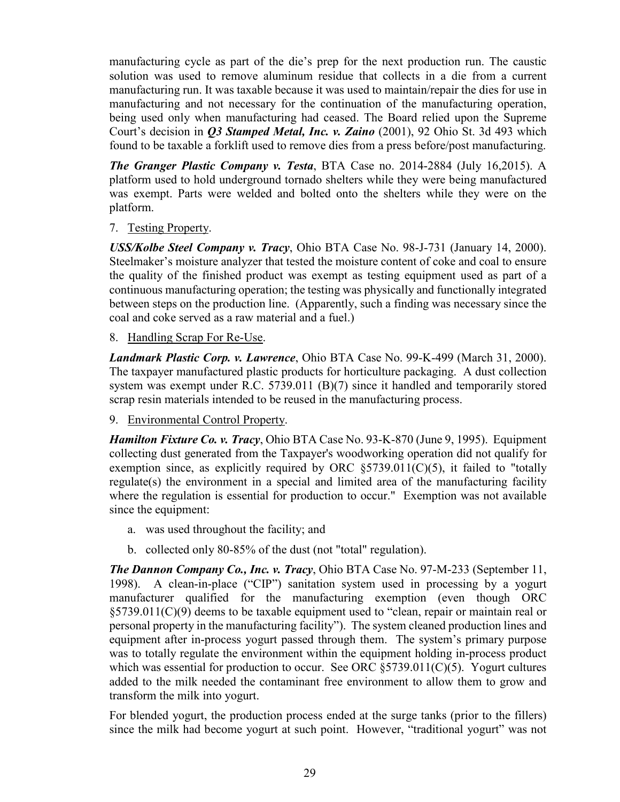manufacturing cycle as part of the die's prep for the next production run. The caustic solution was used to remove aluminum residue that collects in a die from a current manufacturing run. It was taxable because it was used to maintain/repair the dies for use in manufacturing and not necessary for the continuation of the manufacturing operation, being used only when manufacturing had ceased. The Board relied upon the Supreme Court's decision in *Q3 Stamped Metal, Inc. v. Zaino* (2001), 92 Ohio St. 3d 493 which found to be taxable a forklift used to remove dies from a press before/post manufacturing.

*The Granger Plastic Company v. Testa*, BTA Case no. 2014-2884 (July 16,2015). A platform used to hold underground tornado shelters while they were being manufactured was exempt. Parts were welded and bolted onto the shelters while they were on the platform.

7. Testing Property.

*USS/Kolbe Steel Company v. Tracy*, Ohio BTA Case No. 98-J-731 (January 14, 2000). Steelmaker's moisture analyzer that tested the moisture content of coke and coal to ensure the quality of the finished product was exempt as testing equipment used as part of a continuous manufacturing operation; the testing was physically and functionally integrated between steps on the production line. (Apparently, such a finding was necessary since the coal and coke served as a raw material and a fuel.)

8. Handling Scrap For Re-Use.

*Landmark Plastic Corp. v. Lawrence*, Ohio BTA Case No. 99-K-499 (March 31, 2000). The taxpayer manufactured plastic products for horticulture packaging. A dust collection system was exempt under R.C. 5739.011 (B)(7) since it handled and temporarily stored scrap resin materials intended to be reused in the manufacturing process.

9. Environmental Control Property.

*Hamilton Fixture Co. v. Tracy*, Ohio BTA Case No. 93-K-870 (June 9, 1995). Equipment collecting dust generated from the Taxpayer's woodworking operation did not qualify for exemption since, as explicitly required by ORC  $\S 5739.011(C)(5)$ , it failed to "totally regulate(s) the environment in a special and limited area of the manufacturing facility where the regulation is essential for production to occur." Exemption was not available since the equipment:

- a. was used throughout the facility; and
- b. collected only 80-85% of the dust (not "total" regulation).

*The Dannon Company Co., Inc. v. Tracy*, Ohio BTA Case No. 97-M-233 (September 11, 1998). A clean-in-place ("CIP") sanitation system used in processing by a yogurt manufacturer qualified for the manufacturing exemption (even though ORC §5739.011(C)(9) deems to be taxable equipment used to "clean, repair or maintain real or personal property in the manufacturing facility"). The system cleaned production lines and equipment after in-process yogurt passed through them. The system's primary purpose was to totally regulate the environment within the equipment holding in-process product which was essential for production to occur. See ORC  $\S 5739.011(C)(5)$ . Yogurt cultures added to the milk needed the contaminant free environment to allow them to grow and transform the milk into yogurt.

For blended yogurt, the production process ended at the surge tanks (prior to the fillers) since the milk had become yogurt at such point. However, "traditional yogurt" was not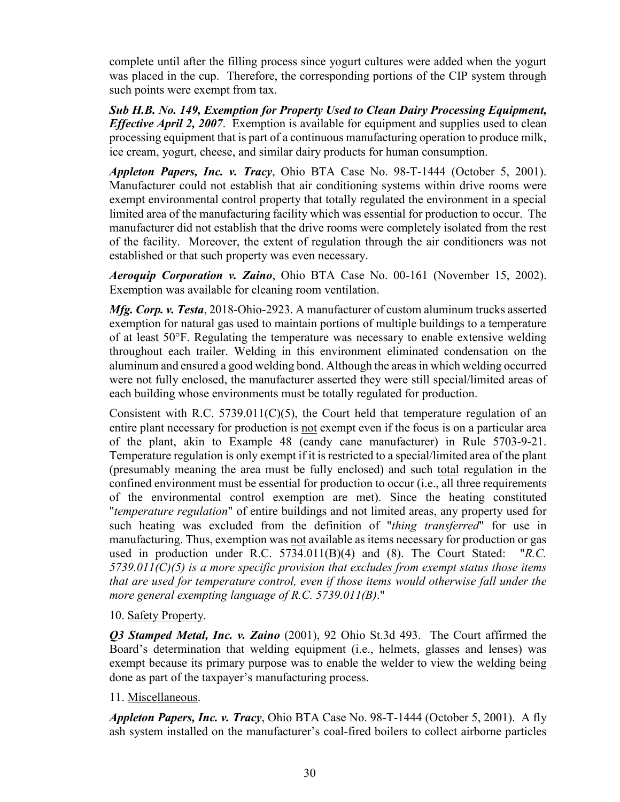complete until after the filling process since yogurt cultures were added when the yogurt was placed in the cup. Therefore, the corresponding portions of the CIP system through such points were exempt from tax.

*Sub H.B. No. 149, Exemption for Property Used to Clean Dairy Processing Equipment, Effective April 2, 2007*. Exemption is available for equipment and supplies used to clean processing equipment that is part of a continuous manufacturing operation to produce milk, ice cream, yogurt, cheese, and similar dairy products for human consumption.

*Appleton Papers, Inc. v. Tracy*, Ohio BTA Case No. 98-T-1444 (October 5, 2001). Manufacturer could not establish that air conditioning systems within drive rooms were exempt environmental control property that totally regulated the environment in a special limited area of the manufacturing facility which was essential for production to occur. The manufacturer did not establish that the drive rooms were completely isolated from the rest of the facility. Moreover, the extent of regulation through the air conditioners was not established or that such property was even necessary.

*Aeroquip Corporation v. Zaino*, Ohio BTA Case No. 00-161 (November 15, 2002). Exemption was available for cleaning room ventilation.

*Mfg. Corp. v. Testa*, 2018-Ohio-2923. A manufacturer of custom aluminum trucks asserted exemption for natural gas used to maintain portions of multiple buildings to a temperature of at least 50°F. Regulating the temperature was necessary to enable extensive welding throughout each trailer. Welding in this environment eliminated condensation on the aluminum and ensured a good welding bond. Although the areas in which welding occurred were not fully enclosed, the manufacturer asserted they were still special/limited areas of each building whose environments must be totally regulated for production.

Consistent with R.C. 5739.011( $C(5)$ , the Court held that temperature regulation of an entire plant necessary for production is not exempt even if the focus is on a particular area of the plant, akin to Example 48 (candy cane manufacturer) in Rule 5703-9-21. Temperature regulation is only exempt if it is restricted to a special/limited area of the plant (presumably meaning the area must be fully enclosed) and such total regulation in the confined environment must be essential for production to occur (i.e., all three requirements of the environmental control exemption are met). Since the heating constituted "*temperature regulation*" of entire buildings and not limited areas, any property used for such heating was excluded from the definition of "*thing transferred*" for use in manufacturing. Thus, exemption was not available as items necessary for production or gas used in production under R.C. 5734.011(B)(4) and (8). The Court Stated: "*R.C. 5739.011(C)(5) is a more specific provision that excludes from exempt status those items that are used for temperature control, even if those items would otherwise fall under the more general exempting language of R.C. 5739.011(B)*."

#### 10. Safety Property.

*Q3 Stamped Metal, Inc. v. Zaino* (2001), 92 Ohio St.3d 493. The Court affirmed the Board's determination that welding equipment (i.e., helmets, glasses and lenses) was exempt because its primary purpose was to enable the welder to view the welding being done as part of the taxpayer's manufacturing process.

#### 11. Miscellaneous.

*Appleton Papers, Inc. v. Tracy*, Ohio BTA Case No. 98-T-1444 (October 5, 2001). A fly ash system installed on the manufacturer's coal-fired boilers to collect airborne particles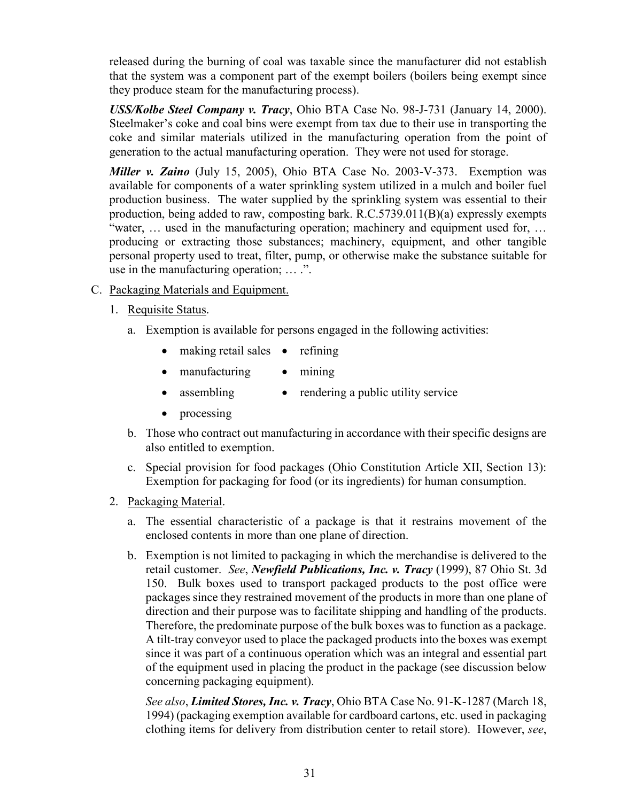released during the burning of coal was taxable since the manufacturer did not establish that the system was a component part of the exempt boilers (boilers being exempt since they produce steam for the manufacturing process).

*USS/Kolbe Steel Company v. Tracy*, Ohio BTA Case No. 98-J-731 (January 14, 2000). Steelmaker's coke and coal bins were exempt from tax due to their use in transporting the coke and similar materials utilized in the manufacturing operation from the point of generation to the actual manufacturing operation. They were not used for storage.

*Miller v. Zaino* (July 15, 2005), Ohio BTA Case No. 2003-V-373. Exemption was available for components of a water sprinkling system utilized in a mulch and boiler fuel production business. The water supplied by the sprinkling system was essential to their production, being added to raw, composting bark. R.C.5739.011(B)(a) expressly exempts "water, … used in the manufacturing operation; machinery and equipment used for, … producing or extracting those substances; machinery, equipment, and other tangible personal property used to treat, filter, pump, or otherwise make the substance suitable for use in the manufacturing operation; … .".

- C. Packaging Materials and Equipment.
	- 1. Requisite Status.
		- a. Exemption is available for persons engaged in the following activities:
			- making retail sales refining
			- manufacturing • mining
			- assembling • rendering a public utility service
			- processing
		- b. Those who contract out manufacturing in accordance with their specific designs are also entitled to exemption.
		- c. Special provision for food packages (Ohio Constitution Article XII, Section 13): Exemption for packaging for food (or its ingredients) for human consumption.
	- 2. Packaging Material.
		- a. The essential characteristic of a package is that it restrains movement of the enclosed contents in more than one plane of direction.
		- b. Exemption is not limited to packaging in which the merchandise is delivered to the retail customer. *See*, *Newfield Publications, Inc. v. Tracy* (1999), 87 Ohio St. 3d 150. Bulk boxes used to transport packaged products to the post office were packages since they restrained movement of the products in more than one plane of direction and their purpose was to facilitate shipping and handling of the products. Therefore, the predominate purpose of the bulk boxes was to function as a package. A tilt-tray conveyor used to place the packaged products into the boxes was exempt since it was part of a continuous operation which was an integral and essential part of the equipment used in placing the product in the package (see discussion below concerning packaging equipment).

*See also*, *Limited Stores, Inc. v. Tracy*, Ohio BTA Case No. 91-K-1287 (March 18, 1994) (packaging exemption available for cardboard cartons, etc. used in packaging clothing items for delivery from distribution center to retail store). However, *see*,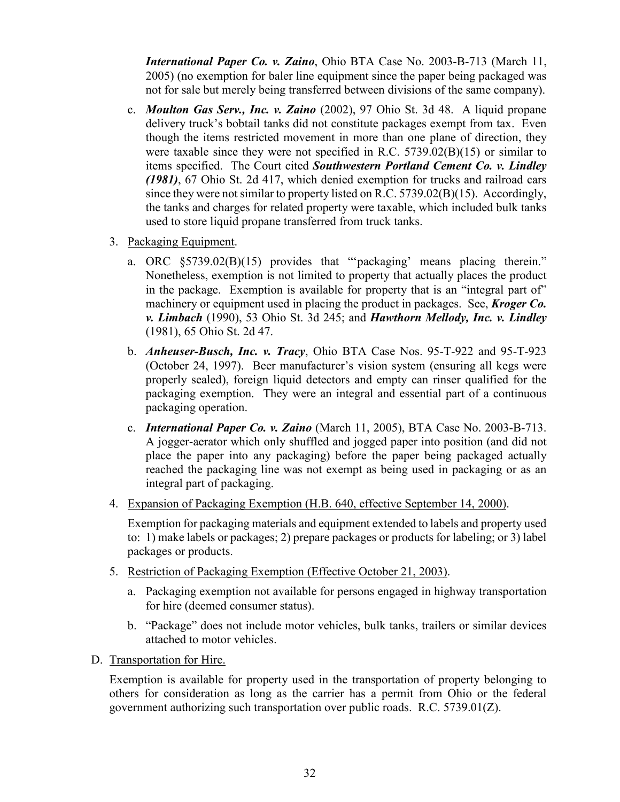*International Paper Co. v. Zaino*, Ohio BTA Case No. 2003-B-713 (March 11, 2005) (no exemption for baler line equipment since the paper being packaged was not for sale but merely being transferred between divisions of the same company).

- c. *Moulton Gas Serv., Inc. v. Zaino* (2002), 97 Ohio St. 3d 48. A liquid propane delivery truck's bobtail tanks did not constitute packages exempt from tax. Even though the items restricted movement in more than one plane of direction, they were taxable since they were not specified in R.C. 5739.02(B)(15) or similar to items specified. The Court cited *Southwestern Portland Cement Co. v. Lindley (1981)*, 67 Ohio St. 2d 417, which denied exemption for trucks and railroad cars since they were not similar to property listed on R.C. 5739.02(B)(15). Accordingly, the tanks and charges for related property were taxable, which included bulk tanks used to store liquid propane transferred from truck tanks.
- 3. Packaging Equipment.
	- a. ORC §5739.02(B)(15) provides that "'packaging' means placing therein." Nonetheless, exemption is not limited to property that actually places the product in the package. Exemption is available for property that is an "integral part of" machinery or equipment used in placing the product in packages. See, *Kroger Co. v. Limbach* (1990), 53 Ohio St. 3d 245; and *Hawthorn Mellody, Inc. v. Lindley*  (1981), 65 Ohio St. 2d 47.
	- b. *Anheuser-Busch, Inc. v. Tracy*, Ohio BTA Case Nos. 95-T-922 and 95-T-923 (October 24, 1997). Beer manufacturer's vision system (ensuring all kegs were properly sealed), foreign liquid detectors and empty can rinser qualified for the packaging exemption. They were an integral and essential part of a continuous packaging operation.
	- c. *International Paper Co. v. Zaino* (March 11, 2005), BTA Case No. 2003-B-713. A jogger-aerator which only shuffled and jogged paper into position (and did not place the paper into any packaging) before the paper being packaged actually reached the packaging line was not exempt as being used in packaging or as an integral part of packaging.
- 4. Expansion of Packaging Exemption (H.B. 640, effective September 14, 2000).

Exemption for packaging materials and equipment extended to labels and property used to: 1) make labels or packages; 2) prepare packages or products for labeling; or 3) label packages or products.

- 5. Restriction of Packaging Exemption (Effective October 21, 2003).
	- a. Packaging exemption not available for persons engaged in highway transportation for hire (deemed consumer status).
	- b. "Package" does not include motor vehicles, bulk tanks, trailers or similar devices attached to motor vehicles.
- D. Transportation for Hire.

Exemption is available for property used in the transportation of property belonging to others for consideration as long as the carrier has a permit from Ohio or the federal government authorizing such transportation over public roads. R.C. 5739.01(Z).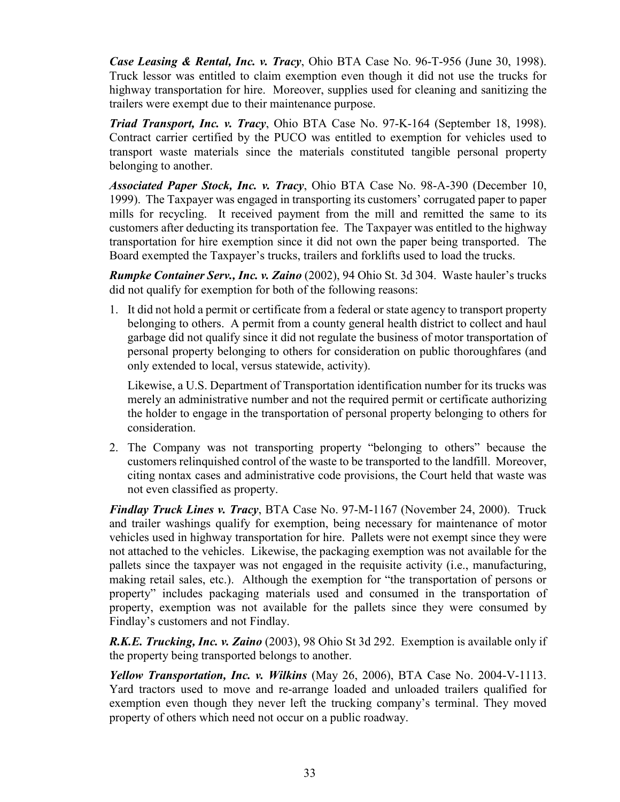*Case Leasing & Rental, Inc. v. Tracy*, Ohio BTA Case No. 96-T-956 (June 30, 1998). Truck lessor was entitled to claim exemption even though it did not use the trucks for highway transportation for hire. Moreover, supplies used for cleaning and sanitizing the trailers were exempt due to their maintenance purpose.

*Triad Transport, Inc. v. Tracy*, Ohio BTA Case No. 97-K-164 (September 18, 1998). Contract carrier certified by the PUCO was entitled to exemption for vehicles used to transport waste materials since the materials constituted tangible personal property belonging to another.

*Associated Paper Stock, Inc. v. Tracy*, Ohio BTA Case No. 98-A-390 (December 10, 1999). The Taxpayer was engaged in transporting its customers' corrugated paper to paper mills for recycling. It received payment from the mill and remitted the same to its customers after deducting its transportation fee. The Taxpayer was entitled to the highway transportation for hire exemption since it did not own the paper being transported. The Board exempted the Taxpayer's trucks, trailers and forklifts used to load the trucks.

*Rumpke Container Serv., Inc. v. Zaino* (2002), 94 Ohio St. 3d 304. Waste hauler's trucks did not qualify for exemption for both of the following reasons:

1. It did not hold a permit or certificate from a federal or state agency to transport property belonging to others. A permit from a county general health district to collect and haul garbage did not qualify since it did not regulate the business of motor transportation of personal property belonging to others for consideration on public thoroughfares (and only extended to local, versus statewide, activity).

Likewise, a U.S. Department of Transportation identification number for its trucks was merely an administrative number and not the required permit or certificate authorizing the holder to engage in the transportation of personal property belonging to others for consideration.

2. The Company was not transporting property "belonging to others" because the customers relinquished control of the waste to be transported to the landfill. Moreover, citing nontax cases and administrative code provisions, the Court held that waste was not even classified as property.

*Findlay Truck Lines v. Tracy*, BTA Case No. 97-M-1167 (November 24, 2000). Truck and trailer washings qualify for exemption, being necessary for maintenance of motor vehicles used in highway transportation for hire. Pallets were not exempt since they were not attached to the vehicles. Likewise, the packaging exemption was not available for the pallets since the taxpayer was not engaged in the requisite activity (i.e., manufacturing, making retail sales, etc.). Although the exemption for "the transportation of persons or property" includes packaging materials used and consumed in the transportation of property, exemption was not available for the pallets since they were consumed by Findlay's customers and not Findlay.

*R.K.E. Trucking, Inc. v. Zaino* (2003), 98 Ohio St 3d 292. Exemption is available only if the property being transported belongs to another.

*Yellow Transportation, Inc. v. Wilkins* (May 26, 2006), BTA Case No. 2004-V-1113. Yard tractors used to move and re-arrange loaded and unloaded trailers qualified for exemption even though they never left the trucking company's terminal. They moved property of others which need not occur on a public roadway.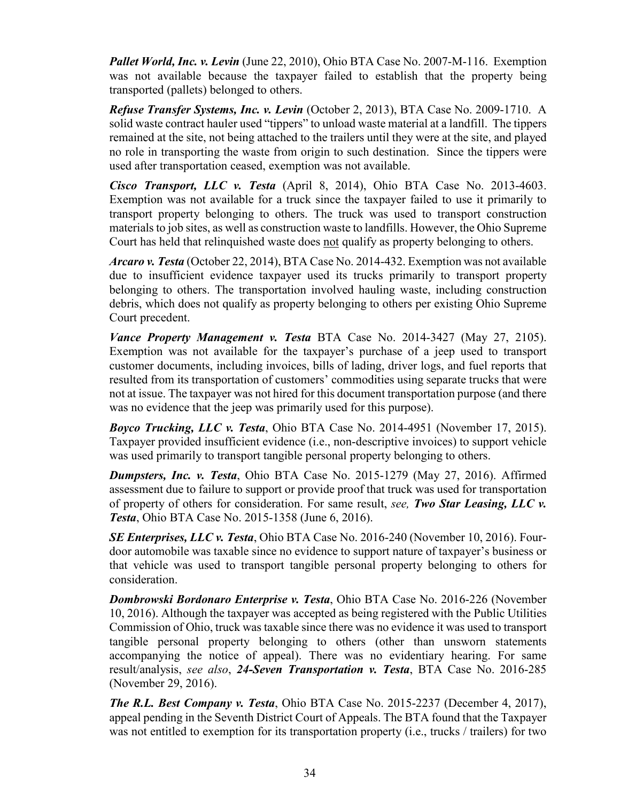*Pallet World, Inc. v. Levin* (June 22, 2010), Ohio BTA Case No. 2007-M-116. Exemption was not available because the taxpayer failed to establish that the property being transported (pallets) belonged to others.

*Refuse Transfer Systems, Inc. v. Levin* (October 2, 2013), BTA Case No. 2009-1710. A solid waste contract hauler used "tippers" to unload waste material at a landfill. The tippers remained at the site, not being attached to the trailers until they were at the site, and played no role in transporting the waste from origin to such destination. Since the tippers were used after transportation ceased, exemption was not available.

*Cisco Transport, LLC v. Testa* (April 8, 2014), Ohio BTA Case No. 2013-4603. Exemption was not available for a truck since the taxpayer failed to use it primarily to transport property belonging to others. The truck was used to transport construction materials to job sites, as well as construction waste to landfills. However, the Ohio Supreme Court has held that relinquished waste does not qualify as property belonging to others.

*Arcaro v. Testa* (October 22, 2014), BTA Case No. 2014-432. Exemption was not available due to insufficient evidence taxpayer used its trucks primarily to transport property belonging to others. The transportation involved hauling waste, including construction debris, which does not qualify as property belonging to others per existing Ohio Supreme Court precedent.

*Vance Property Management v. Testa* BTA Case No. 2014-3427 (May 27, 2105). Exemption was not available for the taxpayer's purchase of a jeep used to transport customer documents, including invoices, bills of lading, driver logs, and fuel reports that resulted from its transportation of customers' commodities using separate trucks that were not at issue. The taxpayer was not hired for this document transportation purpose (and there was no evidence that the jeep was primarily used for this purpose).

*Boyco Trucking, LLC v. Testa*, Ohio BTA Case No. 2014-4951 (November 17, 2015). Taxpayer provided insufficient evidence (i.e., non-descriptive invoices) to support vehicle was used primarily to transport tangible personal property belonging to others.

*Dumpsters, Inc. v. Testa*, Ohio BTA Case No. 2015-1279 (May 27, 2016). Affirmed assessment due to failure to support or provide proof that truck was used for transportation of property of others for consideration. For same result, *see, Two Star Leasing, LLC v. Testa*, Ohio BTA Case No. 2015-1358 (June 6, 2016).

*SE Enterprises, LLC v. Testa*, Ohio BTA Case No. 2016-240 (November 10, 2016). Fourdoor automobile was taxable since no evidence to support nature of taxpayer's business or that vehicle was used to transport tangible personal property belonging to others for consideration.

*Dombrowski Bordonaro Enterprise v. Testa*, Ohio BTA Case No. 2016-226 (November 10, 2016). Although the taxpayer was accepted as being registered with the Public Utilities Commission of Ohio, truck was taxable since there was no evidence it was used to transport tangible personal property belonging to others (other than unsworn statements accompanying the notice of appeal). There was no evidentiary hearing. For same result/analysis, *see also*, *24-Seven Transportation v. Testa*, BTA Case No. 2016-285 (November 29, 2016).

*The R.L. Best Company v. Testa*, Ohio BTA Case No. 2015-2237 (December 4, 2017), appeal pending in the Seventh District Court of Appeals. The BTA found that the Taxpayer was not entitled to exemption for its transportation property (i.e., trucks / trailers) for two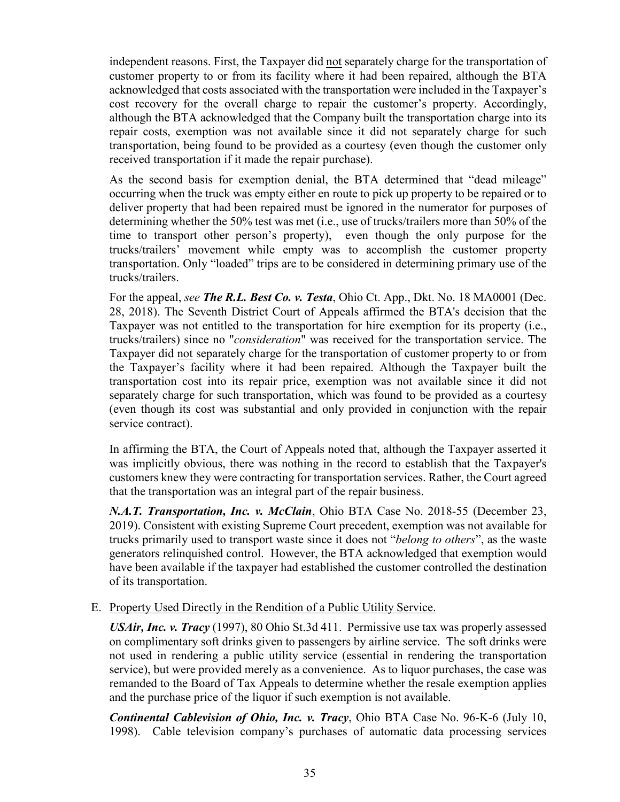independent reasons. First, the Taxpayer did not separately charge for the transportation of customer property to or from its facility where it had been repaired, although the BTA acknowledged that costs associated with the transportation were included in the Taxpayer's cost recovery for the overall charge to repair the customer's property. Accordingly, although the BTA acknowledged that the Company built the transportation charge into its repair costs, exemption was not available since it did not separately charge for such transportation, being found to be provided as a courtesy (even though the customer only received transportation if it made the repair purchase).

As the second basis for exemption denial, the BTA determined that "dead mileage" occurring when the truck was empty either en route to pick up property to be repaired or to deliver property that had been repaired must be ignored in the numerator for purposes of determining whether the 50% test was met (i.e., use of trucks/trailers more than 50% of the time to transport other person's property), even though the only purpose for the trucks/trailers' movement while empty was to accomplish the customer property transportation. Only "loaded" trips are to be considered in determining primary use of the trucks/trailers.

For the appeal, *see The R.L. Best Co. v. Testa*, Ohio Ct. App., Dkt. No. 18 MA0001 (Dec. 28, 2018). The Seventh District Court of Appeals affirmed the BTA's decision that the Taxpayer was not entitled to the transportation for hire exemption for its property (i.e., trucks/trailers) since no "*consideration*" was received for the transportation service. The Taxpayer did not separately charge for the transportation of customer property to or from the Taxpayer's facility where it had been repaired. Although the Taxpayer built the transportation cost into its repair price, exemption was not available since it did not separately charge for such transportation, which was found to be provided as a courtesy (even though its cost was substantial and only provided in conjunction with the repair service contract).

In affirming the BTA, the Court of Appeals noted that, although the Taxpayer asserted it was implicitly obvious, there was nothing in the record to establish that the Taxpayer's customers knew they were contracting for transportation services. Rather, the Court agreed that the transportation was an integral part of the repair business.

*N.A.T. Transportation, Inc. v. McClain*, Ohio BTA Case No. 2018-55 (December 23, 2019). Consistent with existing Supreme Court precedent, exemption was not available for trucks primarily used to transport waste since it does not "*belong to others*", as the waste generators relinquished control. However, the BTA acknowledged that exemption would have been available if the taxpayer had established the customer controlled the destination of its transportation.

## E. Property Used Directly in the Rendition of a Public Utility Service.

*USAir, Inc. v. Tracy* (1997), 80 Ohio St.3d 411. Permissive use tax was properly assessed on complimentary soft drinks given to passengers by airline service. The soft drinks were not used in rendering a public utility service (essential in rendering the transportation service), but were provided merely as a convenience. As to liquor purchases, the case was remanded to the Board of Tax Appeals to determine whether the resale exemption applies and the purchase price of the liquor if such exemption is not available.

*Continental Cablevision of Ohio, Inc. v. Tracy*, Ohio BTA Case No. 96-K-6 (July 10, 1998). Cable television company's purchases of automatic data processing services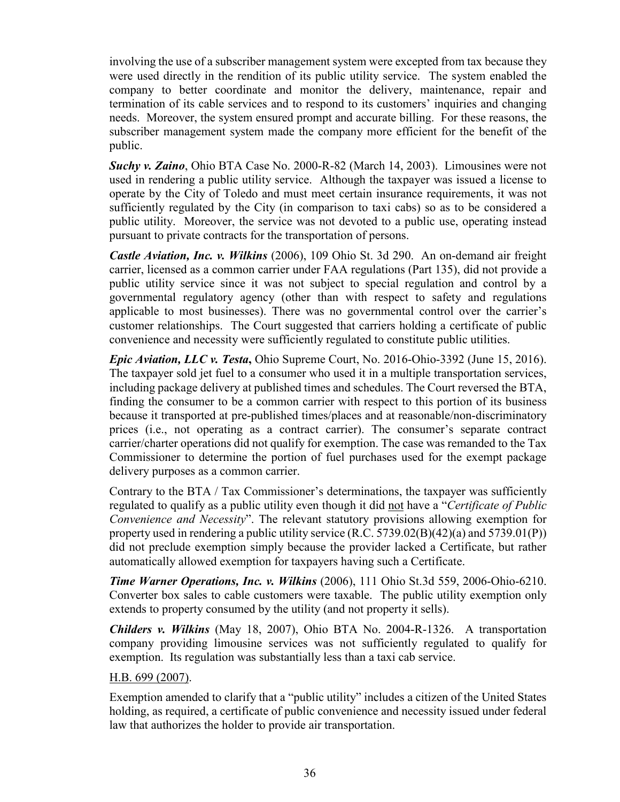involving the use of a subscriber management system were excepted from tax because they were used directly in the rendition of its public utility service. The system enabled the company to better coordinate and monitor the delivery, maintenance, repair and termination of its cable services and to respond to its customers' inquiries and changing needs. Moreover, the system ensured prompt and accurate billing. For these reasons, the subscriber management system made the company more efficient for the benefit of the public.

*Suchy v. Zaino*, Ohio BTA Case No. 2000-R-82 (March 14, 2003). Limousines were not used in rendering a public utility service. Although the taxpayer was issued a license to operate by the City of Toledo and must meet certain insurance requirements, it was not sufficiently regulated by the City (in comparison to taxi cabs) so as to be considered a public utility. Moreover, the service was not devoted to a public use, operating instead pursuant to private contracts for the transportation of persons.

*Castle Aviation, Inc. v. Wilkins* (2006), 109 Ohio St. 3d 290. An on-demand air freight carrier, licensed as a common carrier under FAA regulations (Part 135), did not provide a public utility service since it was not subject to special regulation and control by a governmental regulatory agency (other than with respect to safety and regulations applicable to most businesses). There was no governmental control over the carrier's customer relationships. The Court suggested that carriers holding a certificate of public convenience and necessity were sufficiently regulated to constitute public utilities.

*Epic Aviation, LLC v. Testa***,** Ohio Supreme Court, No. 2016-Ohio-3392 (June 15, 2016). The taxpayer sold jet fuel to a consumer who used it in a multiple transportation services, including package delivery at published times and schedules. The Court reversed the BTA, finding the consumer to be a common carrier with respect to this portion of its business because it transported at pre-published times/places and at reasonable/non-discriminatory prices (i.e., not operating as a contract carrier). The consumer's separate contract carrier/charter operations did not qualify for exemption. The case was remanded to the Tax Commissioner to determine the portion of fuel purchases used for the exempt package delivery purposes as a common carrier.

Contrary to the BTA / Tax Commissioner's determinations, the taxpayer was sufficiently regulated to qualify as a public utility even though it did not have a "*Certificate of Public Convenience and Necessity*". The relevant statutory provisions allowing exemption for property used in rendering a public utility service  $(R.C. 5739.02(B)(42)(a)$  and  $5739.01(P)$ ) did not preclude exemption simply because the provider lacked a Certificate, but rather automatically allowed exemption for taxpayers having such a Certificate.

*Time Warner Operations, Inc. v. Wilkins* (2006), 111 Ohio St.3d 559, 2006-Ohio-6210. Converter box sales to cable customers were taxable. The public utility exemption only extends to property consumed by the utility (and not property it sells).

*Childers v. Wilkins* (May 18, 2007), Ohio BTA No. 2004-R-1326. A transportation company providing limousine services was not sufficiently regulated to qualify for exemption. Its regulation was substantially less than a taxi cab service.

## H.B. 699 (2007).

Exemption amended to clarify that a "public utility" includes a citizen of the United States holding, as required, a certificate of public convenience and necessity issued under federal law that authorizes the holder to provide air transportation.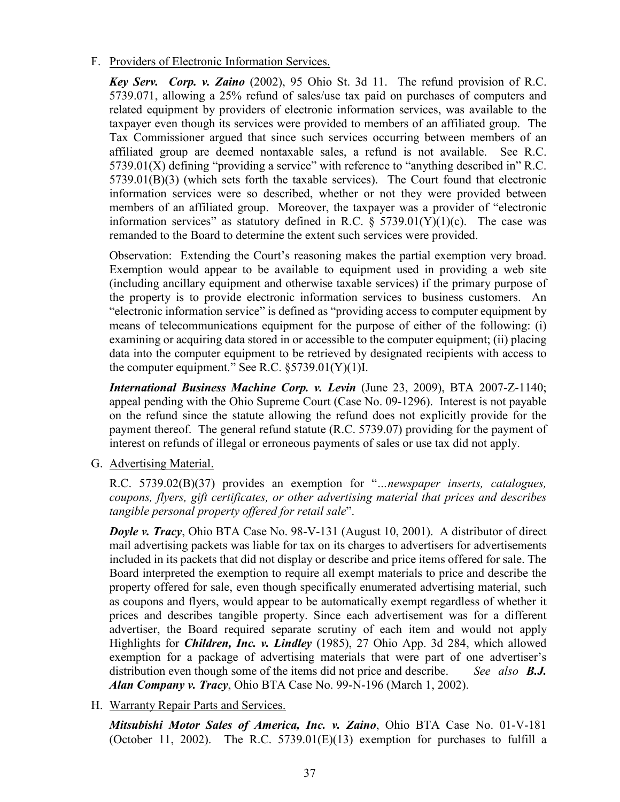F. Providers of Electronic Information Services.

*Key Serv. Corp. v. Zaino* (2002), 95 Ohio St. 3d 11. The refund provision of R.C. 5739.071, allowing a 25% refund of sales/use tax paid on purchases of computers and related equipment by providers of electronic information services, was available to the taxpayer even though its services were provided to members of an affiliated group. The Tax Commissioner argued that since such services occurring between members of an affiliated group are deemed nontaxable sales, a refund is not available. See R.C.  $5739.01(X)$  defining "providing a service" with reference to "anything described in" R.C. 5739.01(B)(3) (which sets forth the taxable services). The Court found that electronic information services were so described, whether or not they were provided between members of an affiliated group. Moreover, the taxpayer was a provider of "electronic information services" as statutory defined in R.C.  $\S$  5739.01(Y)(1)(c). The case was remanded to the Board to determine the extent such services were provided.

Observation: Extending the Court's reasoning makes the partial exemption very broad. Exemption would appear to be available to equipment used in providing a web site (including ancillary equipment and otherwise taxable services) if the primary purpose of the property is to provide electronic information services to business customers. An "electronic information service" is defined as "providing access to computer equipment by means of telecommunications equipment for the purpose of either of the following: (i) examining or acquiring data stored in or accessible to the computer equipment; (ii) placing data into the computer equipment to be retrieved by designated recipients with access to the computer equipment." See R.C.  $\S 5739.01(Y)(1)$ I.

*International Business Machine Corp. v. Levin* (June 23, 2009), BTA 2007-Z-1140; appeal pending with the Ohio Supreme Court (Case No. 09-1296). Interest is not payable on the refund since the statute allowing the refund does not explicitly provide for the payment thereof. The general refund statute (R.C. 5739.07) providing for the payment of interest on refunds of illegal or erroneous payments of sales or use tax did not apply.

G. Advertising Material.

R.C. 5739.02(B)(37) provides an exemption for "*…newspaper inserts, catalogues, coupons, flyers, gift certificates, or other advertising material that prices and describes tangible personal property offered for retail sale*".

*Doyle v. Tracy*, Ohio BTA Case No. 98-V-131 (August 10, 2001). A distributor of direct mail advertising packets was liable for tax on its charges to advertisers for advertisements included in its packets that did not display or describe and price items offered for sale. The Board interpreted the exemption to require all exempt materials to price and describe the property offered for sale, even though specifically enumerated advertising material, such as coupons and flyers, would appear to be automatically exempt regardless of whether it prices and describes tangible property. Since each advertisement was for a different advertiser, the Board required separate scrutiny of each item and would not apply Highlights for *Children, Inc. v. Lindley* (1985), 27 Ohio App. 3d 284, which allowed exemption for a package of advertising materials that were part of one advertiser's distribution even though some of the items did not price and describe. *See also B.J. Alan Company v. Tracy*, Ohio BTA Case No. 99-N-196 (March 1, 2002).

H. Warranty Repair Parts and Services.

*Mitsubishi Motor Sales of America, Inc. v. Zaino*, Ohio BTA Case No. 01-V-181 (October 11, 2002). The R.C.  $5739.01(E)(13)$  exemption for purchases to fulfill a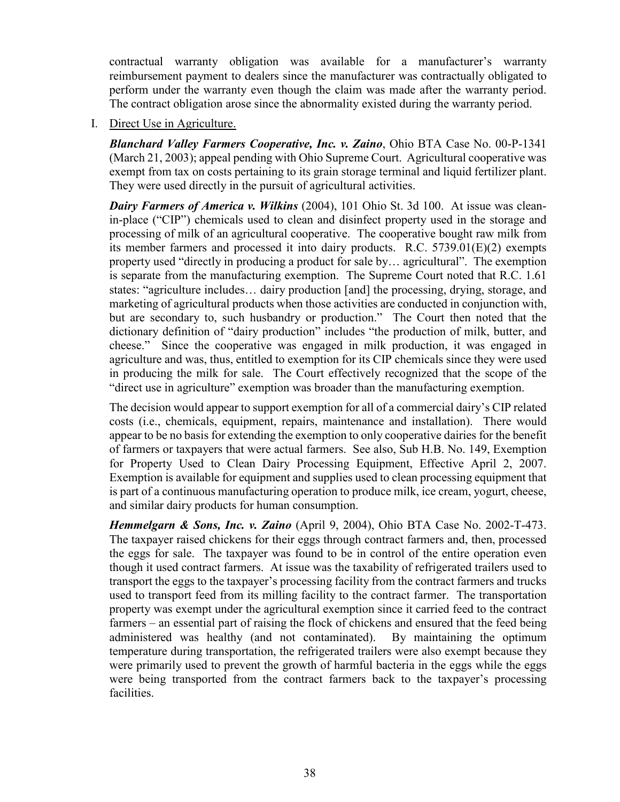contractual warranty obligation was available for a manufacturer's warranty reimbursement payment to dealers since the manufacturer was contractually obligated to perform under the warranty even though the claim was made after the warranty period. The contract obligation arose since the abnormality existed during the warranty period.

I. Direct Use in Agriculture.

*Blanchard Valley Farmers Cooperative, Inc. v. Zaino*, Ohio BTA Case No. 00-P-1341 (March 21, 2003); appeal pending with Ohio Supreme Court. Agricultural cooperative was exempt from tax on costs pertaining to its grain storage terminal and liquid fertilizer plant. They were used directly in the pursuit of agricultural activities.

*Dairy Farmers of America v. Wilkins* (2004), 101 Ohio St. 3d 100. At issue was cleanin-place ("CIP") chemicals used to clean and disinfect property used in the storage and processing of milk of an agricultural cooperative. The cooperative bought raw milk from its member farmers and processed it into dairy products. R.C. 5739.01(E)(2) exempts property used "directly in producing a product for sale by… agricultural". The exemption is separate from the manufacturing exemption. The Supreme Court noted that R.C. 1.61 states: "agriculture includes… dairy production [and] the processing, drying, storage, and marketing of agricultural products when those activities are conducted in conjunction with, but are secondary to, such husbandry or production." The Court then noted that the dictionary definition of "dairy production" includes "the production of milk, butter, and cheese." Since the cooperative was engaged in milk production, it was engaged in agriculture and was, thus, entitled to exemption for its CIP chemicals since they were used in producing the milk for sale. The Court effectively recognized that the scope of the "direct use in agriculture" exemption was broader than the manufacturing exemption.

The decision would appear to support exemption for all of a commercial dairy's CIP related costs (i.e., chemicals, equipment, repairs, maintenance and installation). There would appear to be no basis for extending the exemption to only cooperative dairies for the benefit of farmers or taxpayers that were actual farmers. See also, Sub H.B. No. 149, Exemption for Property Used to Clean Dairy Processing Equipment, Effective April 2, 2007. Exemption is available for equipment and supplies used to clean processing equipment that is part of a continuous manufacturing operation to produce milk, ice cream, yogurt, cheese, and similar dairy products for human consumption.

*Hemmelgarn & Sons, Inc. v. Zaino* (April 9, 2004), Ohio BTA Case No. 2002-T-473. The taxpayer raised chickens for their eggs through contract farmers and, then, processed the eggs for sale. The taxpayer was found to be in control of the entire operation even though it used contract farmers. At issue was the taxability of refrigerated trailers used to transport the eggs to the taxpayer's processing facility from the contract farmers and trucks used to transport feed from its milling facility to the contract farmer. The transportation property was exempt under the agricultural exemption since it carried feed to the contract farmers – an essential part of raising the flock of chickens and ensured that the feed being administered was healthy (and not contaminated). By maintaining the optimum temperature during transportation, the refrigerated trailers were also exempt because they were primarily used to prevent the growth of harmful bacteria in the eggs while the eggs were being transported from the contract farmers back to the taxpayer's processing facilities.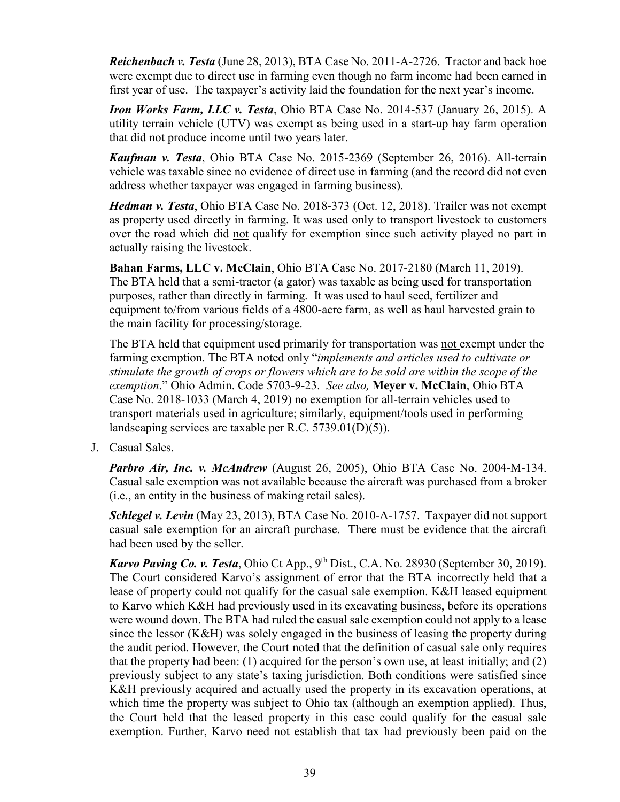*Reichenbach v. Testa* (June 28, 2013), BTA Case No. 2011-A-2726. Tractor and back hoe were exempt due to direct use in farming even though no farm income had been earned in first year of use. The taxpayer's activity laid the foundation for the next year's income.

*Iron Works Farm, LLC v. Testa*, Ohio BTA Case No. 2014-537 (January 26, 2015). A utility terrain vehicle (UTV) was exempt as being used in a start-up hay farm operation that did not produce income until two years later.

*Kaufman v. Testa*, Ohio BTA Case No. 2015-2369 (September 26, 2016). All-terrain vehicle was taxable since no evidence of direct use in farming (and the record did not even address whether taxpayer was engaged in farming business).

*Hedman v. Testa*, Ohio BTA Case No. 2018-373 (Oct. 12, 2018). Trailer was not exempt as property used directly in farming. It was used only to transport livestock to customers over the road which did not qualify for exemption since such activity played no part in actually raising the livestock.

**Bahan Farms, LLC v. McClain**, Ohio BTA Case No. 2017-2180 (March 11, 2019). The BTA held that a semi-tractor (a gator) was taxable as being used for transportation purposes, rather than directly in farming. It was used to haul seed, fertilizer and equipment to/from various fields of a 4800-acre farm, as well as haul harvested grain to the main facility for processing/storage.

The BTA held that equipment used primarily for transportation was not exempt under the farming exemption. The BTA noted only "*implements and articles used to cultivate or stimulate the growth of crops or flowers which are to be sold are within the scope of the exemption*." Ohio Admin. Code 5703-9-23. *See also,* **Meyer v. McClain**, Ohio BTA Case No. 2018-1033 (March 4, 2019) no exemption for all-terrain vehicles used to transport materials used in agriculture; similarly, equipment/tools used in performing landscaping services are taxable per R.C. 5739.01(D)(5)).

J. Casual Sales.

*Parbro Air, Inc. v. McAndrew* (August 26, 2005), Ohio BTA Case No. 2004-M-134. Casual sale exemption was not available because the aircraft was purchased from a broker (i.e., an entity in the business of making retail sales).

*Schlegel v. Levin* (May 23, 2013), BTA Case No. 2010-A-1757. Taxpayer did not support casual sale exemption for an aircraft purchase. There must be evidence that the aircraft had been used by the seller.

*Karvo Paving Co. v. Testa*, Ohio Ct App., 9<sup>th</sup> Dist., C.A. No. 28930 (September 30, 2019). The Court considered Karvo's assignment of error that the BTA incorrectly held that a lease of property could not qualify for the casual sale exemption. K&H leased equipment to Karvo which K&H had previously used in its excavating business, before its operations were wound down. The BTA had ruled the casual sale exemption could not apply to a lease since the lessor (K&H) was solely engaged in the business of leasing the property during the audit period. However, the Court noted that the definition of casual sale only requires that the property had been: (1) acquired for the person's own use, at least initially; and (2) previously subject to any state's taxing jurisdiction. Both conditions were satisfied since K&H previously acquired and actually used the property in its excavation operations, at which time the property was subject to Ohio tax (although an exemption applied). Thus, the Court held that the leased property in this case could qualify for the casual sale exemption. Further, Karvo need not establish that tax had previously been paid on the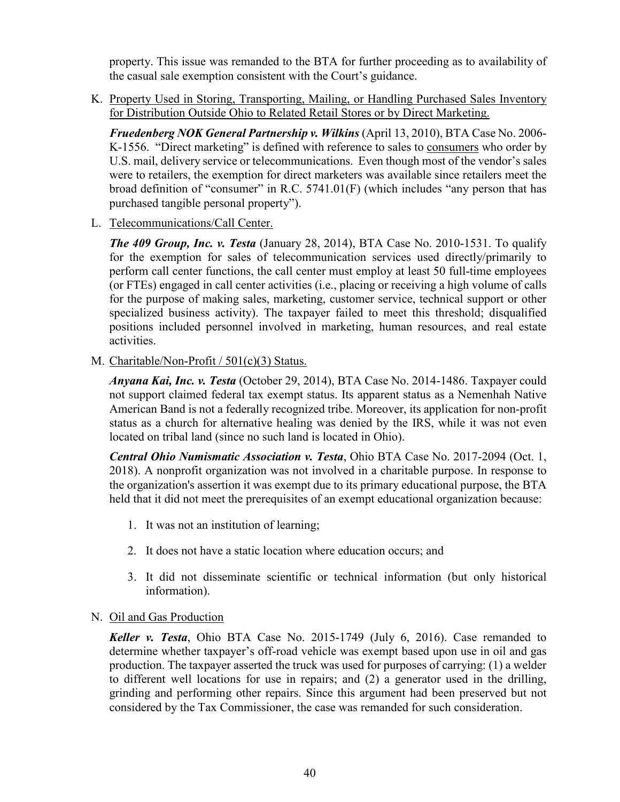property. This issue was remanded to the BTA for further proceeding as to availability of the casual sale exemption consistent with the Court's guidance.

K. Property Used in Storing, Transporting, Mailing, or Handling Purchased Sales Inventory for Distribution Outside Ohio to Related Retail Stores or by Direct Marketing.

*Fruedenberg NOK General Partnership v. Wilkins* (April 13, 2010), BTA Case No. 2006- K-1556. "Direct marketing" is defined with reference to sales to consumers who order by U.S. mail, delivery service or telecommunications. Even though most of the vendor's sales were to retailers, the exemption for direct marketers was available since retailers meet the broad definition of "consumer" in R.C. 5741.01(F) (which includes "any person that has purchased tangible personal property").

L. Telecommunications/Call Center.

*The 409 Group, Inc. v. Testa* (January 28, 2014), BTA Case No. 2010-1531. To qualify for the exemption for sales of telecommunication services used directly/primarily to perform call center functions, the call center must employ at least 50 full-time employees (or FTEs) engaged in call center activities (i.e., placing or receiving a high volume of calls for the purpose of making sales, marketing, customer service, technical support or other specialized business activity). The taxpayer failed to meet this threshold; disqualified positions included personnel involved in marketing, human resources, and real estate activities.

M. Charitable/Non-Profit / 501(c)(3) Status.

*Anyana Kai, Inc. v. Testa* (October 29, 2014), BTA Case No. 2014-1486. Taxpayer could not support claimed federal tax exempt status. Its apparent status as a Nemenhah Native American Band is not a federally recognized tribe. Moreover, its application for non-profit status as a church for alternative healing was denied by the IRS, while it was not even located on tribal land (since no such land is located in Ohio).

*Central Ohio Numismatic Association v. Testa*, Ohio BTA Case No. 2017-2094 (Oct. 1, 2018). A nonprofit organization was not involved in a charitable purpose. In response to the organization's assertion it was exempt due to its primary educational purpose, the BTA held that it did not meet the prerequisites of an exempt educational organization because:

- 1. It was not an institution of learning;
- 2. It does not have a static location where education occurs; and
- 3. It did not disseminate scientific or technical information (but only historical information).

#### N. Oil and Gas Production

*Keller v. Testa*, Ohio BTA Case No. 2015-1749 (July 6, 2016). Case remanded to determine whether taxpayer's off-road vehicle was exempt based upon use in oil and gas production. The taxpayer asserted the truck was used for purposes of carrying: (1) a welder to different well locations for use in repairs; and (2) a generator used in the drilling, grinding and performing other repairs. Since this argument had been preserved but not considered by the Tax Commissioner, the case was remanded for such consideration.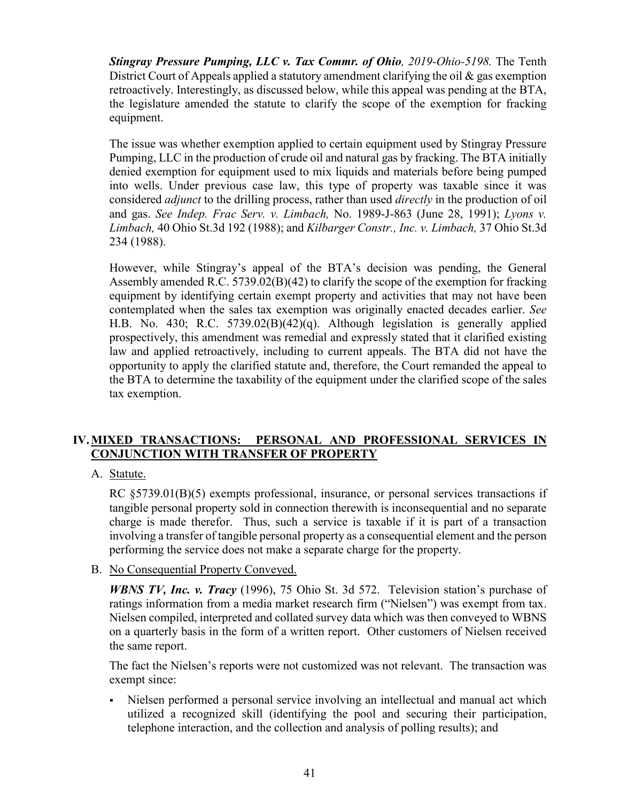*[Stingray Pressure Pumping, LLC v. Tax Commr. of Ohio](https://www.supremecourt.ohio.gov/rod/docs/pdf/10/2019/2019-Ohio-5198.pdf), 2019-Ohio-5198.* The [Tenth](https://tenthdistrictcourt.org/)  [District Court of Appeals](https://tenthdistrictcourt.org/) applied a statutory amendment clarifying the oil & gas exemption retroactively. Interestingly, as discussed below, while this appeal was pending at the [BTA,](https://bta.ohio.gov/) the legislature amended the statute to clarify the scope of the exemption for fracking equipment.

The issue was whether exemption applied to certain equipment used by Stingray Pressure Pumping, LLC in the production of crude oil and natural gas by fracking. The BTA initially denied exemption for equipment used to mix liquids and materials before being pumped into wells. Under previous case law, this type of property was taxable since it was considered *adjunct* to the drilling process, rather than used *directly* in the production of oil and gas. *See Indep. Frac Serv. v. Limbach,* No. 1989-J-863 (June 28, 1991); *Lyons v. Limbach,* 40 Ohio St.3d 192 (1988); and *Kilbarger Constr., Inc. v. Limbach,* 37 Ohio St.3d 234 (1988).

However, while Stingray's appeal of the BTA's decision was pending, the General Assembly amended R.C. 5739.02(B)(42) to clarify the scope of the exemption for fracking equipment by identifying certain exempt property and activities that may not have been contemplated when the sales tax exemption was originally enacted decades earlier. *See*  [H.B. No. 430;](https://www.legislature.ohio.gov/legislation/legislation-summary?id=GA132-HB-430) [R.C. 5739.02\(B\)\(42\)\(q\).](http://codes.ohio.gov/orc/5739.02) Although legislation is generally applied prospectively, this amendment was remedial and expressly stated that it clarified existing law and applied retroactively, including to current appeals. The BTA did not have the opportunity to apply the clarified statute and, therefore, the Court remanded the appeal to the BTA to determine the taxability of the equipment under the clarified scope of the sales tax exemption.

## **IV.MIXED TRANSACTIONS: PERSONAL AND PROFESSIONAL SERVICES IN CONJUNCTION WITH TRANSFER OF PROPERTY**

A. Statute.

RC §5739.01(B)(5) exempts professional, insurance, or personal services transactions if tangible personal property sold in connection therewith is inconsequential and no separate charge is made therefor. Thus, such a service is taxable if it is part of a transaction involving a transfer of tangible personal property as a consequential element and the person performing the service does not make a separate charge for the property.

B. No Consequential Property Conveyed.

*WBNS TV, Inc. v. Tracy* (1996), 75 Ohio St. 3d 572. Television station's purchase of ratings information from a media market research firm ("Nielsen") was exempt from tax. Nielsen compiled, interpreted and collated survey data which was then conveyed to WBNS on a quarterly basis in the form of a written report. Other customers of Nielsen received the same report.

The fact the Nielsen's reports were not customized was not relevant. The transaction was exempt since:

 Nielsen performed a personal service involving an intellectual and manual act which utilized a recognized skill (identifying the pool and securing their participation, telephone interaction, and the collection and analysis of polling results); and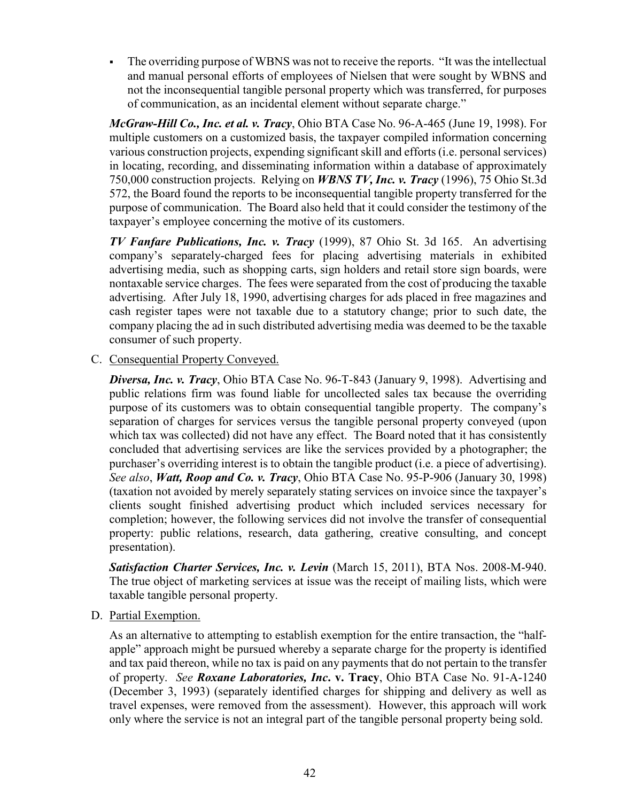• The overriding purpose of WBNS was not to receive the reports. "It was the intellectual and manual personal efforts of employees of Nielsen that were sought by WBNS and not the inconsequential tangible personal property which was transferred, for purposes of communication, as an incidental element without separate charge."

*McGraw-Hill Co., Inc. et al. v. Tracy*, Ohio BTA Case No. 96-A-465 (June 19, 1998). For multiple customers on a customized basis, the taxpayer compiled information concerning various construction projects, expending significant skill and efforts (i.e. personal services) in locating, recording, and disseminating information within a database of approximately 750,000 construction projects. Relying on *WBNS TV, Inc. v. Tracy* (1996), 75 Ohio St.3d 572, the Board found the reports to be inconsequential tangible property transferred for the purpose of communication. The Board also held that it could consider the testimony of the taxpayer's employee concerning the motive of its customers.

*TV Fanfare Publications, Inc. v. Tracy* (1999), 87 Ohio St. 3d 165. An advertising company's separately-charged fees for placing advertising materials in exhibited advertising media, such as shopping carts, sign holders and retail store sign boards, were nontaxable service charges. The fees were separated from the cost of producing the taxable advertising. After July 18, 1990, advertising charges for ads placed in free magazines and cash register tapes were not taxable due to a statutory change; prior to such date, the company placing the ad in such distributed advertising media was deemed to be the taxable consumer of such property.

#### C. Consequential Property Conveyed.

*Diversa, Inc. v. Tracy*, Ohio BTA Case No. 96-T-843 (January 9, 1998). Advertising and public relations firm was found liable for uncollected sales tax because the overriding purpose of its customers was to obtain consequential tangible property. The company's separation of charges for services versus the tangible personal property conveyed (upon which tax was collected) did not have any effect. The Board noted that it has consistently concluded that advertising services are like the services provided by a photographer; the purchaser's overriding interest is to obtain the tangible product (i.e. a piece of advertising). *See also*, *Watt, Roop and Co. v. Tracy*, Ohio BTA Case No. 95-P-906 (January 30, 1998) (taxation not avoided by merely separately stating services on invoice since the taxpayer's clients sought finished advertising product which included services necessary for completion; however, the following services did not involve the transfer of consequential property: public relations, research, data gathering, creative consulting, and concept presentation).

*Satisfaction Charter Services, Inc. v. Levin* (March 15, 2011), BTA Nos. 2008-M-940. The true object of marketing services at issue was the receipt of mailing lists, which were taxable tangible personal property.

#### D. Partial Exemption.

As an alternative to attempting to establish exemption for the entire transaction, the "halfapple" approach might be pursued whereby a separate charge for the property is identified and tax paid thereon, while no tax is paid on any payments that do not pertain to the transfer of property. *See Roxane Laboratories, Inc***. v. Tracy**, Ohio BTA Case No. 91-A-1240 (December 3, 1993) (separately identified charges for shipping and delivery as well as travel expenses, were removed from the assessment). However, this approach will work only where the service is not an integral part of the tangible personal property being sold.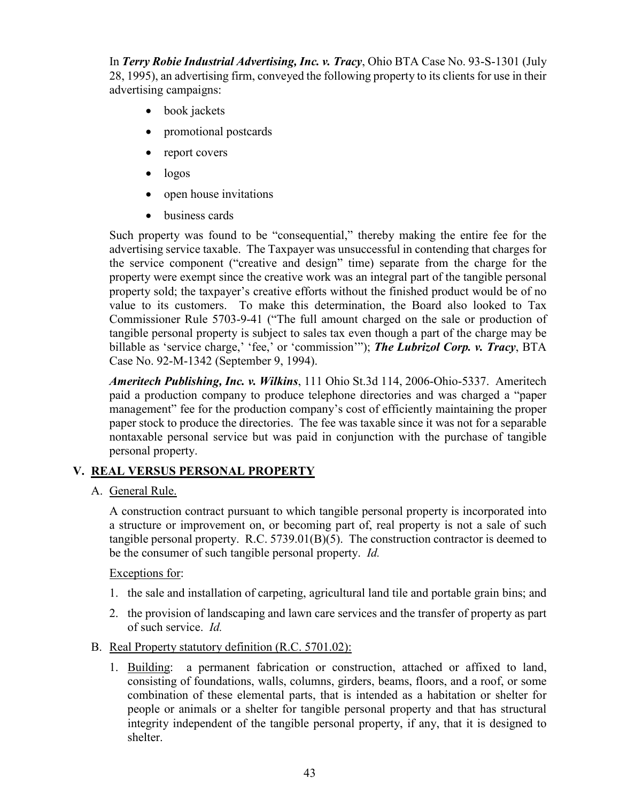In *Terry Robie Industrial Advertising, Inc. v. Tracy*, Ohio BTA Case No. 93-S-1301 (July 28, 1995), an advertising firm, conveyed the following property to its clients for use in their advertising campaigns:

- book jackets
- promotional postcards
- report covers
- logos
- open house invitations
- business cards

Such property was found to be "consequential," thereby making the entire fee for the advertising service taxable. The Taxpayer was unsuccessful in contending that charges for the service component ("creative and design" time) separate from the charge for the property were exempt since the creative work was an integral part of the tangible personal property sold; the taxpayer's creative efforts without the finished product would be of no value to its customers. To make this determination, the Board also looked to Tax Commissioner Rule 5703-9-41 ("The full amount charged on the sale or production of tangible personal property is subject to sales tax even though a part of the charge may be billable as 'service charge,' 'fee,' or 'commission'"); *The Lubrizol Corp. v. Tracy*, BTA Case No. 92-M-1342 (September 9, 1994).

*Ameritech Publishing, Inc. v. Wilkins*, 111 Ohio St.3d 114, 2006-Ohio-5337. Ameritech paid a production company to produce telephone directories and was charged a "paper management" fee for the production company's cost of efficiently maintaining the proper paper stock to produce the directories. The fee was taxable since it was not for a separable nontaxable personal service but was paid in conjunction with the purchase of tangible personal property.

# **V. REAL VERSUS PERSONAL PROPERTY**

A. General Rule.

A construction contract pursuant to which tangible personal property is incorporated into a structure or improvement on, or becoming part of, real property is not a sale of such tangible personal property. R.C. 5739.01(B)(5). The construction contractor is deemed to be the consumer of such tangible personal property. *Id.*

Exceptions for:

- 1. the sale and installation of carpeting, agricultural land tile and portable grain bins; and
- 2. the provision of landscaping and lawn care services and the transfer of property as part of such service. *Id.*
- B. Real Property statutory definition (R.C. 5701.02):
	- 1. Building: a permanent fabrication or construction, attached or affixed to land, consisting of foundations, walls, columns, girders, beams, floors, and a roof, or some combination of these elemental parts, that is intended as a habitation or shelter for people or animals or a shelter for tangible personal property and that has structural integrity independent of the tangible personal property, if any, that it is designed to shelter.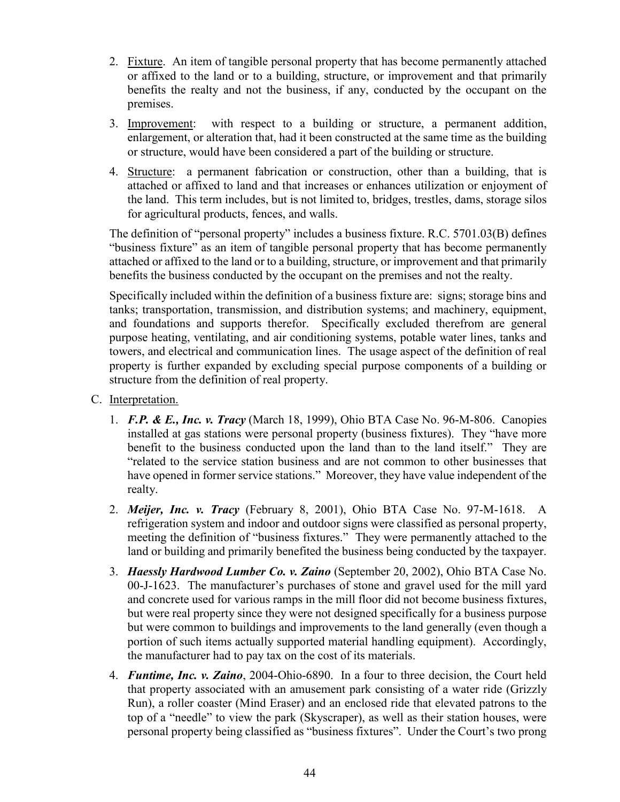- 2. Fixture. An item of tangible personal property that has become permanently attached or affixed to the land or to a building, structure, or improvement and that primarily benefits the realty and not the business, if any, conducted by the occupant on the premises.
- 3. Improvement: with respect to a building or structure, a permanent addition, enlargement, or alteration that, had it been constructed at the same time as the building or structure, would have been considered a part of the building or structure.
- 4. Structure: a permanent fabrication or construction, other than a building, that is attached or affixed to land and that increases or enhances utilization or enjoyment of the land. This term includes, but is not limited to, bridges, trestles, dams, storage silos for agricultural products, fences, and walls.

The definition of "personal property" includes a business fixture. R.C. 5701.03(B) defines "business fixture" as an item of tangible personal property that has become permanently attached or affixed to the land or to a building, structure, or improvement and that primarily benefits the business conducted by the occupant on the premises and not the realty.

Specifically included within the definition of a business fixture are: signs; storage bins and tanks; transportation, transmission, and distribution systems; and machinery, equipment, and foundations and supports therefor. Specifically excluded therefrom are general purpose heating, ventilating, and air conditioning systems, potable water lines, tanks and towers, and electrical and communication lines. The usage aspect of the definition of real property is further expanded by excluding special purpose components of a building or structure from the definition of real property.

- C. Interpretation.
	- 1. *F.P. & E., Inc. v. Tracy* (March 18, 1999), Ohio BTA Case No. 96-M-806. Canopies installed at gas stations were personal property (business fixtures). They "have more benefit to the business conducted upon the land than to the land itself." They are "related to the service station business and are not common to other businesses that have opened in former service stations." Moreover, they have value independent of the realty.
	- 2. *Meijer, Inc. v. Tracy* (February 8, 2001), Ohio BTA Case No. 97-M-1618. A refrigeration system and indoor and outdoor signs were classified as personal property, meeting the definition of "business fixtures." They were permanently attached to the land or building and primarily benefited the business being conducted by the taxpayer.
	- 3. *Haessly Hardwood Lumber Co. v. Zaino* (September 20, 2002), Ohio BTA Case No. 00-J-1623. The manufacturer's purchases of stone and gravel used for the mill yard and concrete used for various ramps in the mill floor did not become business fixtures, but were real property since they were not designed specifically for a business purpose but were common to buildings and improvements to the land generally (even though a portion of such items actually supported material handling equipment). Accordingly, the manufacturer had to pay tax on the cost of its materials.
	- 4. *Funtime, Inc. v. Zaino*, 2004-Ohio-6890. In a four to three decision, the Court held that property associated with an amusement park consisting of a water ride (Grizzly Run), a roller coaster (Mind Eraser) and an enclosed ride that elevated patrons to the top of a "needle" to view the park (Skyscraper), as well as their station houses, were personal property being classified as "business fixtures". Under the Court's two prong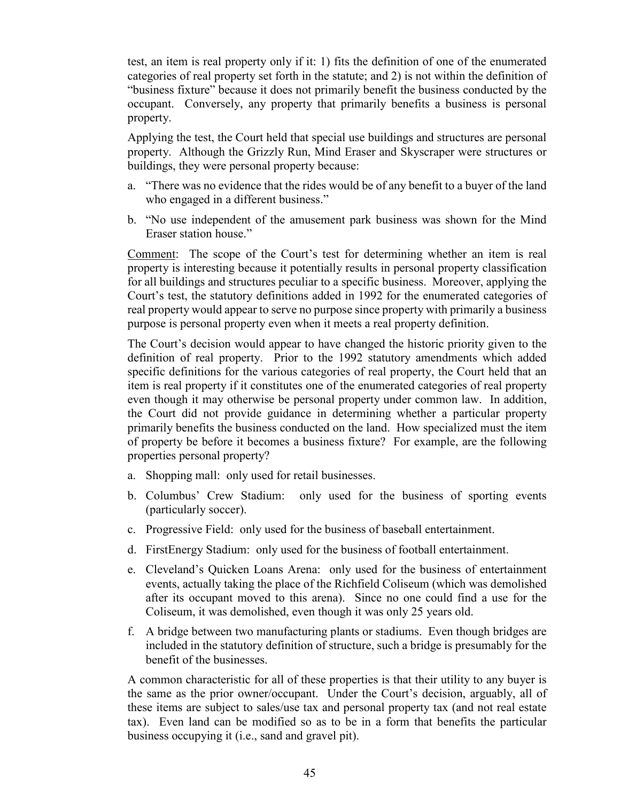test, an item is real property only if it: 1) fits the definition of one of the enumerated categories of real property set forth in the statute; and 2) is not within the definition of "business fixture" because it does not primarily benefit the business conducted by the occupant. Conversely, any property that primarily benefits a business is personal property.

Applying the test, the Court held that special use buildings and structures are personal property. Although the Grizzly Run, Mind Eraser and Skyscraper were structures or buildings, they were personal property because:

- a. "There was no evidence that the rides would be of any benefit to a buyer of the land who engaged in a different business."
- b. "No use independent of the amusement park business was shown for the Mind Eraser station house."

Comment: The scope of the Court's test for determining whether an item is real property is interesting because it potentially results in personal property classification for all buildings and structures peculiar to a specific business. Moreover, applying the Court's test, the statutory definitions added in 1992 for the enumerated categories of real property would appear to serve no purpose since property with primarily a business purpose is personal property even when it meets a real property definition.

The Court's decision would appear to have changed the historic priority given to the definition of real property. Prior to the 1992 statutory amendments which added specific definitions for the various categories of real property, the Court held that an item is real property if it constitutes one of the enumerated categories of real property even though it may otherwise be personal property under common law. In addition, the Court did not provide guidance in determining whether a particular property primarily benefits the business conducted on the land. How specialized must the item of property be before it becomes a business fixture? For example, are the following properties personal property?

- a. Shopping mall: only used for retail businesses.
- b. Columbus' Crew Stadium: only used for the business of sporting events (particularly soccer).
- c. Progressive Field: only used for the business of baseball entertainment.
- d. FirstEnergy Stadium: only used for the business of football entertainment.
- e. Cleveland's Quicken Loans Arena: only used for the business of entertainment events, actually taking the place of the Richfield Coliseum (which was demolished after its occupant moved to this arena). Since no one could find a use for the Coliseum, it was demolished, even though it was only 25 years old.
- f. A bridge between two manufacturing plants or stadiums. Even though bridges are included in the statutory definition of structure, such a bridge is presumably for the benefit of the businesses.

A common characteristic for all of these properties is that their utility to any buyer is the same as the prior owner/occupant. Under the Court's decision, arguably, all of these items are subject to sales/use tax and personal property tax (and not real estate tax). Even land can be modified so as to be in a form that benefits the particular business occupying it (i.e., sand and gravel pit).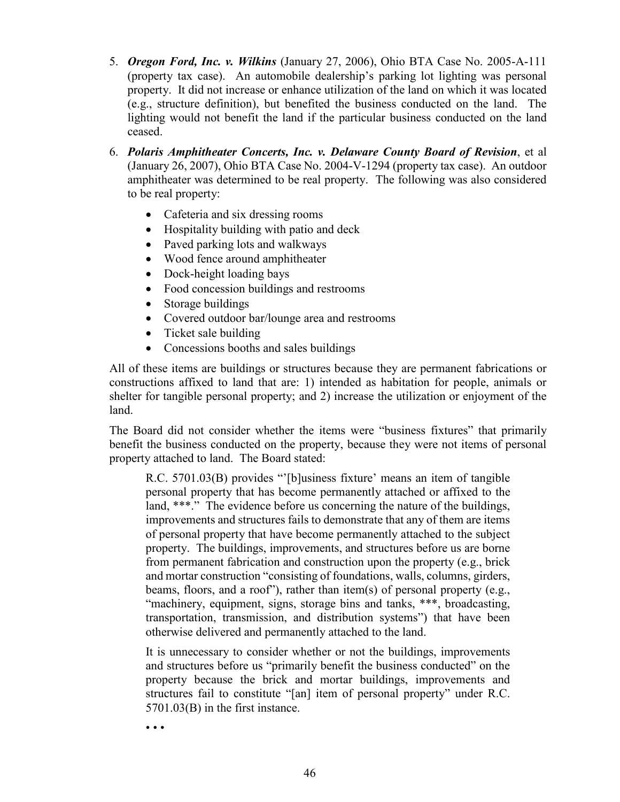- 5. *Oregon Ford, Inc. v. Wilkins* (January 27, 2006), Ohio BTA Case No. 2005-A-111 (property tax case). An automobile dealership's parking lot lighting was personal property. It did not increase or enhance utilization of the land on which it was located (e.g., structure definition), but benefited the business conducted on the land. The lighting would not benefit the land if the particular business conducted on the land ceased.
- 6. *Polaris Amphitheater Concerts, Inc. v. Delaware County Board of Revision*, et al (January 26, 2007), Ohio BTA Case No. 2004-V-1294 (property tax case). An outdoor amphitheater was determined to be real property. The following was also considered to be real property:
	- Cafeteria and six dressing rooms
	- Hospitality building with patio and deck
	- Paved parking lots and walkways
	- Wood fence around amphitheater
	- Dock-height loading bays
	- Food concession buildings and restrooms
	- Storage buildings
	- Covered outdoor bar/lounge area and restrooms
	- Ticket sale building
	- Concessions booths and sales buildings

All of these items are buildings or structures because they are permanent fabrications or constructions affixed to land that are: 1) intended as habitation for people, animals or shelter for tangible personal property; and 2) increase the utilization or enjoyment of the land.

The Board did not consider whether the items were "business fixtures" that primarily benefit the business conducted on the property, because they were not items of personal property attached to land. The Board stated:

R.C. 5701.03(B) provides "'[b]usiness fixture' means an item of tangible personal property that has become permanently attached or affixed to the land, \*\*\*." The evidence before us concerning the nature of the buildings, improvements and structures fails to demonstrate that any of them are items of personal property that have become permanently attached to the subject property. The buildings, improvements, and structures before us are borne from permanent fabrication and construction upon the property (e.g., brick and mortar construction "consisting of foundations, walls, columns, girders, beams, floors, and a roof"), rather than item(s) of personal property (e.g., "machinery, equipment, signs, storage bins and tanks, \*\*\*, broadcasting, transportation, transmission, and distribution systems") that have been otherwise delivered and permanently attached to the land.

It is unnecessary to consider whether or not the buildings, improvements and structures before us "primarily benefit the business conducted" on the property because the brick and mortar buildings, improvements and structures fail to constitute "[an] item of personal property" under R.C. 5701.03(B) in the first instance.

• • •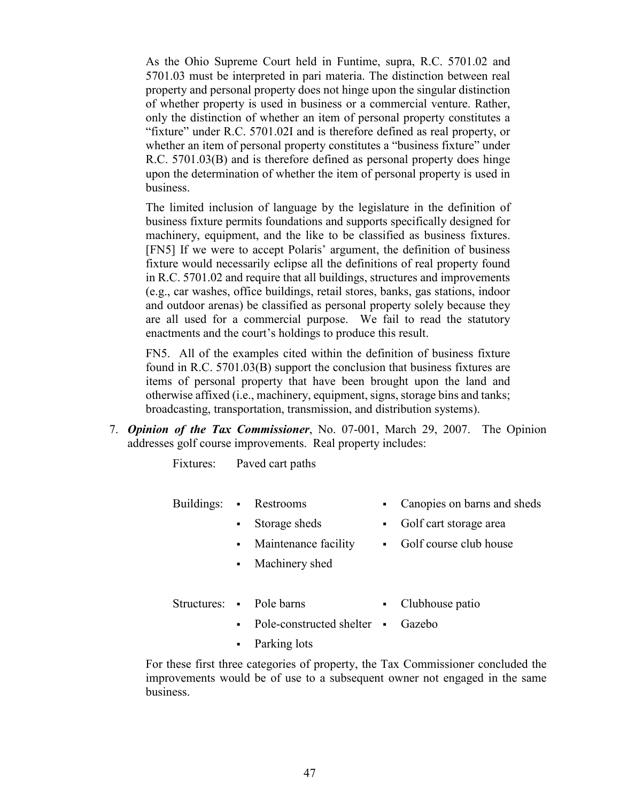As the Ohio Supreme Court held in Funtime, supra, R.C. 5701.02 and 5701.03 must be interpreted in pari materia. The distinction between real property and personal property does not hinge upon the singular distinction of whether property is used in business or a commercial venture. Rather, only the distinction of whether an item of personal property constitutes a "fixture" under R.C. 5701.02I and is therefore defined as real property, or whether an item of personal property constitutes a "business fixture" under R.C. 5701.03(B) and is therefore defined as personal property does hinge upon the determination of whether the item of personal property is used in business.

The limited inclusion of language by the legislature in the definition of business fixture permits foundations and supports specifically designed for machinery, equipment, and the like to be classified as business fixtures. [FN5] If we were to accept Polaris' argument, the definition of business fixture would necessarily eclipse all the definitions of real property found in R.C. 5701.02 and require that all buildings, structures and improvements (e.g., car washes, office buildings, retail stores, banks, gas stations, indoor and outdoor arenas) be classified as personal property solely because they are all used for a commercial purpose. We fail to read the statutory enactments and the court's holdings to produce this result.

FN5. All of the examples cited within the definition of business fixture found in R.C. 5701.03(B) support the conclusion that business fixtures are items of personal property that have been brought upon the land and otherwise affixed (i.e., machinery, equipment, signs, storage bins and tanks; broadcasting, transportation, transmission, and distribution systems).

7. *Opinion of the Tax Commissioner*, No. 07-001, March 29, 2007. The Opinion addresses golf course improvements. Real property includes:

Fixtures: Paved cart paths

- Buildings: Restrooms **Canopies on barns and sheds** 
	- Storage sheds **Golf** cart storage area
		-
	- Machinery shed
	- Maintenance facility Golf course club house
- Structures: Pole barns Clubhouse patio
- - Pole-constructed shelter Gazebo
	- Parking lots

For these first three categories of property, the Tax Commissioner concluded the improvements would be of use to a subsequent owner not engaged in the same business.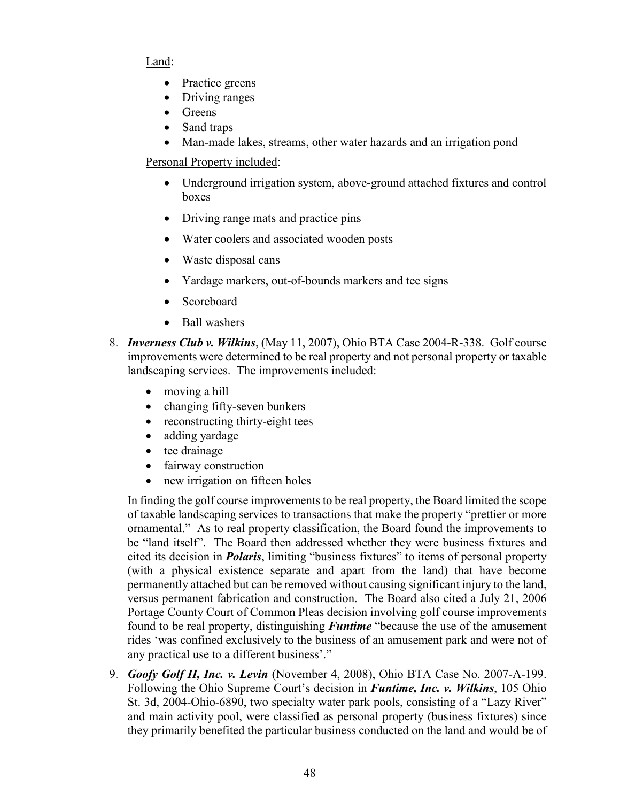## Land:

- Practice greens
- Driving ranges
- Greens
- Sand traps
- Man-made lakes, streams, other water hazards and an irrigation pond

## Personal Property included:

- Underground irrigation system, above-ground attached fixtures and control boxes
- Driving range mats and practice pins
- Water coolers and associated wooden posts
- Waste disposal cans
- Yardage markers, out-of-bounds markers and tee signs
- **Scoreboard**
- Ball washers
- 8. *Inverness Club v. Wilkins*, (May 11, 2007), Ohio BTA Case 2004-R-338. Golf course improvements were determined to be real property and not personal property or taxable landscaping services. The improvements included:
	- moving a hill
	- changing fifty-seven bunkers
	- reconstructing thirty-eight tees
	- adding yardage
	- tee drainage
	- fairway construction
	- new irrigation on fifteen holes

In finding the golf course improvements to be real property, the Board limited the scope of taxable landscaping services to transactions that make the property "prettier or more ornamental." As to real property classification, the Board found the improvements to be "land itself". The Board then addressed whether they were business fixtures and cited its decision in *Polaris*, limiting "business fixtures" to items of personal property (with a physical existence separate and apart from the land) that have become permanently attached but can be removed without causing significant injury to the land, versus permanent fabrication and construction. The Board also cited a July 21, 2006 Portage County Court of Common Pleas decision involving golf course improvements found to be real property, distinguishing *Funtime* "because the use of the amusement rides 'was confined exclusively to the business of an amusement park and were not of any practical use to a different business'."

9. *Goofy Golf II, Inc. v. Levin* (November 4, 2008), Ohio BTA Case No. 2007-A-199. Following the Ohio Supreme Court's decision in *Funtime, Inc. v. Wilkins*, 105 Ohio St. 3d, 2004-Ohio-6890, two specialty water park pools, consisting of a "Lazy River" and main activity pool, were classified as personal property (business fixtures) since they primarily benefited the particular business conducted on the land and would be of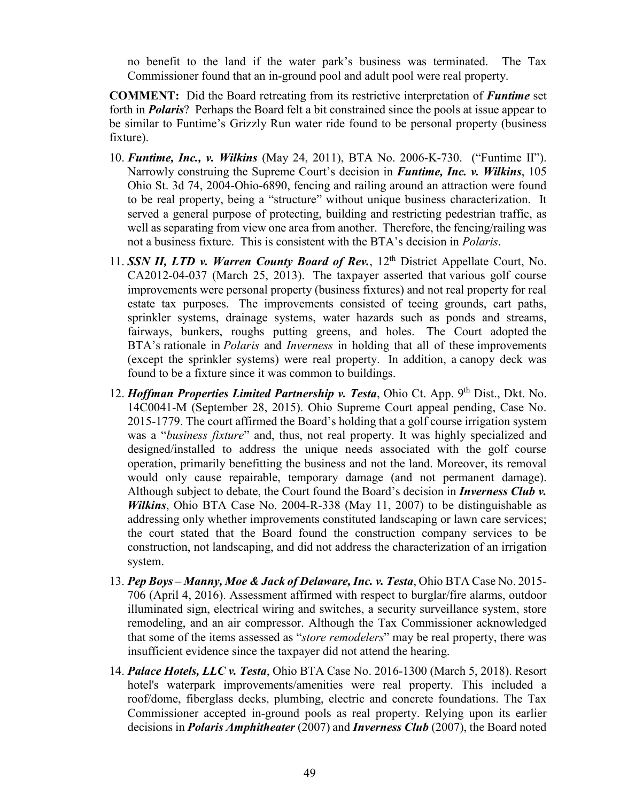no benefit to the land if the water park's business was terminated. The Tax Commissioner found that an in-ground pool and adult pool were real property.

**COMMENT:** Did the Board retreating from its restrictive interpretation of *Funtime* set forth in *Polaris*? Perhaps the Board felt a bit constrained since the pools at issue appear to be similar to Funtime's Grizzly Run water ride found to be personal property (business fixture).

- 10. *Funtime, Inc., v. Wilkins* (May 24, 2011), BTA No. 2006-K-730. ("Funtime II"). Narrowly construing the Supreme Court's decision in *Funtime, Inc. v. Wilkins*, 105 Ohio St. 3d 74, 2004-Ohio-6890, fencing and railing around an attraction were found to be real property, being a "structure" without unique business characterization. It served a general purpose of protecting, building and restricting pedestrian traffic, as well as separating from view one area from another. Therefore, the fencing/railing was not a business fixture. This is consistent with the BTA's decision in *Polaris*.
- 11. **SSN II, LTD v. Warren County Board of Rev.**, 12<sup>th</sup> District Appellate Court, No. CA2012-04-037 (March 25, 2013). The taxpayer asserted that various golf course improvements were personal property (business fixtures) and not real property for real estate tax purposes. The improvements consisted of teeing grounds, cart paths, sprinkler systems, drainage systems, water hazards such as ponds and streams, fairways, bunkers, roughs putting greens, and holes. The Court adopted the BTA's rationale in *Polaris* and *Inverness* in holding that all of these improvements (except the sprinkler systems) were real property. In addition, a canopy deck was found to be a fixture since it was common to buildings.
- 12. *Hoffman Properties Limited Partnership v. Testa*, Ohio Ct. App. 9<sup>th</sup> Dist., Dkt. No. 14C0041-M (September 28, 2015). Ohio Supreme Court appeal pending, Case No. 2015-1779. The court affirmed the Board's holding that a golf course irrigation system was a "*business fixture*" and, thus, not real property. It was highly specialized and designed/installed to address the unique needs associated with the golf course operation, primarily benefitting the business and not the land. Moreover, its removal would only cause repairable, temporary damage (and not permanent damage). Although subject to debate, the Court found the Board's decision in *Inverness Club v. Wilkins*, Ohio BTA Case No. 2004-R-338 (May 11, 2007) to be distinguishable as addressing only whether improvements constituted landscaping or lawn care services; the court stated that the Board found the construction company services to be construction, not landscaping, and did not address the characterization of an irrigation system.
- 13. *Pep Boys – Manny, Moe & Jack of Delaware, Inc. v. Testa*, Ohio BTA Case No. 2015- 706 (April 4, 2016). Assessment affirmed with respect to burglar/fire alarms, outdoor illuminated sign, electrical wiring and switches, a security surveillance system, store remodeling, and an air compressor. Although the Tax Commissioner acknowledged that some of the items assessed as "*store remodelers*" may be real property, there was insufficient evidence since the taxpayer did not attend the hearing.
- 14. *Palace Hotels, LLC v. Testa*, Ohio BTA Case No. 2016-1300 (March 5, 2018). Resort hotel's waterpark improvements/amenities were real property. This included a roof/dome, fiberglass decks, plumbing, electric and concrete foundations. The Tax Commissioner accepted in-ground pools as real property. Relying upon its earlier decisions in *Polaris Amphitheater* (2007) and *Inverness Club* (2007), the Board noted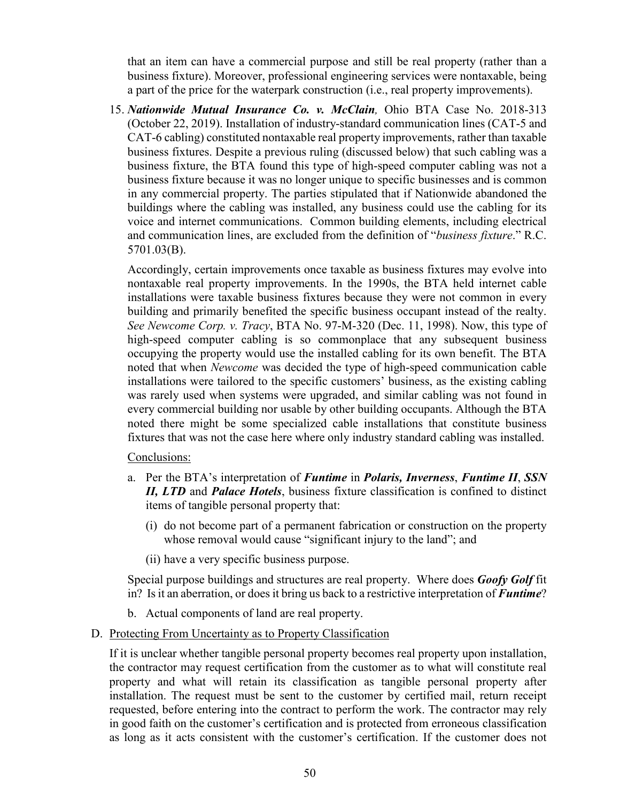that an item can have a commercial purpose and still be real property (rather than a business fixture). Moreover, professional engineering services were nontaxable, being a part of the price for the waterpark construction (i.e., real property improvements).

15. *[Nationwide Mutual Insurance Co. v. McClain](https://ohio-bta.modria.com/download?BID=925990),* Ohio BTA Case No. 2018-313 [\(October 22, 2019\).](https://ohio-bta.modria.com/download?BID=925990) Installation of industry-standard communication lines (CAT-5 and CAT-6 cabling) constituted nontaxable real property improvements, rather than taxable business fixtures. Despite a previous ruling (discussed below) that such cabling was a business fixture, the BTA found this type of high-speed computer cabling was not a business fixture because it was no longer unique to specific businesses and is common in any commercial property. The parties stipulated that if Nationwide abandoned the buildings where the cabling was installed, any business could use the cabling for its voice and internet communications. Common building elements, including electrical and communication lines, are excluded from the definition of "*business fixture*." [R.C.](http://codes.ohio.gov/orc/5701.03)  [5701.03\(B\).](http://codes.ohio.gov/orc/5701.03)

Accordingly, certain improvements once taxable as business fixtures may evolve into nontaxable real property improvements. In the 1990s, the BTA held internet cable installations were taxable business fixtures because they were not common in every building and primarily benefited the specific business occupant instead of the realty. *See Newcome Corp. v. Tracy*[, BTA No. 97-M-320 \(Dec. 11, 1998\).](https://ohio-bta.modria.com/download?BID=200852) Now, this type of high-speed computer cabling is so commonplace that any subsequent business occupying the property would use the installed cabling for its own benefit. The BTA noted that when *Newcome* was decided the type of high-speed communication cable installations were tailored to the specific customers' business, as the existing cabling was rarely used when systems were upgraded, and similar cabling was not found in every commercial building nor usable by other building occupants. Although the BTA noted there might be some specialized cable installations that constitute business fixtures that was not the case here where only industry standard cabling was installed.

Conclusions:

- a. Per the BTA's interpretation of *Funtime* in *Polaris, Inverness*, *Funtime II*, *SSN II, LTD* and *Palace Hotels*, business fixture classification is confined to distinct items of tangible personal property that:
	- (i) do not become part of a permanent fabrication or construction on the property whose removal would cause "significant injury to the land"; and
	- (ii) have a very specific business purpose.

Special purpose buildings and structures are real property. Where does *Goofy Golf* fit in? Is it an aberration, or does it bring us back to a restrictive interpretation of *Funtime*?

- b. Actual components of land are real property.
- D. Protecting From Uncertainty as to Property Classification

If it is unclear whether tangible personal property becomes real property upon installation, the contractor may request certification from the customer as to what will constitute real property and what will retain its classification as tangible personal property after installation. The request must be sent to the customer by certified mail, return receipt requested, before entering into the contract to perform the work. The contractor may rely in good faith on the customer's certification and is protected from erroneous classification as long as it acts consistent with the customer's certification. If the customer does not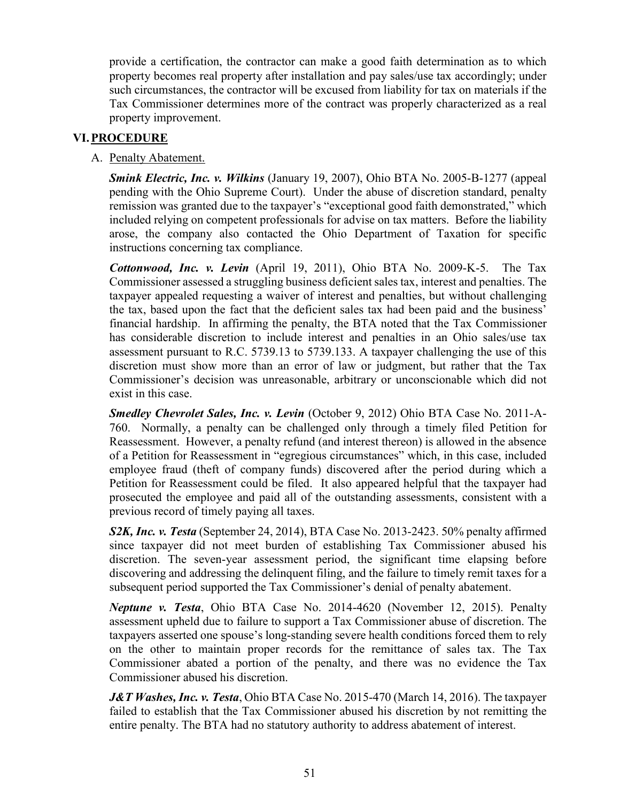provide a certification, the contractor can make a good faith determination as to which property becomes real property after installation and pay sales/use tax accordingly; under such circumstances, the contractor will be excused from liability for tax on materials if the Tax Commissioner determines more of the contract was properly characterized as a real property improvement.

# **VI.PROCEDURE**

## A. Penalty Abatement.

*Smink Electric, Inc. v. Wilkins* (January 19, 2007), Ohio BTA No. 2005-B-1277 (appeal pending with the Ohio Supreme Court). Under the abuse of discretion standard, penalty remission was granted due to the taxpayer's "exceptional good faith demonstrated," which included relying on competent professionals for advise on tax matters. Before the liability arose, the company also contacted the Ohio Department of Taxation for specific instructions concerning tax compliance.

*Cottonwood, Inc. v. Levin* (April 19, 2011), Ohio BTA No. 2009-K-5. The Tax Commissioner assessed a struggling business deficient sales tax, interest and penalties. The taxpayer appealed requesting a waiver of interest and penalties, but without challenging the tax, based upon the fact that the deficient sales tax had been paid and the business' financial hardship. In affirming the penalty, the BTA noted that the Tax Commissioner has considerable discretion to include interest and penalties in an Ohio sales/use tax assessment pursuant to R.C. 5739.13 to 5739.133. A taxpayer challenging the use of this discretion must show more than an error of law or judgment, but rather that the Tax Commissioner's decision was unreasonable, arbitrary or unconscionable which did not exist in this case.

*Smedley Chevrolet Sales, Inc. v. Levin* (October 9, 2012) Ohio BTA Case No. 2011-A-760. Normally, a penalty can be challenged only through a timely filed Petition for Reassessment. However, a penalty refund (and interest thereon) is allowed in the absence of a Petition for Reassessment in "egregious circumstances" which, in this case, included employee fraud (theft of company funds) discovered after the period during which a Petition for Reassessment could be filed. It also appeared helpful that the taxpayer had prosecuted the employee and paid all of the outstanding assessments, consistent with a previous record of timely paying all taxes.

*S2K, Inc. v. Testa* (September 24, 2014), BTA Case No. 2013-2423. 50% penalty affirmed since taxpayer did not meet burden of establishing Tax Commissioner abused his discretion. The seven-year assessment period, the significant time elapsing before discovering and addressing the delinquent filing, and the failure to timely remit taxes for a subsequent period supported the Tax Commissioner's denial of penalty abatement.

*Neptune v. Testa*, Ohio BTA Case No. 2014-4620 (November 12, 2015). Penalty assessment upheld due to failure to support a Tax Commissioner abuse of discretion. The taxpayers asserted one spouse's long-standing severe health conditions forced them to rely on the other to maintain proper records for the remittance of sales tax. The Tax Commissioner abated a portion of the penalty, and there was no evidence the Tax Commissioner abused his discretion.

*J&T Washes, Inc. v. Testa*, Ohio BTA Case No. 2015-470 (March 14, 2016). The taxpayer failed to establish that the Tax Commissioner abused his discretion by not remitting the entire penalty. The BTA had no statutory authority to address abatement of interest.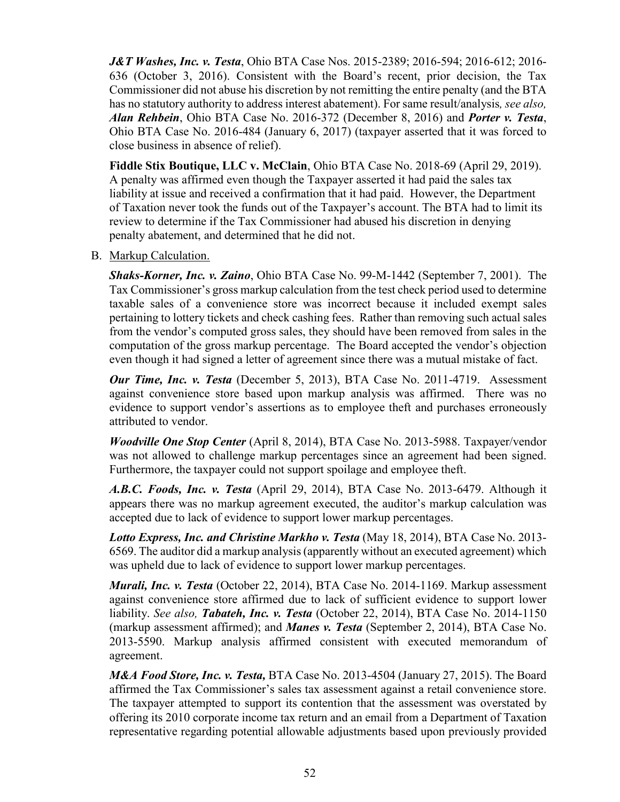*J&T Washes, Inc. v. Testa*, Ohio BTA Case Nos. 2015-2389; 2016-594; 2016-612; 2016- 636 (October 3, 2016). Consistent with the Board's recent, prior decision, the Tax Commissioner did not abuse his discretion by not remitting the entire penalty (and the BTA has no statutory authority to address interest abatement). For same result/analysis*, see also, Alan Rehbein*, Ohio BTA Case No. 2016-372 (December 8, 2016) and *Porter v. Testa*, Ohio BTA Case No. 2016-484 (January 6, 2017) (taxpayer asserted that it was forced to close business in absence of relief).

**Fiddle Stix Boutique, LLC v. McClain**, Ohio BTA Case No. 2018-69 (April 29, 2019). A penalty was affirmed even though the Taxpayer asserted it had paid the sales tax liability at issue and received a confirmation that it had paid. However, the Department of Taxation never took the funds out of the Taxpayer's account. The BTA had to limit its review to determine if the Tax Commissioner had abused his discretion in denying penalty abatement, and determined that he did not.

#### B. Markup Calculation.

*Shaks-Korner, Inc. v. Zaino*, Ohio BTA Case No. 99-M-1442 (September 7, 2001). The Tax Commissioner's gross markup calculation from the test check period used to determine taxable sales of a convenience store was incorrect because it included exempt sales pertaining to lottery tickets and check cashing fees. Rather than removing such actual sales from the vendor's computed gross sales, they should have been removed from sales in the computation of the gross markup percentage. The Board accepted the vendor's objection even though it had signed a letter of agreement since there was a mutual mistake of fact.

*Our Time, Inc. v. Testa* (December 5, 2013), BTA Case No. 2011-4719. Assessment against convenience store based upon markup analysis was affirmed. There was no evidence to support vendor's assertions as to employee theft and purchases erroneously attributed to vendor.

*Woodville One Stop Center* (April 8, 2014), BTA Case No. 2013-5988. Taxpayer/vendor was not allowed to challenge markup percentages since an agreement had been signed. Furthermore, the taxpayer could not support spoilage and employee theft.

*A.B.C. Foods, Inc. v. Testa* (April 29, 2014), BTA Case No. 2013-6479. Although it appears there was no markup agreement executed, the auditor's markup calculation was accepted due to lack of evidence to support lower markup percentages.

*Lotto Express, Inc. and Christine Markho v. Testa* (May 18, 2014), BTA Case No. 2013- 6569. The auditor did a markup analysis (apparently without an executed agreement) which was upheld due to lack of evidence to support lower markup percentages.

*Murali, Inc. v. Testa* (October 22, 2014), BTA Case No. 2014-1169. Markup assessment against convenience store affirmed due to lack of sufficient evidence to support lower liability. *See also, Tabateh, Inc. v. Testa* (October 22, 2014), BTA Case No. 2014-1150 (markup assessment affirmed); and *Manes v. Testa* (September 2, 2014), BTA Case No. 2013-5590. Markup analysis affirmed consistent with executed memorandum of agreement.

*M&A Food Store, Inc. v. Testa,* BTA Case [No. 2013-4504 \(January 27, 2015\).](https://ohio-bta.modria.com/casedetails/59586) The Board affirmed the [Tax Commissioner'](http://www.tax.ohio.gov/communications/tax_commissioner_bio.aspx)s sales tax assessment against a retail convenience store. The taxpayer attempted to support its contention that the assessment was overstated by offering its 2010 corporate income tax return and an email from a [Department of Taxation](http://www.tax.ohio.gov/communications/tax_commissioner_bio.aspx) representative regarding potential allowable adjustments based upon previously provided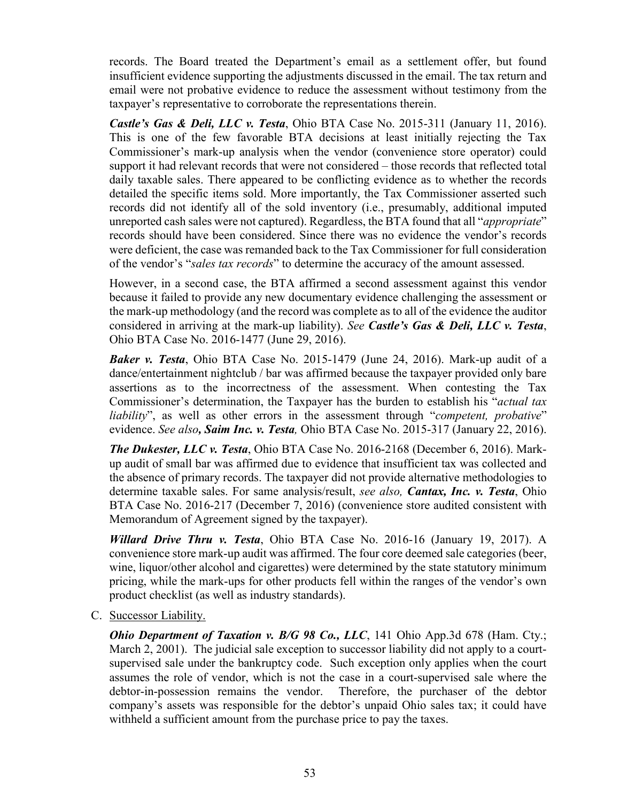records. The [Board](http://bta.ohio.gov/) treated the Department's email as a settlement offer, but found insufficient evidence supporting the adjustments discussed in the email. The tax return and email were not probative evidence to reduce the assessment without testimony from the taxpayer's representative to corroborate the representations therein.

*Castle's Gas & Deli, LLC v. Testa*, Ohio BTA Case No. 2015-311 (January 11, 2016). This is one of the few favorable BTA decisions at least initially rejecting the Tax Commissioner's mark-up analysis when the vendor (convenience store operator) could support it had relevant records that were not considered – those records that reflected total daily taxable sales. There appeared to be conflicting evidence as to whether the records detailed the specific items sold. More importantly, the Tax Commissioner asserted such records did not identify all of the sold inventory (i.e., presumably, additional imputed unreported cash sales were not captured). Regardless, the BTA found that all "*appropriate*" records should have been considered. Since there was no evidence the vendor's records were deficient, the case was remanded back to the Tax Commissioner for full consideration of the vendor's "*sales tax records*" to determine the accuracy of the amount assessed.

However, in a second case, the BTA affirmed a second assessment against this vendor because it failed to provide any new documentary evidence challenging the assessment or the mark-up methodology (and the record was complete as to all of the evidence the auditor considered in arriving at the mark-up liability). *See Castle's Gas & Deli, LLC v. Testa*, Ohio BTA Case No. 2016-1477 (June 29, 2016).

*Baker v. Testa*, Ohio BTA Case No. 2015-1479 (June 24, 2016). Mark-up audit of a dance/entertainment nightclub / bar was affirmed because the taxpayer provided only bare assertions as to the incorrectness of the assessment. When contesting the Tax Commissioner's determination, the Taxpayer has the burden to establish his "*actual tax liability*", as well as other errors in the assessment through "*competent, probative*" evidence. *See also, Saim Inc. v. Testa,* Ohio BTA Case No. 2015-317 (January 22, 2016).

*The Dukester, LLC v. Testa*, Ohio BTA Case No. 2016-2168 (December 6, 2016). Markup audit of small bar was affirmed due to evidence that insufficient tax was collected and the absence of primary records. The taxpayer did not provide alternative methodologies to determine taxable sales. For same analysis/result, *see also, Cantax, Inc. v. Testa*, Ohio BTA Case No. 2016-217 (December 7, 2016) (convenience store audited consistent with Memorandum of Agreement signed by the taxpayer).

*Willard Drive Thru v. Testa*, Ohio BTA Case No. 2016-16 (January 19, 2017). A convenience store mark-up audit was affirmed. The four core deemed sale categories (beer, wine, liquor/other alcohol and cigarettes) were determined by the state statutory minimum pricing, while the mark-ups for other products fell within the ranges of the vendor's own product checklist (as well as industry standards).

C. Successor Liability.

*Ohio Department of Taxation v. B/G 98 Co., LLC*, 141 Ohio App.3d 678 (Ham. Cty.; March 2, 2001). The judicial sale exception to successor liability did not apply to a courtsupervised sale under the bankruptcy code. Such exception only applies when the court assumes the role of vendor, which is not the case in a court-supervised sale where the debtor-in-possession remains the vendor. Therefore, the purchaser of the debtor company's assets was responsible for the debtor's unpaid Ohio sales tax; it could have withheld a sufficient amount from the purchase price to pay the taxes.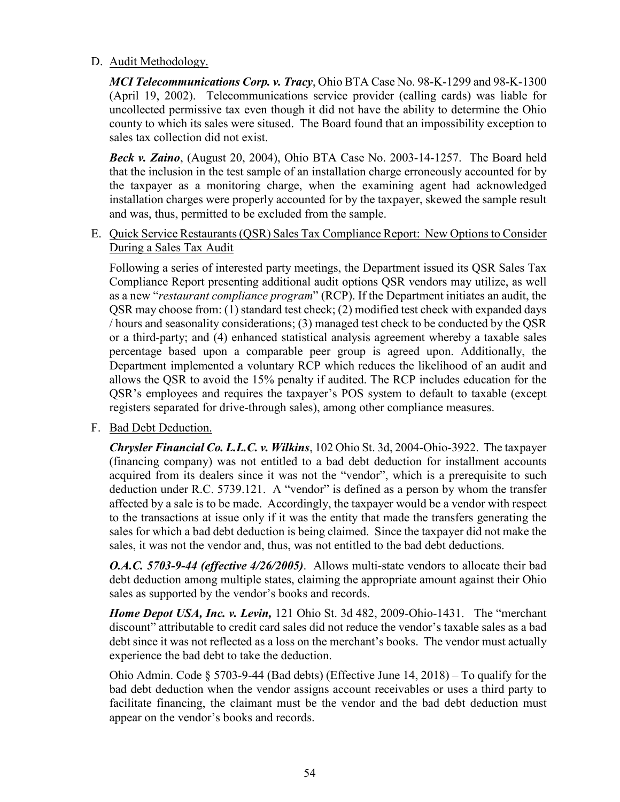## D. Audit Methodology.

*MCI Telecommunications Corp. v. Tracy*, Ohio BTA Case No. 98-K-1299 and 98-K-1300 (April 19, 2002). Telecommunications service provider (calling cards) was liable for uncollected permissive tax even though it did not have the ability to determine the Ohio county to which its sales were sitused. The Board found that an impossibility exception to sales tax collection did not exist.

*Beck v. Zaino*, (August 20, 2004), Ohio BTA Case No. 2003-14-1257. The Board held that the inclusion in the test sample of an installation charge erroneously accounted for by the taxpayer as a monitoring charge, when the examining agent had acknowledged installation charges were properly accounted for by the taxpayer, skewed the sample result and was, thus, permitted to be excluded from the sample.

E. Quick Service Restaurants (QSR) Sales Tax Compliance Report: New Options to Consider During a Sales Tax Audit

Following a series of interested party meetings, the Department issued its [QSR Sales Tax](http://www.tax.ohio.gov/Portals/0/communications/QSR%20REPORT%20FINAL.pdf)  [Compliance Report](http://www.tax.ohio.gov/Portals/0/communications/QSR%20REPORT%20FINAL.pdf) presenting additional audit options QSR vendors may utilize, as well as a new "*restaurant compliance program*" (RCP). If the Department initiates an audit, the QSR may choose from: (1) standard test check; (2) modified test check with expanded days / hours and seasonality considerations; (3) managed test check to be conducted by the QSR or a third-party; and (4) enhanced statistical analysis agreement whereby a taxable sales percentage based upon a comparable peer group is agreed upon. Additionally, the Department implemented a voluntary RCP which reduces the likelihood of an audit and allows the QSR to avoid the 15% penalty if audited. The RCP includes education for the QSR's employees and requires the taxpayer's POS system to default to taxable (except registers separated for drive-through sales), among other compliance measures.

F. Bad Debt Deduction.

*Chrysler Financial Co. L.L.C. v. Wilkins*, 102 Ohio St. 3d, 2004-Ohio-3922. The taxpayer (financing company) was not entitled to a bad debt deduction for installment accounts acquired from its dealers since it was not the "vendor", which is a prerequisite to such deduction under R.C. 5739.121. A "vendor" is defined as a person by whom the transfer affected by a sale is to be made. Accordingly, the taxpayer would be a vendor with respect to the transactions at issue only if it was the entity that made the transfers generating the sales for which a bad debt deduction is being claimed. Since the taxpayer did not make the sales, it was not the vendor and, thus, was not entitled to the bad debt deductions.

*O.A.C. 5703-9-44 (effective 4/26/2005)*. Allows multi-state vendors to allocate their bad debt deduction among multiple states, claiming the appropriate amount against their Ohio sales as supported by the vendor's books and records.

*Home Depot USA, Inc. v. Levin,* 121 Ohio St. 3d 482, 2009-Ohio-1431. The "merchant discount" attributable to credit card sales did not reduce the vendor's taxable sales as a bad debt since it was not reflected as a loss on the merchant's books. The vendor must actually experience the bad debt to take the deduction.

Ohio Admin. Code § 5703-9-44 (Bad debts) (Effective June 14, 2018) – To qualify for the bad debt deduction when the vendor assigns account receivables or uses a third party to facilitate financing, the claimant must be the vendor and the bad debt deduction must appear on the vendor's books and records.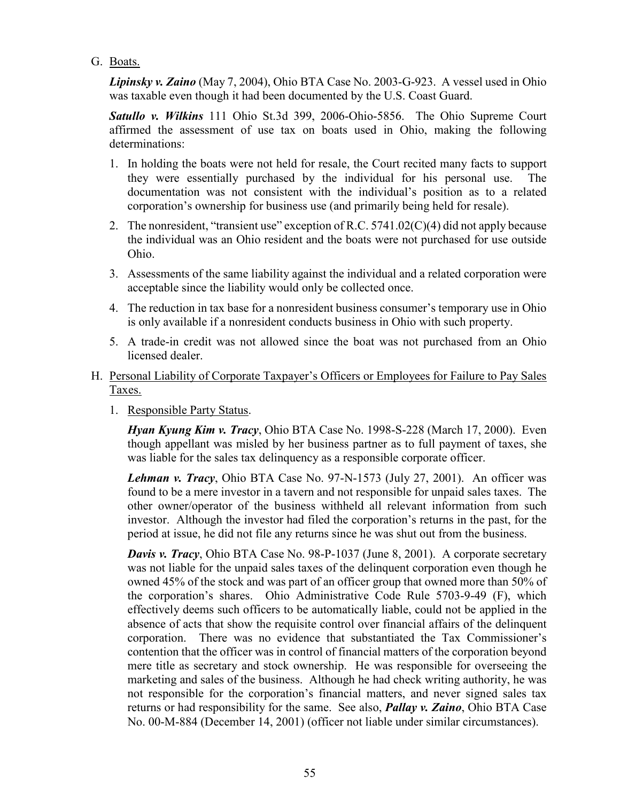G. Boats.

*Lipinsky v. Zaino* (May 7, 2004), Ohio BTA Case No. 2003-G-923. A vessel used in Ohio was taxable even though it had been documented by the U.S. Coast Guard.

*Satullo v. Wilkins* 111 Ohio St.3d 399, 2006-Ohio-5856. The Ohio Supreme Court affirmed the assessment of use tax on boats used in Ohio, making the following determinations:

- 1. In holding the boats were not held for resale, the Court recited many facts to support they were essentially purchased by the individual for his personal use. The documentation was not consistent with the individual's position as to a related corporation's ownership for business use (and primarily being held for resale).
- 2. The nonresident, "transient use" exception of R.C. 5741.02(C)(4) did not apply because the individual was an Ohio resident and the boats were not purchased for use outside Ohio.
- 3. Assessments of the same liability against the individual and a related corporation were acceptable since the liability would only be collected once.
- 4. The reduction in tax base for a nonresident business consumer's temporary use in Ohio is only available if a nonresident conducts business in Ohio with such property.
- 5. A trade-in credit was not allowed since the boat was not purchased from an Ohio licensed dealer.
- H. Personal Liability of Corporate Taxpayer's Officers or Employees for Failure to Pay Sales Taxes.
	- 1. Responsible Party Status.

*Hyan Kyung Kim v. Tracy*, Ohio BTA Case No. 1998-S-228 (March 17, 2000). Even though appellant was misled by her business partner as to full payment of taxes, she was liable for the sales tax delinquency as a responsible corporate officer.

*Lehman v. Tracy*, Ohio BTA Case No. 97-N-1573 (July 27, 2001). An officer was found to be a mere investor in a tavern and not responsible for unpaid sales taxes. The other owner/operator of the business withheld all relevant information from such investor. Although the investor had filed the corporation's returns in the past, for the period at issue, he did not file any returns since he was shut out from the business.

*Davis v. Tracy*, Ohio BTA Case No. 98-P-1037 (June 8, 2001). A corporate secretary was not liable for the unpaid sales taxes of the delinquent corporation even though he owned 45% of the stock and was part of an officer group that owned more than 50% of the corporation's shares. Ohio Administrative Code Rule 5703-9-49 (F), which effectively deems such officers to be automatically liable, could not be applied in the absence of acts that show the requisite control over financial affairs of the delinquent corporation. There was no evidence that substantiated the Tax Commissioner's contention that the officer was in control of financial matters of the corporation beyond mere title as secretary and stock ownership. He was responsible for overseeing the marketing and sales of the business. Although he had check writing authority, he was not responsible for the corporation's financial matters, and never signed sales tax returns or had responsibility for the same. See also, *Pallay v. Zaino*, Ohio BTA Case No. 00-M-884 (December 14, 2001) (officer not liable under similar circumstances).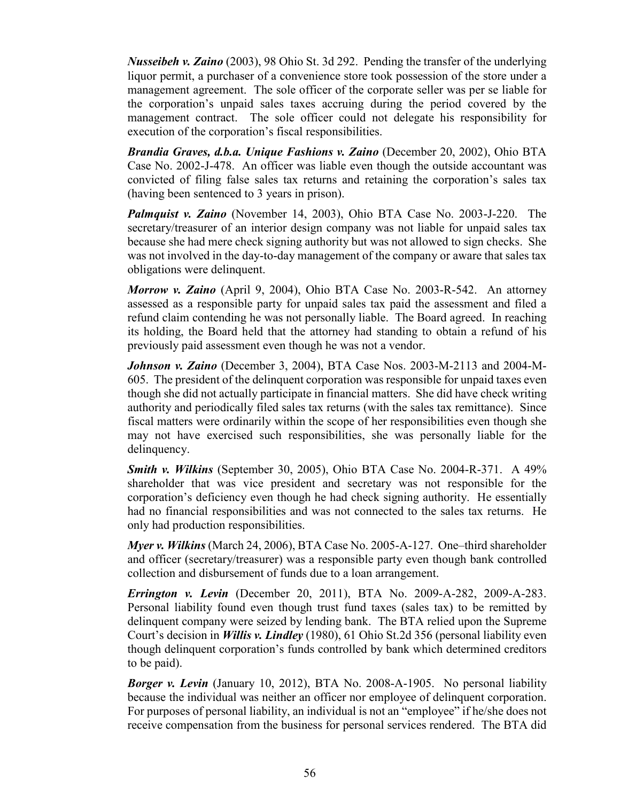*Nusseibeh v. Zaino* (2003), 98 Ohio St. 3d 292. Pending the transfer of the underlying liquor permit, a purchaser of a convenience store took possession of the store under a management agreement. The sole officer of the corporate seller was per se liable for the corporation's unpaid sales taxes accruing during the period covered by the management contract. The sole officer could not delegate his responsibility for execution of the corporation's fiscal responsibilities.

*Brandia Graves, d.b.a. Unique Fashions v. Zaino* (December 20, 2002), Ohio BTA Case No. 2002-J-478. An officer was liable even though the outside accountant was convicted of filing false sales tax returns and retaining the corporation's sales tax (having been sentenced to 3 years in prison).

*Palmquist v. Zaino* (November 14, 2003), Ohio BTA Case No. 2003-J-220. The secretary/treasurer of an interior design company was not liable for unpaid sales tax because she had mere check signing authority but was not allowed to sign checks. She was not involved in the day-to-day management of the company or aware that sales tax obligations were delinquent.

*Morrow v. Zaino* (April 9, 2004), Ohio BTA Case No. 2003-R-542. An attorney assessed as a responsible party for unpaid sales tax paid the assessment and filed a refund claim contending he was not personally liable. The Board agreed. In reaching its holding, the Board held that the attorney had standing to obtain a refund of his previously paid assessment even though he was not a vendor.

*Johnson v. Zaino* (December 3, 2004), BTA Case Nos. 2003-M-2113 and 2004-M-605. The president of the delinquent corporation was responsible for unpaid taxes even though she did not actually participate in financial matters. She did have check writing authority and periodically filed sales tax returns (with the sales tax remittance). Since fiscal matters were ordinarily within the scope of her responsibilities even though she may not have exercised such responsibilities, she was personally liable for the delinquency.

*Smith v. Wilkins* (September 30, 2005), Ohio BTA Case No. 2004-R-371. A 49% shareholder that was vice president and secretary was not responsible for the corporation's deficiency even though he had check signing authority. He essentially had no financial responsibilities and was not connected to the sales tax returns. He only had production responsibilities.

*Myer v. Wilkins* (March 24, 2006), BTA Case No. 2005-A-127. One–third shareholder and officer (secretary/treasurer) was a responsible party even though bank controlled collection and disbursement of funds due to a loan arrangement.

*Errington v. Levin* (December 20, 2011), BTA No. 2009-A-282, 2009-A-283. Personal liability found even though trust fund taxes (sales tax) to be remitted by delinquent company were seized by lending bank. The BTA relied upon the Supreme Court's decision in *Willis v. Lindley* (1980), 61 Ohio St.2d 356 (personal liability even though delinquent corporation's funds controlled by bank which determined creditors to be paid).

*Borger v. Levin* (January 10, 2012), BTA No. 2008-A-1905. No personal liability because the individual was neither an officer nor employee of delinquent corporation. For purposes of personal liability, an individual is not an "employee" if he/she does not receive compensation from the business for personal services rendered. The BTA did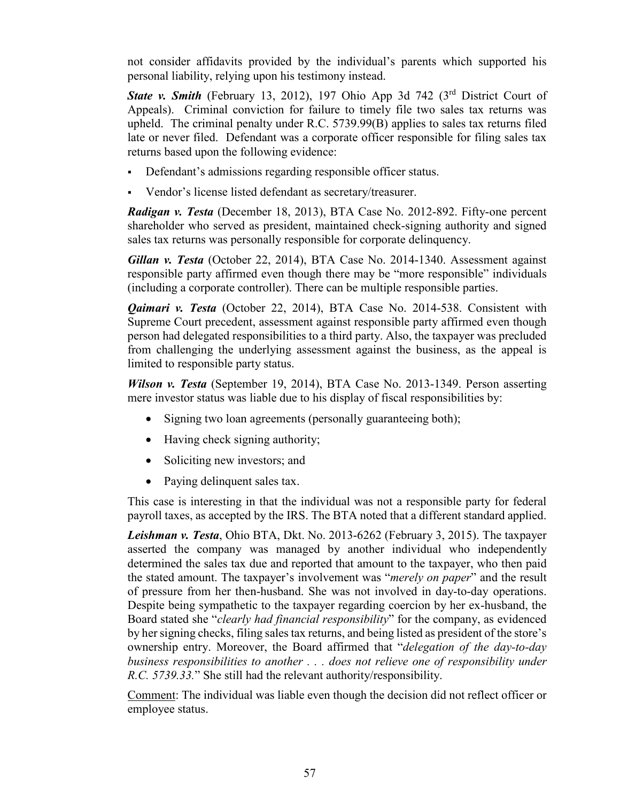not consider affidavits provided by the individual's parents which supported his personal liability, relying upon his testimony instead.

**State v. Smith** (February 13, 2012), 197 Ohio App 3d 742 (3<sup>rd</sup> District Court of Appeals). Criminal conviction for failure to timely file two sales tax returns was upheld. The criminal penalty under R.C. 5739.99(B) applies to sales tax returns filed late or never filed. Defendant was a corporate officer responsible for filing sales tax returns based upon the following evidence:

- Defendant's admissions regarding responsible officer status.
- Vendor's license listed defendant as secretary/treasurer.

*Radigan v. Testa* (December 18, 2013), BTA Case No. 2012-892. Fifty-one percent shareholder who served as president, maintained check-signing authority and signed sales tax returns was personally responsible for corporate delinquency.

*Gillan v. Testa* (October 22, 2014), BTA Case No. 2014-1340. Assessment against responsible party affirmed even though there may be "more responsible" individuals (including a corporate controller). There can be multiple responsible parties.

*Qaimari v. Testa* (October 22, 2014), BTA Case No. 2014-538. Consistent with Supreme Court precedent, assessment against responsible party affirmed even though person had delegated responsibilities to a third party. Also, the taxpayer was precluded from challenging the underlying assessment against the business, as the appeal is limited to responsible party status.

*Wilson v. Testa* (September 19, 2014), BTA Case No. 2013-1349. Person asserting mere investor status was liable due to his display of fiscal responsibilities by:

- Signing two loan agreements (personally guaranteeing both);
- Having check signing authority;
- Soliciting new investors; and
- Paying delinquent sales tax.

This case is interesting in that the individual was not a responsible party for federal payroll taxes, as accepted by the IRS. The BTA noted that a different standard applied.

*Leishman v. Testa*, Ohio BTA, Dkt. No. 2013-6262 (February 3, 2015). The taxpayer asserted the company was managed by another individual who independently determined the sales tax due and reported that amount to the taxpayer, who then paid the stated amount. The taxpayer's involvement was "*merely on paper*" and the result of pressure from her then-husband. She was not involved in day-to-day operations. Despite being sympathetic to the taxpayer regarding coercion by her ex-husband, the [Board](http://bta.ohio.gov/) stated she "*clearly had financial responsibility*" for the company, as evidenced by her signing checks, filing sales tax returns, and being listed as president of the store's ownership entry. Moreover, the [Board](http://bta.ohio.gov/) affirmed that "*delegation of the day-to-day business responsibilities to another . . . does not relieve one of responsibility under R.C. 5739.33.*" She still had the relevant authority/responsibility.

Comment: The individual was liable even though the decision did not reflect officer or employee status.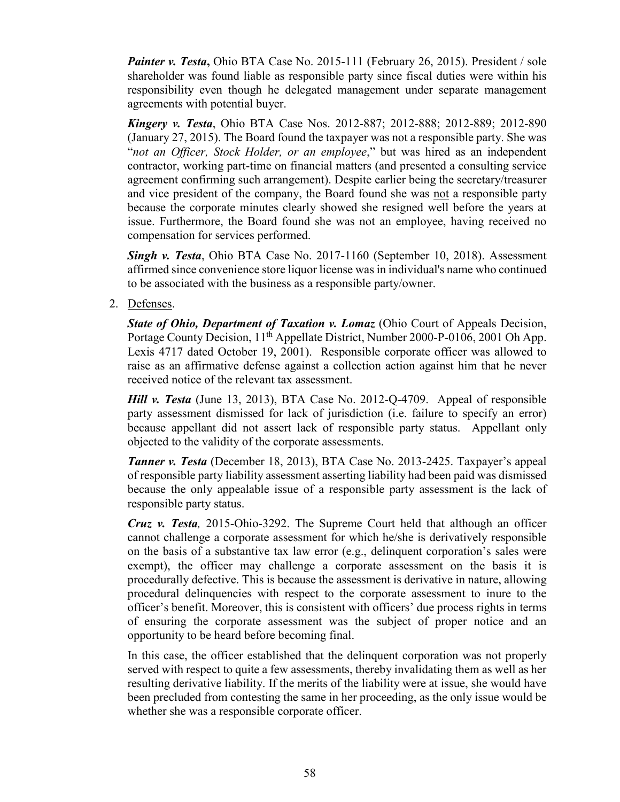*Painter v. Testa*, Ohio BTA Case No. 2015-111 (February 26, 2015). President / sole shareholder was found liable as responsible party since fiscal duties were within his responsibility even though he delegated management under separate management agreements with potential buyer.

*Kingery v. Testa*, Ohio BTA Case Nos. 2012-887; 2012-888; 2012-889; 2012-890 (January 27, 2015). The Board found the taxpayer was not a responsible party. She was "*not an Officer, Stock Holder, or an employee*," but was hired as an independent contractor, working part-time on financial matters (and presented a consulting service agreement confirming such arrangement). Despite earlier being the secretary/treasurer and vice president of the company, the [Board](http://bta.ohio.gov/) found she was not a responsible party because the corporate minutes clearly showed she resigned well before the years at issue. Furthermore, the [Board](http://bta.ohio.gov/) found she was not an employee, having received no compensation for services performed.

*Singh v. Testa*, Ohio BTA Case No. 2017-1160 (September 10, 2018). Assessment affirmed since convenience store liquor license was in individual's name who continued to be associated with the business as a responsible party/owner.

2. Defenses.

*State of Ohio, Department of Taxation v. Lomaz* (Ohio Court of Appeals Decision, Portage County Decision, 11<sup>th</sup> Appellate District, Number 2000-P-0106, 2001 Oh App. Lexis 4717 dated October 19, 2001). Responsible corporate officer was allowed to raise as an affirmative defense against a collection action against him that he never received notice of the relevant tax assessment.

*Hill v. Testa* (June 13, 2013), BTA Case No. 2012-Q-4709. Appeal of responsible party assessment dismissed for lack of jurisdiction (i.e. failure to specify an error) because appellant did not assert lack of responsible party status. Appellant only objected to the validity of the corporate assessments.

*Tanner v. Testa* (December 18, 2013), BTA Case No. 2013-2425. Taxpayer's appeal of responsible party liability assessment asserting liability had been paid was dismissed because the only appealable issue of a responsible party assessment is the lack of responsible party status.

*Cruz v. Testa,* 2015-Ohio-3292. The Supreme Court held that although an officer cannot challenge a corporate assessment for which he/she is derivatively responsible on the basis of a substantive tax law error (e.g., delinquent corporation's sales were exempt), the officer may challenge a corporate assessment on the basis it is procedurally defective. This is because the assessment is derivative in nature, allowing procedural delinquencies with respect to the corporate assessment to inure to the officer's benefit. Moreover, this is consistent with officers' due process rights in terms of ensuring the corporate assessment was the subject of proper notice and an opportunity to be heard before becoming final.

In this case, the officer established that the delinquent corporation was not properly served with respect to quite a few assessments, thereby invalidating them as well as her resulting derivative liability. If the merits of the liability were at issue, she would have been precluded from contesting the same in her proceeding, as the only issue would be whether she was a responsible corporate officer.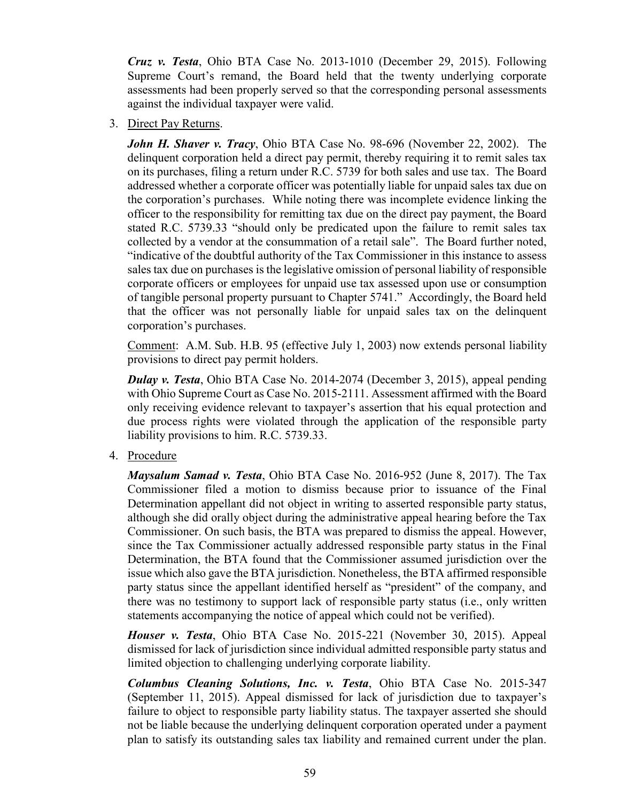*Cruz v. Testa*, Ohio BTA Case No. 2013-1010 (December 29, 2015). Following Supreme Court's remand, the Board held that the twenty underlying corporate assessments had been properly served so that the corresponding personal assessments against the individual taxpayer were valid.

3. Direct Pay Returns.

*John H. Shaver v. Tracy*, Ohio BTA Case No. 98-696 (November 22, 2002). The delinquent corporation held a direct pay permit, thereby requiring it to remit sales tax on its purchases, filing a return under R.C. 5739 for both sales and use tax. The Board addressed whether a corporate officer was potentially liable for unpaid sales tax due on the corporation's purchases. While noting there was incomplete evidence linking the officer to the responsibility for remitting tax due on the direct pay payment, the Board stated R.C. 5739.33 "should only be predicated upon the failure to remit sales tax collected by a vendor at the consummation of a retail sale". The Board further noted, "indicative of the doubtful authority of the Tax Commissioner in this instance to assess sales tax due on purchases is the legislative omission of personal liability of responsible corporate officers or employees for unpaid use tax assessed upon use or consumption of tangible personal property pursuant to Chapter 5741." Accordingly, the Board held that the officer was not personally liable for unpaid sales tax on the delinquent corporation's purchases.

Comment: A.M. Sub. H.B. 95 (effective July 1, 2003) now extends personal liability provisions to direct pay permit holders.

*Dulay v. Testa*, Ohio BTA Case No. 2014-2074 (December 3, 2015), appeal pending with Ohio Supreme Court as Case No. 2015-2111. Assessment affirmed with the Board only receiving evidence relevant to taxpayer's assertion that his equal protection and due process rights were violated through the application of the responsible party liability provisions to him. R.C. 5739.33.

4. Procedure

*Maysalum Samad v. Testa*, Ohio BTA Case No. 2016-952 (June 8, 2017). The Tax Commissioner filed a motion to dismiss because prior to issuance of the Final Determination appellant did not object in writing to asserted responsible party status, although she did orally object during the administrative appeal hearing before the Tax Commissioner. On such basis, the BTA was prepared to dismiss the appeal. However, since the Tax Commissioner actually addressed responsible party status in the Final Determination, the BTA found that the Commissioner assumed jurisdiction over the issue which also gave the BTA jurisdiction. Nonetheless, the BTA affirmed responsible party status since the appellant identified herself as "president" of the company, and there was no testimony to support lack of responsible party status (i.e., only written statements accompanying the notice of appeal which could not be verified).

*Houser v. Testa*, Ohio BTA Case No. 2015-221 (November 30, 2015). Appeal dismissed for lack of jurisdiction since individual admitted responsible party status and limited objection to challenging underlying corporate liability.

*Columbus Cleaning Solutions, Inc. v. Testa*, Ohio BTA Case No. 2015-347 (September 11, 2015). Appeal dismissed for lack of jurisdiction due to taxpayer's failure to object to responsible party liability status. The taxpayer asserted she should not be liable because the underlying delinquent corporation operated under a payment plan to satisfy its outstanding sales tax liability and remained current under the plan.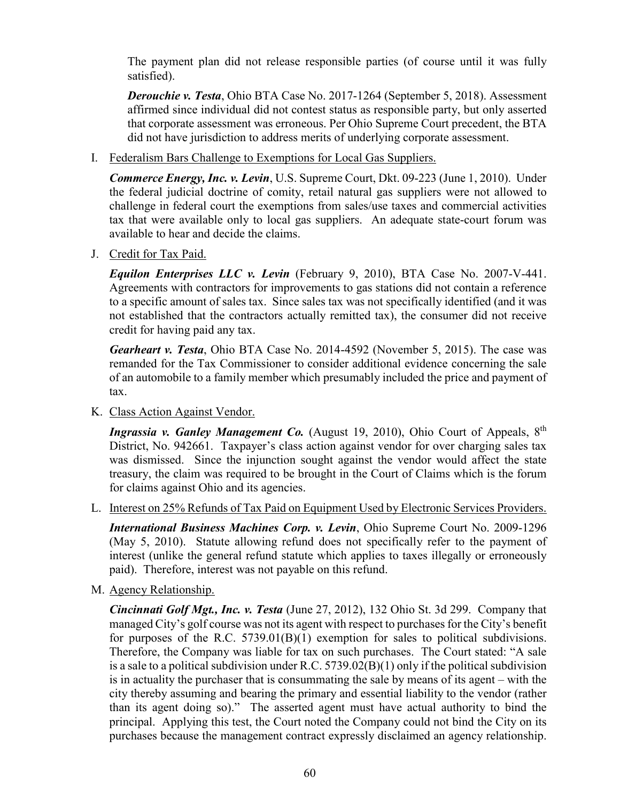The payment plan did not release responsible parties (of course until it was fully satisfied).

*Derouchie v. Testa*, Ohio BTA Case No. 2017-1264 (September 5, 2018). Assessment affirmed since individual did not contest status as responsible party, but only asserted that corporate assessment was erroneous. Per Ohio Supreme Court precedent, the BTA did not have jurisdiction to address merits of underlying corporate assessment.

I. Federalism Bars Challenge to Exemptions for Local Gas Suppliers.

*Commerce Energy, Inc. v. Levin*, U.S. Supreme Court, Dkt. 09-223 (June 1, 2010). Under the federal judicial doctrine of comity, retail natural gas suppliers were not allowed to challenge in federal court the exemptions from sales/use taxes and commercial activities tax that were available only to local gas suppliers. An adequate state-court forum was available to hear and decide the claims.

J. Credit for Tax Paid.

*Equilon Enterprises LLC v. Levin* (February 9, 2010), BTA Case No. 2007-V-441. Agreements with contractors for improvements to gas stations did not contain a reference to a specific amount of sales tax. Since sales tax was not specifically identified (and it was not established that the contractors actually remitted tax), the consumer did not receive credit for having paid any tax.

*Gearheart v. Testa*, Ohio BTA Case No. 2014-4592 (November 5, 2015). The case was remanded for the Tax Commissioner to consider additional evidence concerning the sale of an automobile to a family member which presumably included the price and payment of tax.

K. Class Action Against Vendor.

*Ingrassia v. Ganley Management Co.* (August 19, 2010), Ohio Court of Appeals, 8<sup>th</sup> District, No. 942661. Taxpayer's class action against vendor for over charging sales tax was dismissed. Since the injunction sought against the vendor would affect the state treasury, the claim was required to be brought in the Court of Claims which is the forum for claims against Ohio and its agencies.

L. Interest on 25% Refunds of Tax Paid on Equipment Used by Electronic Services Providers.

*International Business Machines Corp. v. Levin*, Ohio Supreme Court No. 2009-1296 (May 5, 2010). Statute allowing refund does not specifically refer to the payment of interest (unlike the general refund statute which applies to taxes illegally or erroneously paid). Therefore, interest was not payable on this refund.

M. Agency Relationship.

*Cincinnati Golf Mgt., Inc. v. Testa* (June 27, 2012), 132 Ohio St. 3d 299. Company that managed City's golf course was not its agent with respect to purchases for the City's benefit for purposes of the R.C. 5739.01(B)(1) exemption for sales to political subdivisions. Therefore, the Company was liable for tax on such purchases. The Court stated: "A sale is a sale to a political subdivision under R.C.  $5739.02(B)(1)$  only if the political subdivision is in actuality the purchaser that is consummating the sale by means of its agent – with the city thereby assuming and bearing the primary and essential liability to the vendor (rather than its agent doing so)." The asserted agent must have actual authority to bind the principal. Applying this test, the Court noted the Company could not bind the City on its purchases because the management contract expressly disclaimed an agency relationship.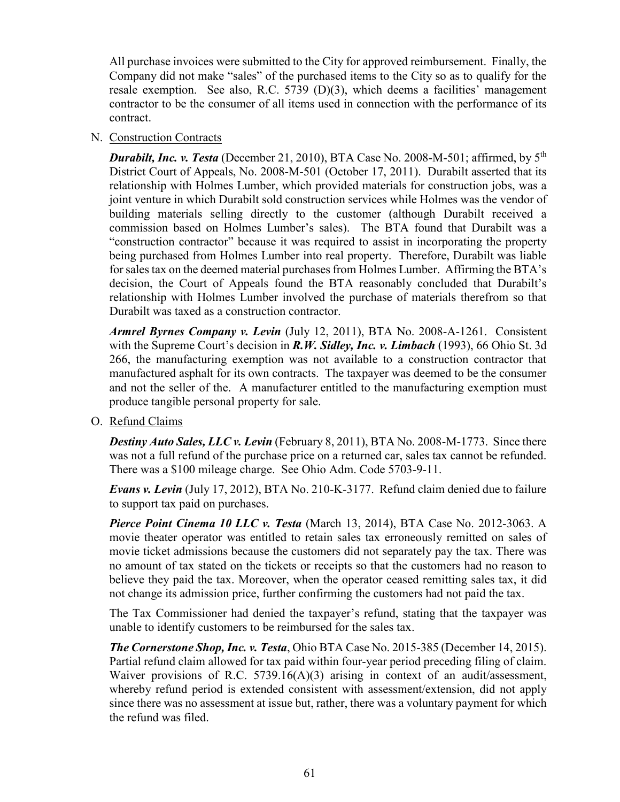All purchase invoices were submitted to the City for approved reimbursement. Finally, the Company did not make "sales" of the purchased items to the City so as to qualify for the resale exemption. See also, R.C. 5739 (D)(3), which deems a facilities' management contractor to be the consumer of all items used in connection with the performance of its contract.

#### N. Construction Contracts

*Durabilt, Inc. v. Testa* (December 21, 2010), BTA Case No. 2008-M-501; affirmed, by 5<sup>th</sup> District Court of Appeals, No. 2008-M-501 (October 17, 2011). Durabilt asserted that its relationship with Holmes Lumber, which provided materials for construction jobs, was a joint venture in which Durabilt sold construction services while Holmes was the vendor of building materials selling directly to the customer (although Durabilt received a commission based on Holmes Lumber's sales). The BTA found that Durabilt was a "construction contractor" because it was required to assist in incorporating the property being purchased from Holmes Lumber into real property. Therefore, Durabilt was liable for sales tax on the deemed material purchases from Holmes Lumber. Affirming the BTA's decision, the Court of Appeals found the BTA reasonably concluded that Durabilt's relationship with Holmes Lumber involved the purchase of materials therefrom so that Durabilt was taxed as a construction contractor.

*Armrel Byrnes Company v. Levin* (July 12, 2011), BTA No. 2008-A-1261. Consistent with the Supreme Court's decision in *R.W. Sidley, Inc. v. Limbach* (1993), 66 Ohio St. 3d 266, the manufacturing exemption was not available to a construction contractor that manufactured asphalt for its own contracts. The taxpayer was deemed to be the consumer and not the seller of the. A manufacturer entitled to the manufacturing exemption must produce tangible personal property for sale.

O. Refund Claims

*Destiny Auto Sales, LLC v. Levin* (February 8, 2011), BTA No. 2008-M-1773. Since there was not a full refund of the purchase price on a returned car, sales tax cannot be refunded. There was a \$100 mileage charge. See Ohio Adm. Code 5703-9-11.

*Evans v. Levin* (July 17, 2012), BTA No. 210-K-3177. Refund claim denied due to failure to support tax paid on purchases.

*Pierce Point Cinema 10 LLC v. Testa* (March 13, 2014), BTA Case No. 2012-3063. A movie theater operator was entitled to retain sales tax erroneously remitted on sales of movie ticket admissions because the customers did not separately pay the tax. There was no amount of tax stated on the tickets or receipts so that the customers had no reason to believe they paid the tax. Moreover, when the operator ceased remitting sales tax, it did not change its admission price, further confirming the customers had not paid the tax.

The Tax Commissioner had denied the taxpayer's refund, stating that the taxpayer was unable to identify customers to be reimbursed for the sales tax.

*The Cornerstone Shop, Inc. v. Testa*, Ohio BTA Case No. 2015-385 (December 14, 2015). Partial refund claim allowed for tax paid within four-year period preceding filing of claim. Waiver provisions of R.C. 5739.16(A)(3) arising in context of an audit/assessment, whereby refund period is extended consistent with assessment/extension, did not apply since there was no assessment at issue but, rather, there was a voluntary payment for which the refund was filed.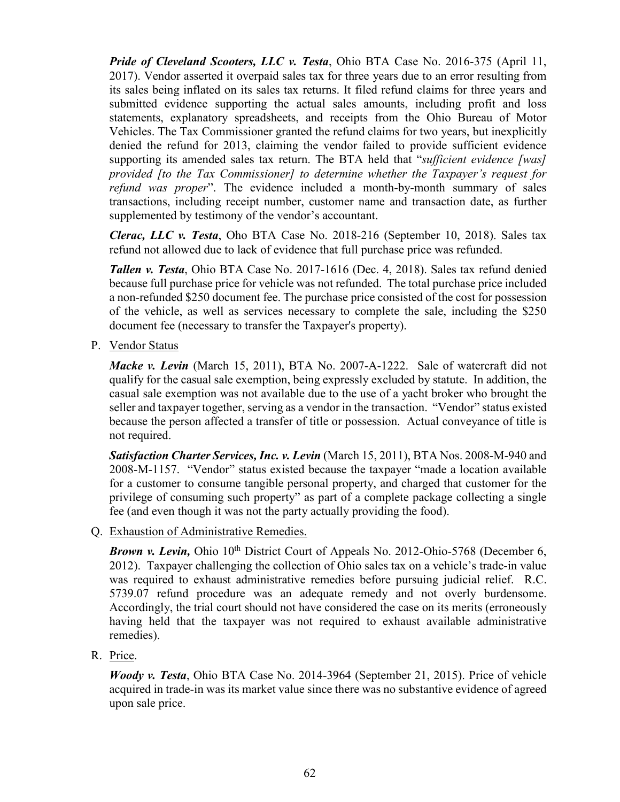*Pride of Cleveland Scooters, LLC v. Testa*, Ohio BTA Case No. 2016-375 (April 11, 2017). Vendor asserted it overpaid sales tax for three years due to an error resulting from its sales being inflated on its sales tax returns. It filed refund claims for three years and submitted evidence supporting the actual sales amounts, including profit and loss statements, explanatory spreadsheets, and receipts from the Ohio Bureau of Motor Vehicles. The Tax Commissioner granted the refund claims for two years, but inexplicitly denied the refund for 2013, claiming the vendor failed to provide sufficient evidence supporting its amended sales tax return. The BTA held that "*sufficient evidence [was] provided [to the Tax Commissioner] to determine whether the Taxpayer's request for refund was proper*". The evidence included a month-by-month summary of sales transactions, including receipt number, customer name and transaction date, as further supplemented by testimony of the vendor's accountant.

*Clerac, LLC v. Testa*, Oho BTA Case No. 2018-216 (September 10, 2018). Sales tax refund not allowed due to lack of evidence that full purchase price was refunded.

*Tallen v. Testa*, Ohio BTA Case No. 2017-1616 (Dec. 4, 2018). Sales tax refund denied because full purchase price for vehicle was not refunded. The total purchase price included a non-refunded \$250 document fee. The purchase price consisted of the cost for possession of the vehicle, as well as services necessary to complete the sale, including the \$250 document fee (necessary to transfer the Taxpayer's property).

P. Vendor Status

*Macke v. Levin* (March 15, 2011), BTA No. 2007-A-1222. Sale of watercraft did not qualify for the casual sale exemption, being expressly excluded by statute. In addition, the casual sale exemption was not available due to the use of a yacht broker who brought the seller and taxpayer together, serving as a vendor in the transaction. "Vendor" status existed because the person affected a transfer of title or possession. Actual conveyance of title is not required.

**Satisfaction Charter Services, Inc. v. Levin** (March 15, 2011), BTA Nos. 2008-M-940 and 2008-M-1157. "Vendor" status existed because the taxpayer "made a location available for a customer to consume tangible personal property, and charged that customer for the privilege of consuming such property" as part of a complete package collecting a single fee (and even though it was not the party actually providing the food).

Q. Exhaustion of Administrative Remedies.

**Brown v. Levin,** Ohio 10<sup>th</sup> District Court of Appeals No. 2012-Ohio-5768 (December 6, 2012). Taxpayer challenging the collection of Ohio sales tax on a vehicle's trade-in value was required to exhaust administrative remedies before pursuing judicial relief. R.C. 5739.07 refund procedure was an adequate remedy and not overly burdensome. Accordingly, the trial court should not have considered the case on its merits (erroneously having held that the taxpayer was not required to exhaust available administrative remedies).

R. Price.

*Woody v. Testa*, Ohio BTA Case No. 2014-3964 (September 21, 2015). Price of vehicle acquired in trade-in was its market value since there was no substantive evidence of agreed upon sale price.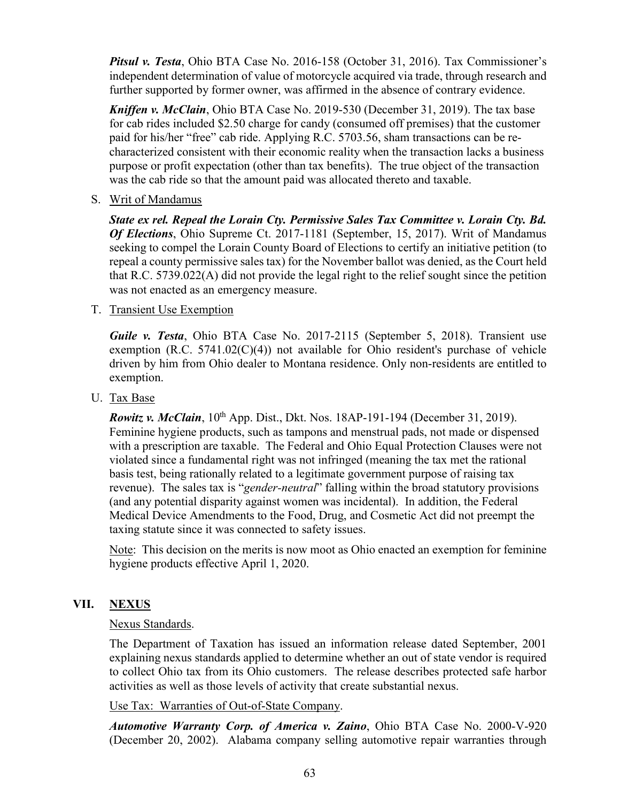*Pitsul v. Testa*, Ohio BTA Case No. 2016-158 (October 31, 2016). Tax Commissioner's independent determination of value of motorcycle acquired via trade, through research and further supported by former owner, was affirmed in the absence of contrary evidence.

*Kniffen v. McClain*, Ohio BTA Case No. 2019-530 (December 31, 2019). The tax base for cab rides included \$2.50 charge for candy (consumed off premises) that the customer paid for his/her "free" cab ride. Applying R.C. 5703.56, sham transactions can be recharacterized consistent with their economic reality when the transaction lacks a business purpose or profit expectation (other than tax benefits). The true object of the transaction was the cab ride so that the amount paid was allocated thereto and taxable.

S. Writ of Mandamus

*State ex rel. Repeal the Lorain Cty. Permissive Sales Tax Committee v. Lorain Cty. Bd. Of Elections*, Ohio Supreme Ct. 2017-1181 (September, 15, 2017). Writ of Mandamus seeking to compel the Lorain County Board of Elections to certify an initiative petition (to repeal a county permissive sales tax) for the November ballot was denied, as the Court held that R.C. 5739.022(A) did not provide the legal right to the relief sought since the petition was not enacted as an emergency measure.

T. Transient Use Exemption

*Guile v. Testa*, Ohio BTA Case No. 2017-2115 (September 5, 2018). Transient use exemption  $(R.C. 5741.02(C)(4))$  not available for Ohio resident's purchase of vehicle driven by him from Ohio dealer to Montana residence. Only non-residents are entitled to exemption.

U. Tax Base

*Rowitz v. McClain*, 10<sup>th</sup> App. Dist., Dkt. Nos. 18AP-191-194 (December 31, 2019). Feminine hygiene products, such as tampons and menstrual pads, not made or dispensed with a prescription are taxable. The Federal and Ohio Equal Protection Clauses were not violated since a fundamental right was not infringed (meaning the tax met the rational basis test, being rationally related to a legitimate government purpose of raising tax revenue). The sales tax is "*gender-neutral*" falling within the broad statutory provisions (and any potential disparity against women was incidental). In addition, the Federal Medical Device Amendments to the Food, Drug, and Cosmetic Act did not preempt the taxing statute since it was connected to safety issues.

Note: This decision on the merits is now moot as Ohio enacted an exemption for feminine hygiene products effective April 1, 2020.

#### **VII. NEXUS**

#### Nexus Standards.

The Department of Taxation has issued an information release dated September, 2001 explaining nexus standards applied to determine whether an out of state vendor is required to collect Ohio tax from its Ohio customers. The release describes protected safe harbor activities as well as those levels of activity that create substantial nexus.

Use Tax: Warranties of Out-of-State Company.

*Automotive Warranty Corp. of America v. Zaino*, Ohio BTA Case No. 2000-V-920 (December 20, 2002). Alabama company selling automotive repair warranties through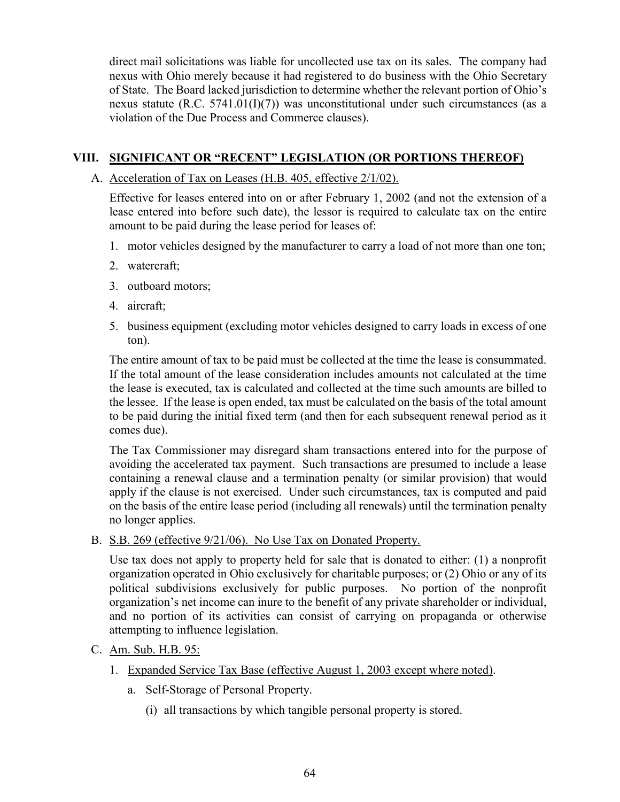direct mail solicitations was liable for uncollected use tax on its sales. The company had nexus with Ohio merely because it had registered to do business with the Ohio Secretary of State. The Board lacked jurisdiction to determine whether the relevant portion of Ohio's nexus statute (R.C. 5741.01(I)(7)) was unconstitutional under such circumstances (as a violation of the Due Process and Commerce clauses).

# **VIII. SIGNIFICANT OR "RECENT" LEGISLATION (OR PORTIONS THEREOF)**

A. Acceleration of Tax on Leases (H.B. 405, effective 2/1/02).

Effective for leases entered into on or after February 1, 2002 (and not the extension of a lease entered into before such date), the lessor is required to calculate tax on the entire amount to be paid during the lease period for leases of:

- 1. motor vehicles designed by the manufacturer to carry a load of not more than one ton;
- 2. watercraft;
- 3. outboard motors;
- 4. aircraft;
- 5. business equipment (excluding motor vehicles designed to carry loads in excess of one ton).

The entire amount of tax to be paid must be collected at the time the lease is consummated. If the total amount of the lease consideration includes amounts not calculated at the time the lease is executed, tax is calculated and collected at the time such amounts are billed to the lessee. If the lease is open ended, tax must be calculated on the basis of the total amount to be paid during the initial fixed term (and then for each subsequent renewal period as it comes due).

The Tax Commissioner may disregard sham transactions entered into for the purpose of avoiding the accelerated tax payment. Such transactions are presumed to include a lease containing a renewal clause and a termination penalty (or similar provision) that would apply if the clause is not exercised. Under such circumstances, tax is computed and paid on the basis of the entire lease period (including all renewals) until the termination penalty no longer applies.

B. S.B. 269 (effective 9/21/06). No Use Tax on Donated Property.

Use tax does not apply to property held for sale that is donated to either: (1) a nonprofit organization operated in Ohio exclusively for charitable purposes; or (2) Ohio or any of its political subdivisions exclusively for public purposes. No portion of the nonprofit organization's net income can inure to the benefit of any private shareholder or individual, and no portion of its activities can consist of carrying on propaganda or otherwise attempting to influence legislation.

- C. Am. Sub. H.B. 95:
	- 1. Expanded Service Tax Base (effective August 1, 2003 except where noted).
		- a. Self-Storage of Personal Property.
			- (i) all transactions by which tangible personal property is stored.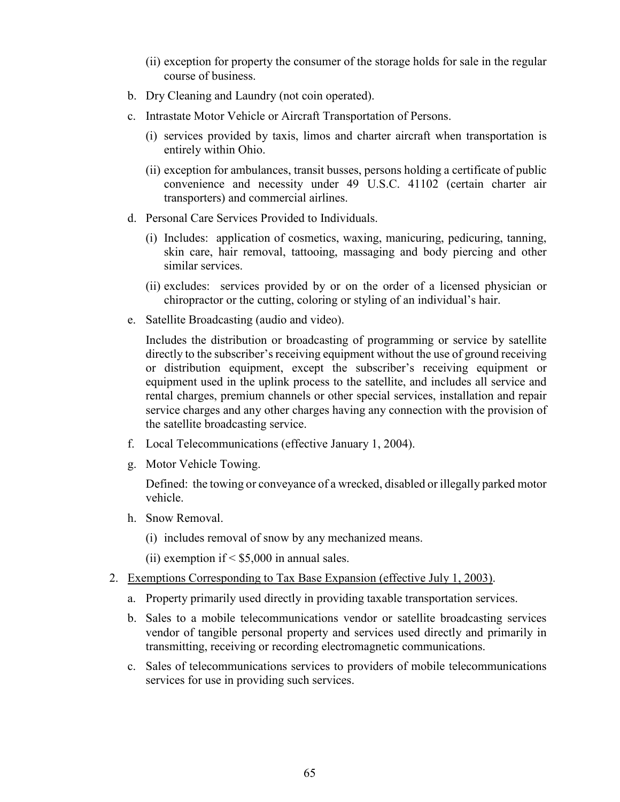- (ii) exception for property the consumer of the storage holds for sale in the regular course of business.
- b. Dry Cleaning and Laundry (not coin operated).
- c. Intrastate Motor Vehicle or Aircraft Transportation of Persons.
	- (i) services provided by taxis, limos and charter aircraft when transportation is entirely within Ohio.
	- (ii) exception for ambulances, transit busses, persons holding a certificate of public convenience and necessity under 49 U.S.C. 41102 (certain charter air transporters) and commercial airlines.
- d. Personal Care Services Provided to Individuals.
	- (i) Includes: application of cosmetics, waxing, manicuring, pedicuring, tanning, skin care, hair removal, tattooing, massaging and body piercing and other similar services.
	- (ii) excludes: services provided by or on the order of a licensed physician or chiropractor or the cutting, coloring or styling of an individual's hair.
- e. Satellite Broadcasting (audio and video).

Includes the distribution or broadcasting of programming or service by satellite directly to the subscriber's receiving equipment without the use of ground receiving or distribution equipment, except the subscriber's receiving equipment or equipment used in the uplink process to the satellite, and includes all service and rental charges, premium channels or other special services, installation and repair service charges and any other charges having any connection with the provision of the satellite broadcasting service.

- f. Local Telecommunications (effective January 1, 2004).
- g. Motor Vehicle Towing.

Defined: the towing or conveyance of a wrecked, disabled or illegally parked motor vehicle.

- h. Snow Removal.
	- (i) includes removal of snow by any mechanized means.

(ii) exemption if  $\leq$  \$5,000 in annual sales.

- 2. Exemptions Corresponding to Tax Base Expansion (effective July 1, 2003).
	- a. Property primarily used directly in providing taxable transportation services.
	- b. Sales to a mobile telecommunications vendor or satellite broadcasting services vendor of tangible personal property and services used directly and primarily in transmitting, receiving or recording electromagnetic communications.
	- c. Sales of telecommunications services to providers of mobile telecommunications services for use in providing such services.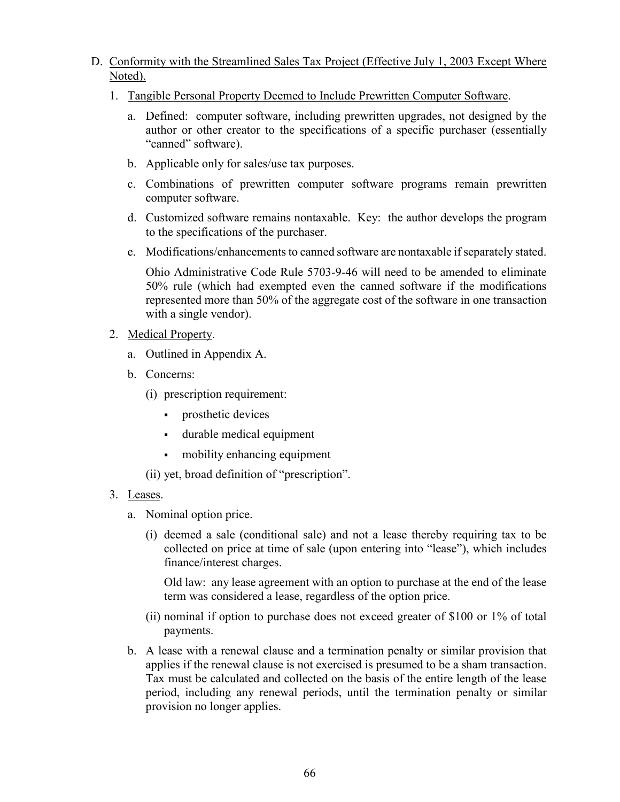- D. Conformity with the Streamlined Sales Tax Project (Effective July 1, 2003 Except Where Noted).
	- 1. Tangible Personal Property Deemed to Include Prewritten Computer Software.
		- a. Defined: computer software, including prewritten upgrades, not designed by the author or other creator to the specifications of a specific purchaser (essentially "canned" software).
		- b. Applicable only for sales/use tax purposes.
		- c. Combinations of prewritten computer software programs remain prewritten computer software.
		- d. Customized software remains nontaxable. Key: the author develops the program to the specifications of the purchaser.
		- e. Modifications/enhancements to canned software are nontaxable if separately stated.

Ohio Administrative Code Rule 5703-9-46 will need to be amended to eliminate 50% rule (which had exempted even the canned software if the modifications represented more than 50% of the aggregate cost of the software in one transaction with a single vendor).

#### 2. Medical Property.

- a. Outlined in Appendix A.
- b. Concerns:
	- (i) prescription requirement:
		- **prosthetic devices**
		- durable medical equipment
		- mobility enhancing equipment
	- (ii) yet, broad definition of "prescription".
- 3. Leases.
	- a. Nominal option price.
		- (i) deemed a sale (conditional sale) and not a lease thereby requiring tax to be collected on price at time of sale (upon entering into "lease"), which includes finance/interest charges.

Old law: any lease agreement with an option to purchase at the end of the lease term was considered a lease, regardless of the option price.

- (ii) nominal if option to purchase does not exceed greater of \$100 or 1% of total payments.
- b. A lease with a renewal clause and a termination penalty or similar provision that applies if the renewal clause is not exercised is presumed to be a sham transaction. Tax must be calculated and collected on the basis of the entire length of the lease period, including any renewal periods, until the termination penalty or similar provision no longer applies.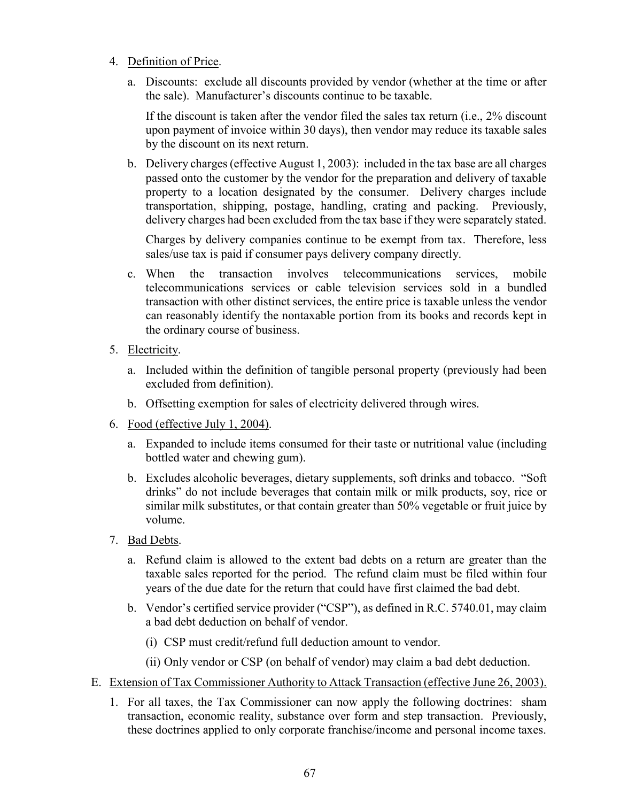- 4. Definition of Price.
	- a. Discounts: exclude all discounts provided by vendor (whether at the time or after the sale). Manufacturer's discounts continue to be taxable.

If the discount is taken after the vendor filed the sales tax return (i.e., 2% discount upon payment of invoice within 30 days), then vendor may reduce its taxable sales by the discount on its next return.

b. Delivery charges (effective August 1, 2003): included in the tax base are all charges passed onto the customer by the vendor for the preparation and delivery of taxable property to a location designated by the consumer. Delivery charges include transportation, shipping, postage, handling, crating and packing. Previously, delivery charges had been excluded from the tax base if they were separately stated.

Charges by delivery companies continue to be exempt from tax. Therefore, less sales/use tax is paid if consumer pays delivery company directly.

- c. When the transaction involves telecommunications services, mobile telecommunications services or cable television services sold in a bundled transaction with other distinct services, the entire price is taxable unless the vendor can reasonably identify the nontaxable portion from its books and records kept in the ordinary course of business.
- 5. Electricity.
	- a. Included within the definition of tangible personal property (previously had been excluded from definition).
	- b. Offsetting exemption for sales of electricity delivered through wires.
- 6. Food (effective July 1, 2004).
	- a. Expanded to include items consumed for their taste or nutritional value (including bottled water and chewing gum).
	- b. Excludes alcoholic beverages, dietary supplements, soft drinks and tobacco. "Soft drinks" do not include beverages that contain milk or milk products, soy, rice or similar milk substitutes, or that contain greater than 50% vegetable or fruit juice by volume.
- 7. Bad Debts.
	- a. Refund claim is allowed to the extent bad debts on a return are greater than the taxable sales reported for the period. The refund claim must be filed within four years of the due date for the return that could have first claimed the bad debt.
	- b. Vendor's certified service provider ("CSP"), as defined in R.C. 5740.01, may claim a bad debt deduction on behalf of vendor.
		- (i) CSP must credit/refund full deduction amount to vendor.
		- (ii) Only vendor or CSP (on behalf of vendor) may claim a bad debt deduction.
- E. Extension of Tax Commissioner Authority to Attack Transaction (effective June 26, 2003).
	- 1. For all taxes, the Tax Commissioner can now apply the following doctrines: sham transaction, economic reality, substance over form and step transaction. Previously, these doctrines applied to only corporate franchise/income and personal income taxes.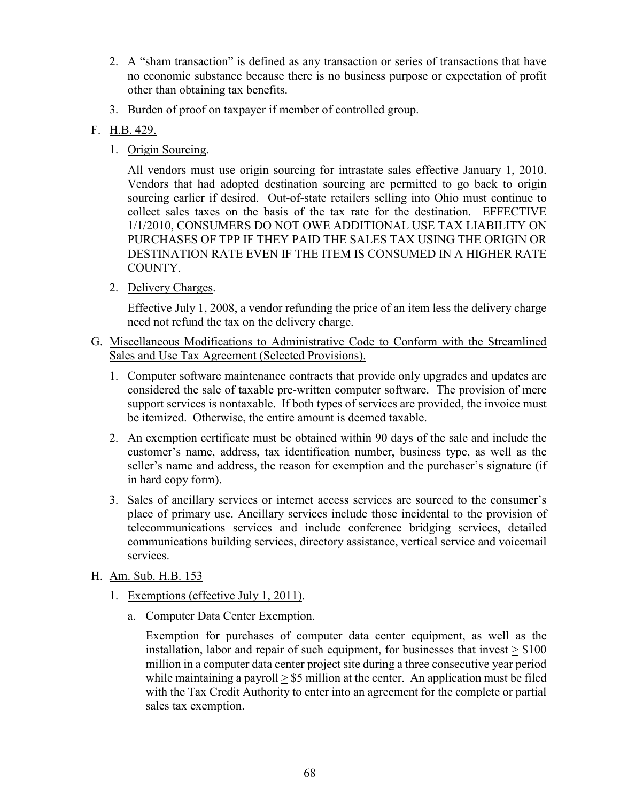- 2. A "sham transaction" is defined as any transaction or series of transactions that have no economic substance because there is no business purpose or expectation of profit other than obtaining tax benefits.
- 3. Burden of proof on taxpayer if member of controlled group.

# F. H.B. 429.

1. Origin Sourcing.

All vendors must use origin sourcing for intrastate sales effective January 1, 2010. Vendors that had adopted destination sourcing are permitted to go back to origin sourcing earlier if desired. Out-of-state retailers selling into Ohio must continue to collect sales taxes on the basis of the tax rate for the destination. EFFECTIVE 1/1/2010, CONSUMERS DO NOT OWE ADDITIONAL USE TAX LIABILITY ON PURCHASES OF TPP IF THEY PAID THE SALES TAX USING THE ORIGIN OR DESTINATION RATE EVEN IF THE ITEM IS CONSUMED IN A HIGHER RATE COUNTY.

2. Delivery Charges.

Effective July 1, 2008, a vendor refunding the price of an item less the delivery charge need not refund the tax on the delivery charge.

- G. Miscellaneous Modifications to Administrative Code to Conform with the Streamlined Sales and Use Tax Agreement (Selected Provisions).
	- 1. Computer software maintenance contracts that provide only upgrades and updates are considered the sale of taxable pre-written computer software. The provision of mere support services is nontaxable. If both types of services are provided, the invoice must be itemized. Otherwise, the entire amount is deemed taxable.
	- 2. An exemption certificate must be obtained within 90 days of the sale and include the customer's name, address, tax identification number, business type, as well as the seller's name and address, the reason for exemption and the purchaser's signature (if in hard copy form).
	- 3. Sales of ancillary services or internet access services are sourced to the consumer's place of primary use. Ancillary services include those incidental to the provision of telecommunications services and include conference bridging services, detailed communications building services, directory assistance, vertical service and voicemail services.

## H. Am. Sub. H.B. 153

- 1. Exemptions (effective July 1, 2011).
	- a. Computer Data Center Exemption.

Exemption for purchases of computer data center equipment, as well as the installation, labor and repair of such equipment, for businesses that invest  $>$  \$100 million in a computer data center project site during a three consecutive year period while maintaining a payroll  $> $5$  million at the center. An application must be filed with the Tax Credit Authority to enter into an agreement for the complete or partial sales tax exemption.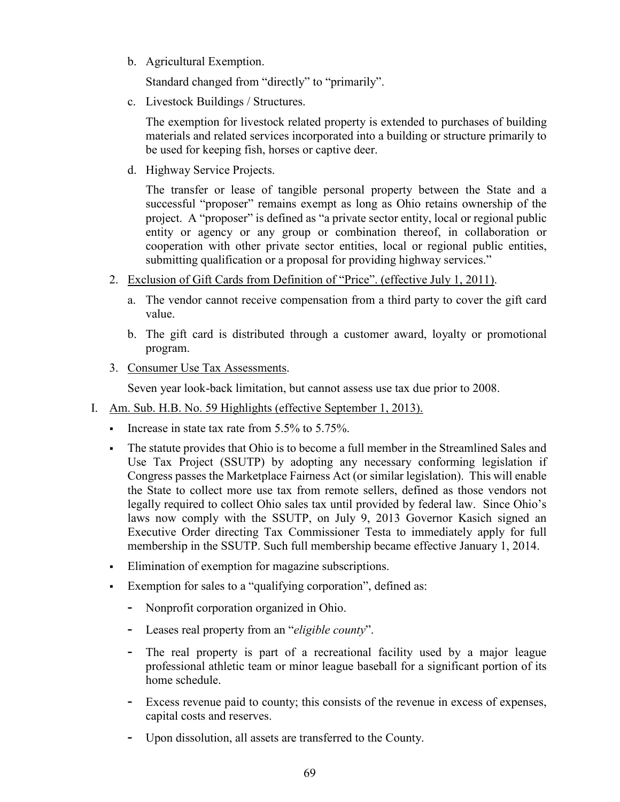b. Agricultural Exemption.

Standard changed from "directly" to "primarily".

c. Livestock Buildings / Structures.

The exemption for livestock related property is extended to purchases of building materials and related services incorporated into a building or structure primarily to be used for keeping fish, horses or captive deer.

d. Highway Service Projects.

The transfer or lease of tangible personal property between the State and a successful "proposer" remains exempt as long as Ohio retains ownership of the project. A "proposer" is defined as "a private sector entity, local or regional public entity or agency or any group or combination thereof, in collaboration or cooperation with other private sector entities, local or regional public entities, submitting qualification or a proposal for providing highway services."

- 2. Exclusion of Gift Cards from Definition of "Price". (effective July 1, 2011).
	- a. The vendor cannot receive compensation from a third party to cover the gift card value.
	- b. The gift card is distributed through a customer award, loyalty or promotional program.
- 3. Consumer Use Tax Assessments.

Seven year look-back limitation, but cannot assess use tax due prior to 2008.

- I. Am. Sub. H.B. No. 59 Highlights (effective September 1, 2013).
	- Increase in state tax rate from  $5.5\%$  to  $5.75\%$ .
	- The statute provides that Ohio is to become a full member in the Streamlined Sales and Use Tax Project (SSUTP) by adopting any necessary conforming legislation if Congress passes the Marketplace Fairness Act (or similar legislation). This will enable the State to collect more use tax from remote sellers, defined as those vendors not legally required to collect Ohio sales tax until provided by federal law. Since Ohio's laws now comply with the SSUTP, on July 9, 2013 Governor Kasich signed an Executive Order directing Tax Commissioner Testa to immediately apply for full membership in the SSUTP. Such full membership became effective January 1, 2014.
	- Elimination of exemption for magazine subscriptions.
	- Exemption for sales to a "qualifying corporation", defined as:
		- Nonprofit corporation organized in Ohio.
		- Leases real property from an "*eligible county*".
		- The real property is part of a recreational facility used by a major league professional athletic team or minor league baseball for a significant portion of its home schedule.
		- Excess revenue paid to county; this consists of the revenue in excess of expenses, capital costs and reserves.
		- Upon dissolution, all assets are transferred to the County.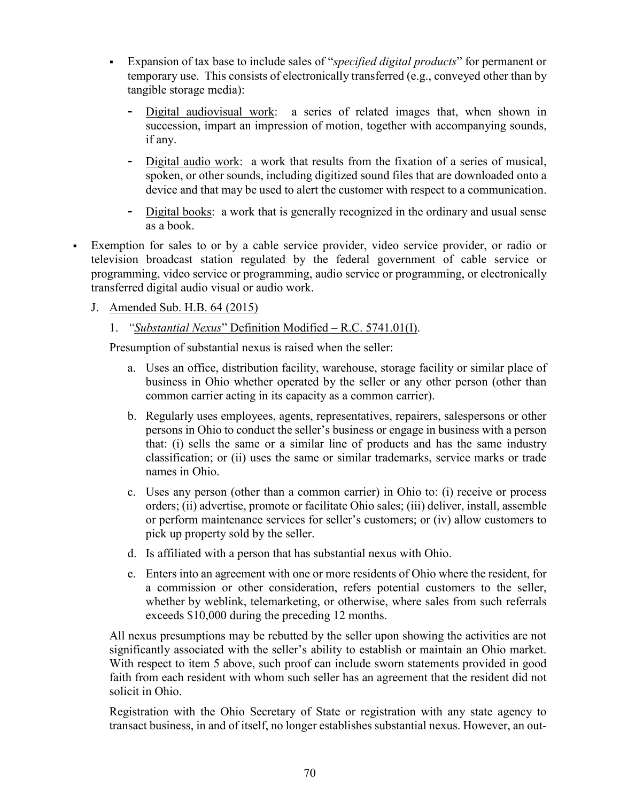- Expansion of tax base to include sales of "*specified digital products*" for permanent or temporary use. This consists of electronically transferred (e.g., conveyed other than by tangible storage media):
	- Digital audiovisual work: a series of related images that, when shown in succession, impart an impression of motion, together with accompanying sounds, if any.
	- Digital audio work: a work that results from the fixation of a series of musical, spoken, or other sounds, including digitized sound files that are downloaded onto a device and that may be used to alert the customer with respect to a communication.
	- Digital books: a work that is generally recognized in the ordinary and usual sense as a book.
- Exemption for sales to or by a cable service provider, video service provider, or radio or television broadcast station regulated by the federal government of cable service or programming, video service or programming, audio service or programming, or electronically transferred digital audio visual or audio work.

# J. Amended Sub. H.B. 64 (2015)

1. *"Substantial Nexus*" Definition Modified – R.C. 5741.01(I).

Presumption of substantial nexus is raised when the seller:

- a. Uses an office, distribution facility, warehouse, storage facility or similar place of business in Ohio whether operated by the seller or any other person (other than common carrier acting in its capacity as a common carrier).
- b. Regularly uses employees, agents, representatives, repairers, salespersons or other persons in Ohio to conduct the seller's business or engage in business with a person that: (i) sells the same or a similar line of products and has the same industry classification; or (ii) uses the same or similar trademarks, service marks or trade names in Ohio.
- c. Uses any person (other than a common carrier) in Ohio to: (i) receive or process orders; (ii) advertise, promote or facilitate Ohio sales; (iii) deliver, install, assemble or perform maintenance services for seller's customers; or (iv) allow customers to pick up property sold by the seller.
- d. Is affiliated with a person that has substantial nexus with Ohio.
- e. Enters into an agreement with one or more residents of Ohio where the resident, for a commission or other consideration, refers potential customers to the seller, whether by weblink, telemarketing, or otherwise, where sales from such referrals exceeds \$10,000 during the preceding 12 months.

All nexus presumptions may be rebutted by the seller upon showing the activities are not significantly associated with the seller's ability to establish or maintain an Ohio market. With respect to item 5 above, such proof can include sworn statements provided in good faith from each resident with whom such seller has an agreement that the resident did not solicit in Ohio.

Registration with the Ohio Secretary of State or registration with any state agency to transact business, in and of itself, no longer establishes substantial nexus. However, an out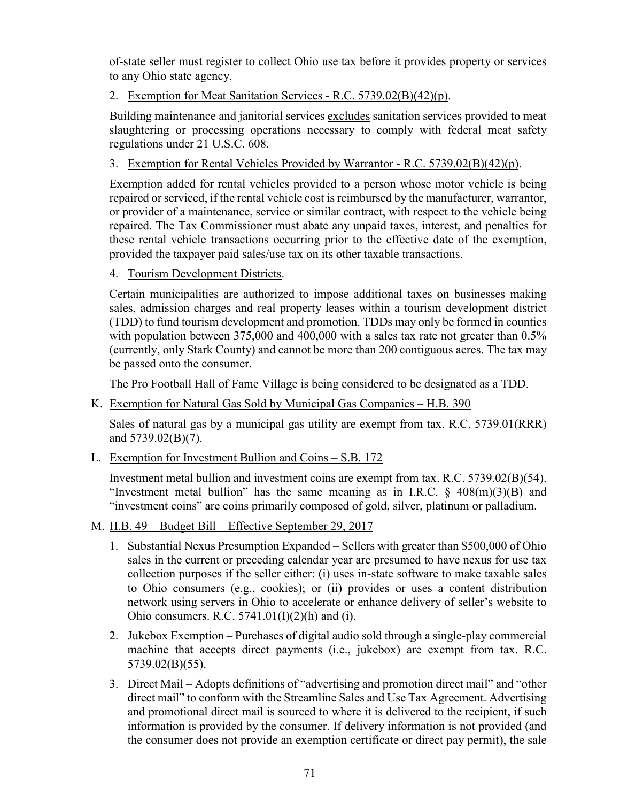of-state seller must register to collect Ohio use tax before it provides property or services to any Ohio state agency.

2. Exemption for Meat Sanitation Services - R.C. 5739.02(B)(42)(p).

Building maintenance and janitorial services excludes sanitation services provided to meat slaughtering or processing operations necessary to comply with federal meat safety regulations under 21 U.S.C. 608.

3. Exemption for Rental Vehicles Provided by Warrantor - R.C. 5739.02(B)(42)(p).

Exemption added for rental vehicles provided to a person whose motor vehicle is being repaired or serviced, if the rental vehicle cost is reimbursed by the manufacturer, warrantor, or provider of a maintenance, service or similar contract, with respect to the vehicle being repaired. The Tax Commissioner must abate any unpaid taxes, interest, and penalties for these rental vehicle transactions occurring prior to the effective date of the exemption, provided the taxpayer paid sales/use tax on its other taxable transactions.

4. Tourism Development Districts.

Certain municipalities are authorized to impose additional taxes on businesses making sales, admission charges and real property leases within a tourism development district (TDD) to fund tourism development and promotion. TDDs may only be formed in counties with population between 375,000 and 400,000 with a sales tax rate not greater than 0.5% (currently, only Stark County) and cannot be more than 200 contiguous acres. The tax may be passed onto the consumer.

The Pro Football Hall of Fame Village is being considered to be designated as a TDD.

K. Exemption for Natural Gas Sold by Municipal Gas Companies - H.B. 390

Sales of natural gas by a municipal gas utility are exempt from tax. R.C. 5739.01(RRR) and 5739.02(B)(7).

L. Exemption for Investment Bullion and Coins – S.B. 172

Investment metal bullion and investment coins are exempt from tax. R.C. 5739.02(B)(54). "Investment metal bullion" has the same meaning as in I.R.C.  $\S$  408(m)(3)(B) and "investment coins" are coins primarily composed of gold, silver, platinum or palladium.

- M. H.B. 49 Budget Bill Effective September 29, 2017
	- 1. Substantial Nexus Presumption Expanded Sellers with greater than \$500,000 of Ohio sales in the current or preceding calendar year are presumed to have nexus for use tax collection purposes if the seller either: (i) uses in-state software to make taxable sales to Ohio consumers (e.g., cookies); or (ii) provides or uses a content distribution network using servers in Ohio to accelerate or enhance delivery of seller's website to Ohio consumers. R.C.  $5741.01(I)(2)(h)$  and (i).
	- 2. Jukebox Exemption Purchases of digital audio sold through a single-play commercial machine that accepts direct payments (i.e., jukebox) are exempt from tax. R.C. 5739.02(B)(55).
	- 3. Direct Mail Adopts definitions of "advertising and promotion direct mail" and "other direct mail" to conform with the Streamline Sales and Use Tax Agreement. Advertising and promotional direct mail is sourced to where it is delivered to the recipient, if such information is provided by the consumer. If delivery information is not provided (and the consumer does not provide an exemption certificate or direct pay permit), the sale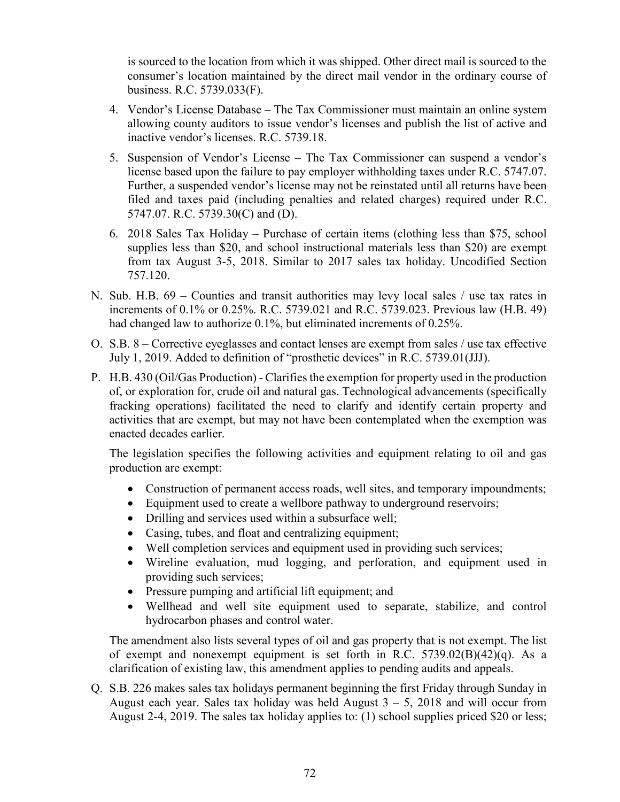is sourced to the location from which it was shipped. Other direct mail is sourced to the consumer's location maintained by the direct mail vendor in the ordinary course of business. R.C. 5739.033(F).

- 4. Vendor's License Database The Tax Commissioner must maintain an online system allowing county auditors to issue vendor's licenses and publish the list of active and inactive vendor's licenses. R.C. 5739.18.
- 5. Suspension of Vendor's License The Tax Commissioner can suspend a vendor's license based upon the failure to pay employer withholding taxes under R.C. 5747.07. Further, a suspended vendor's license may not be reinstated until all returns have been filed and taxes paid (including penalties and related charges) required under R.C. 5747.07. R.C. 5739.30(C) and (D).
- 6. 2018 Sales Tax Holiday Purchase of certain items (clothing less than \$75, school supplies less than \$20, and school instructional materials less than \$20) are exempt from tax August 3-5, 2018. Similar to 2017 sales tax holiday. Uncodified Section 757.120.
- N. Sub. H.B. 69 Counties and transit authorities may levy local sales / use tax rates in increments of 0.1% or 0.25%. R.C. 5739.021 and R.C. 5739.023. Previous law (H.B. 49) had changed law to authorize 0.1%, but eliminated increments of 0.25%.
- O. S.B. 8 Corrective eyeglasses and contact lenses are exempt from sales / use tax effective July 1, 2019. Added to definition of "prosthetic devices" in R.C. 5739.01(JJJ).
- P. H.B. 430 (Oil/Gas Production) Clarifies the exemption for property used in the production of, or exploration for, crude oil and natural gas. Technological advancements (specifically fracking operations) facilitated the need to clarify and identify certain property and activities that are exempt, but may not have been contemplated when the exemption was enacted decades earlier.

The legislation specifies the following activities and equipment relating to oil and gas production are exempt:

- Construction of permanent access roads, well sites, and temporary impoundments;
- Equipment used to create a wellbore pathway to underground reservoirs;
- Drilling and services used within a subsurface well;
- Casing, tubes, and float and centralizing equipment;
- Well completion services and equipment used in providing such services;
- Wireline evaluation, mud logging, and perforation, and equipment used in providing such services;
- Pressure pumping and artificial lift equipment; and
- Wellhead and well site equipment used to separate, stabilize, and control hydrocarbon phases and control water.

The amendment also lists several types of oil and gas property that is not exempt. The list of exempt and nonexempt equipment is set forth in R.C. 5739.02(B)(42)(q). As a clarification of existing law, this amendment applies to pending audits and appeals.

Q. S.B. 226 makes sales tax holidays permanent beginning the first Friday through Sunday in August each year. Sales tax holiday was held August  $3 - 5$ , 2018 and will occur from August 2-4, 2019. The sales tax holiday applies to: (1) school supplies priced \$20 or less;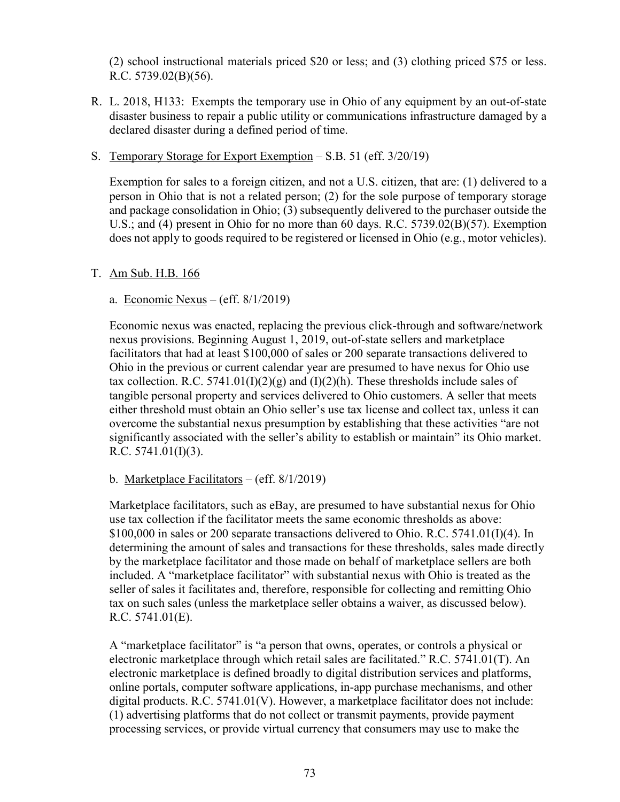(2) school instructional materials priced \$20 or less; and (3) clothing priced \$75 or less. R.C. 5739.02(B)(56).

- R. L. 2018, H133: Exempts the temporary use in Ohio of any equipment by an out-of-state disaster business to repair a public utility or communications infrastructure damaged by a declared disaster during a defined period of time.
- S. Temporary Storage for Export Exemption S.B. 51 (eff. 3/20/19)

Exemption for sales to a foreign citizen, and not a U.S. citizen, that are: (1) delivered to a person in Ohio that is not a related person; (2) for the sole purpose of temporary storage and package consolidation in Ohio; (3) subsequently delivered to the purchaser outside the U.S.; and (4) present in Ohio for no more than 60 days. R.C. 5739.02(B)(57). Exemption does not apply to goods required to be registered or licensed in Ohio (e.g., motor vehicles).

## T. Am Sub. H.B. 166

a. Economic Nexus – (eff.  $8/1/2019$ )

Economic nexus was enacted, replacing the previous click-through and software/network nexus provisions. Beginning August 1, 2019, out-of-state sellers and marketplace facilitators that had at least \$100,000 of sales or 200 separate transactions delivered to Ohio in the previous or current calendar year are presumed to have nexus for Ohio use tax collection. R.C. 5741.01(I)(2)(g) and (I)(2)(h). These thresholds include sales of tangible personal property and services delivered to Ohio customers. A seller that meets either threshold must obtain an Ohio seller's use tax license and collect tax, unless it can overcome the substantial nexus presumption by establishing that these activities "are not significantly associated with the seller's ability to establish or maintain" its Ohio market. R.C.  $5741.01(I)(3)$ .

#### b. Marketplace Facilitators – (eff. 8/1/2019)

Marketplace facilitators, such as eBay, are presumed to have substantial nexus for Ohio use tax collection if the facilitator meets the same economic thresholds as above:  $$100,000$  in sales or 200 separate transactions delivered to Ohio. R.C. 5741.01(I)(4). In determining the amount of sales and transactions for these thresholds, sales made directly by the marketplace facilitator and those made on behalf of marketplace sellers are both included. A "marketplace facilitator" with substantial nexus with Ohio is treated as the seller of sales it facilitates and, therefore, responsible for collecting and remitting Ohio tax on such sales (unless the marketplace seller obtains a waiver, as discussed below). R.C. 5741.01(E).

A "marketplace facilitator" is "a person that owns, operates, or controls a physical or electronic marketplace through which retail sales are facilitated." R.C. 5741.01(T). An electronic marketplace is defined broadly to digital distribution services and platforms, online portals, computer software applications, in-app purchase mechanisms, and other digital products. R.C. 5741.01(V). However, a marketplace facilitator does not include: (1) advertising platforms that do not collect or transmit payments, provide payment processing services, or provide virtual currency that consumers may use to make the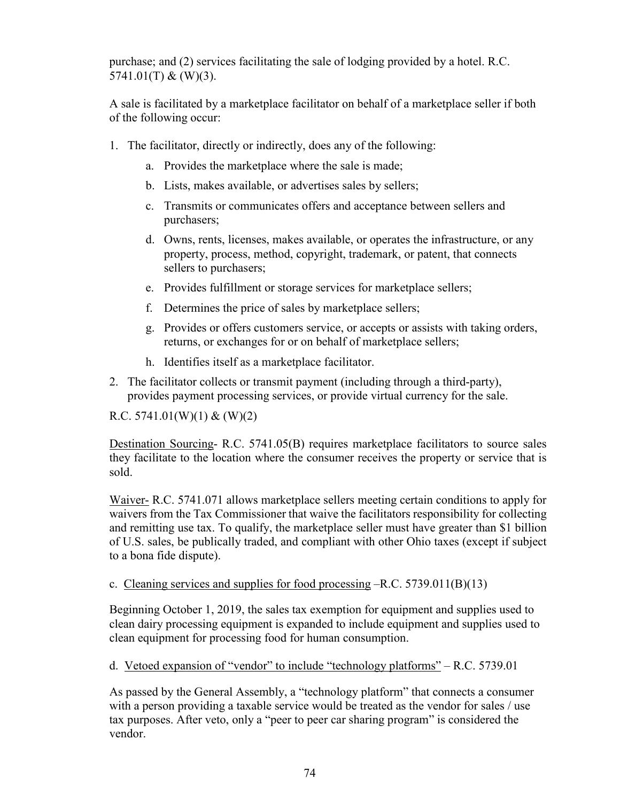purchase; and (2) services facilitating the sale of lodging provided by a hotel. R.C. 5741.01(T) & (W)(3).

A sale is facilitated by a marketplace facilitator on behalf of a marketplace seller if both of the following occur:

- 1. The facilitator, directly or indirectly, does any of the following:
	- a. Provides the marketplace where the sale is made;
	- b. Lists, makes available, or advertises sales by sellers;
	- c. Transmits or communicates offers and acceptance between sellers and purchasers;
	- d. Owns, rents, licenses, makes available, or operates the infrastructure, or any property, process, method, copyright, trademark, or patent, that connects sellers to purchasers;
	- e. Provides fulfillment or storage services for marketplace sellers;
	- f. Determines the price of sales by marketplace sellers;
	- g. Provides or offers customers service, or accepts or assists with taking orders, returns, or exchanges for or on behalf of marketplace sellers;
	- h. Identifies itself as a marketplace facilitator.
- 2. The facilitator collects or transmit payment (including through a third-party), provides payment processing services, or provide virtual currency for the sale.

R.C.  $5741.01(W)(1) & (W)(2)$ 

Destination Sourcing- R.C. 5741.05(B) requires marketplace facilitators to source sales they facilitate to the location where the consumer receives the property or service that is sold.

Waiver- R.C. 5741.071 allows marketplace sellers meeting certain conditions to apply for waivers from the Tax Commissioner that waive the facilitators responsibility for collecting and remitting use tax. To qualify, the marketplace seller must have greater than \$1 billion of U.S. sales, be publically traded, and compliant with other Ohio taxes (except if subject to a bona fide dispute).

c. Cleaning services and supplies for food processing  $-R.C. 5739.011(B)(13)$ 

Beginning October 1, 2019, the sales tax exemption for equipment and supplies used to clean dairy processing equipment is expanded to include equipment and supplies used to clean equipment for processing food for human consumption.

d. Vetoed expansion of "vendor" to include "technology platforms" – R.C. 5739.01

As passed by the General Assembly, a "technology platform" that connects a consumer with a person providing a taxable service would be treated as the vendor for sales / use tax purposes. After veto, only a "peer to peer car sharing program" is considered the vendor.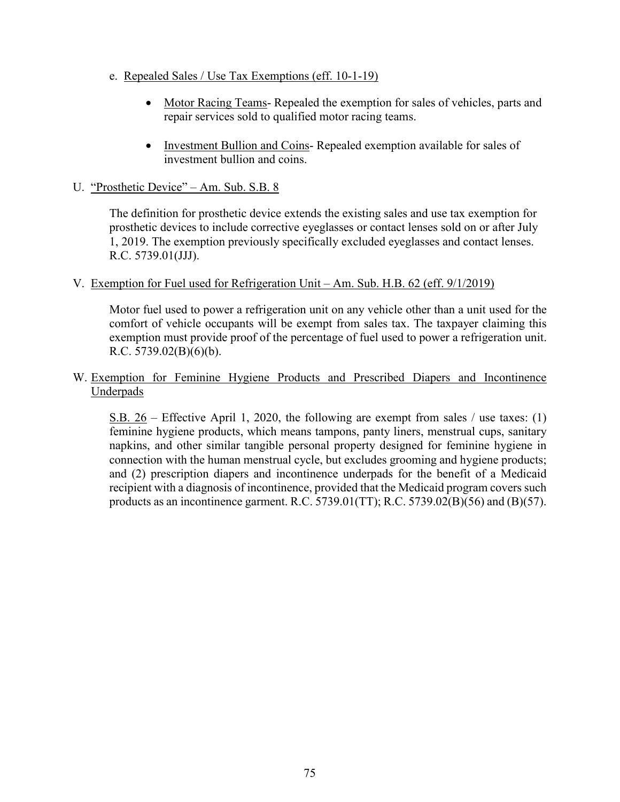- e. Repealed Sales / Use Tax Exemptions (eff. 10-1-19)
	- Motor Racing Teams-Repealed the exemption for sales of vehicles, parts and repair services sold to qualified motor racing teams.
	- Investment Bullion and Coins- Repealed exemption available for sales of investment bullion and coins.
- U. "Prosthetic Device" Am. Sub. S.B. 8

The definition for prosthetic device extends the existing sales and use tax exemption for prosthetic devices to include corrective eyeglasses or contact lenses sold on or after July 1, 2019. The exemption previously specifically excluded eyeglasses and contact lenses. R.C. 5739.01(JJJ).

## V. Exemption for Fuel used for Refrigeration Unit – Am. Sub. H.B. 62 (eff. 9/1/2019)

Motor fuel used to power a refrigeration unit on any vehicle other than a unit used for the comfort of vehicle occupants will be exempt from sales tax. The taxpayer claiming this exemption must provide proof of the percentage of fuel used to power a refrigeration unit. R.C. 5739.02(B)(6)(b).

## W. Exemption for Feminine Hygiene Products and Prescribed Diapers and Incontinence Underpads

S.B. 26 – Effective April 1, 2020, the following are exempt from sales / use taxes: (1) feminine hygiene products, which means tampons, panty liners, menstrual cups, sanitary napkins, and other similar tangible personal property designed for feminine hygiene in connection with the human menstrual cycle, but excludes grooming and hygiene products; and (2) prescription diapers and incontinence underpads for the benefit of a Medicaid recipient with a diagnosis of incontinence, provided that the Medicaid program covers such products as an incontinence garment. R.C. 5739.01(TT); R.C. 5739.02(B)(56) and (B)(57).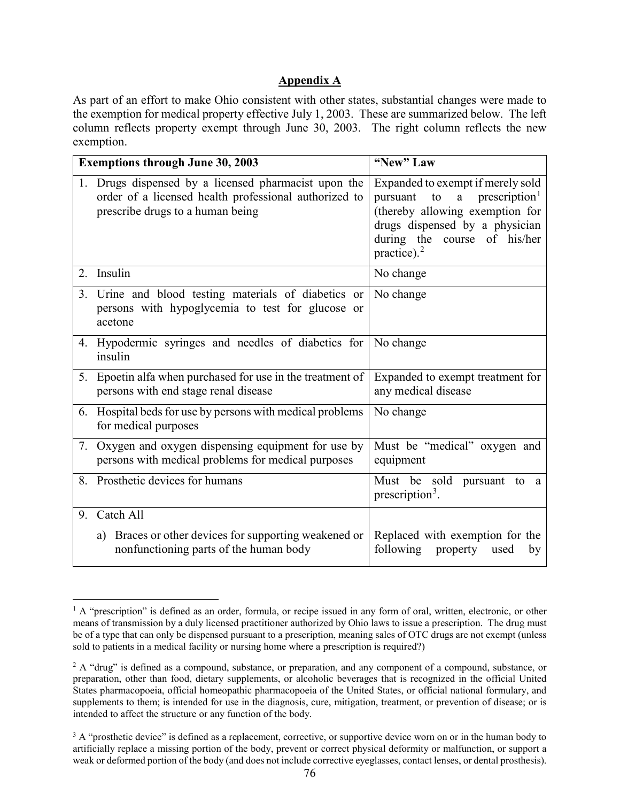## **Appendix A**

As part of an effort to make Ohio consistent with other states, substantial changes were made to the exemption for medical property effective July 1, 2003. These are summarized below. The left column reflects property exempt through June 30, 2003. The right column reflects the new exemption.

| <b>Exemptions through June 30, 2003</b> |                                                                                                                                                   | "New" Law                                                                                                                                                                                                       |
|-----------------------------------------|---------------------------------------------------------------------------------------------------------------------------------------------------|-----------------------------------------------------------------------------------------------------------------------------------------------------------------------------------------------------------------|
|                                         | 1. Drugs dispensed by a licensed pharmacist upon the<br>order of a licensed health professional authorized to<br>prescribe drugs to a human being | Expanded to exempt if merely sold<br>prescription <sup>1</sup><br>pursuant<br>to<br>a<br>(thereby allowing exemption for<br>drugs dispensed by a physician<br>during the course of his/her<br>practice). $^{2}$ |
| 2.                                      | Insulin                                                                                                                                           | No change                                                                                                                                                                                                       |
| 3.                                      | Urine and blood testing materials of diabetics or<br>persons with hypoglycemia to test for glucose or<br>acetone                                  | No change                                                                                                                                                                                                       |
|                                         | 4. Hypodermic syringes and needles of diabetics for<br>insulin                                                                                    | No change                                                                                                                                                                                                       |
|                                         | 5. Epoetin alfa when purchased for use in the treatment of<br>persons with end stage renal disease                                                | Expanded to exempt treatment for<br>any medical disease                                                                                                                                                         |
| 6.                                      | Hospital beds for use by persons with medical problems<br>for medical purposes                                                                    | No change                                                                                                                                                                                                       |
| 7.                                      | Oxygen and oxygen dispensing equipment for use by<br>persons with medical problems for medical purposes                                           | Must be "medical" oxygen and<br>equipment                                                                                                                                                                       |
|                                         | 8. Prosthetic devices for humans                                                                                                                  | Must be sold pursuant to<br><sub>a</sub><br>prescription <sup>3</sup> .                                                                                                                                         |
| 9.                                      | Catch All                                                                                                                                         |                                                                                                                                                                                                                 |
|                                         | Braces or other devices for supporting weakened or<br>a)<br>nonfunctioning parts of the human body                                                | Replaced with exemption for the<br>following<br>property<br>used<br>by                                                                                                                                          |

<span id="page-79-0"></span><sup>&</sup>lt;sup>1</sup> A "prescription" is defined as an order, formula, or recipe issued in any form of oral, written, electronic, or other means of transmission by a duly licensed practitioner authorized by Ohio laws to issue a prescription. The drug must be of a type that can only be dispensed pursuant to a prescription, meaning sales of OTC drugs are not exempt (unless sold to patients in a medical facility or nursing home where a prescription is required?)

<span id="page-79-1"></span><sup>&</sup>lt;sup>2</sup> A "drug" is defined as a compound, substance, or preparation, and any component of a compound, substance, or preparation, other than food, dietary supplements, or alcoholic beverages that is recognized in the official United States pharmacopoeia, official homeopathic pharmacopoeia of the United States, or official national formulary, and supplements to them; is intended for use in the diagnosis, cure, mitigation, treatment, or prevention of disease; or is intended to affect the structure or any function of the body.

<span id="page-79-2"></span> $3 A$  "prosthetic device" is defined as a replacement, corrective, or supportive device worn on or in the human body to artificially replace a missing portion of the body, prevent or correct physical deformity or malfunction, or support a weak or deformed portion of the body (and does not include corrective eyeglasses, contact lenses, or dental prosthesis).